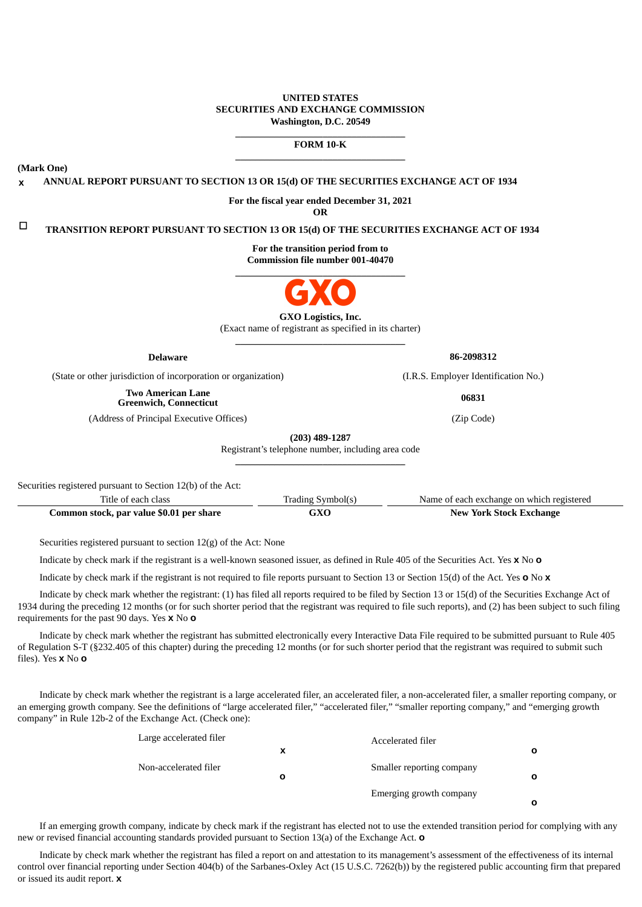### **UNITED STATES SECURITIES AND EXCHANGE COMMISSION Washington, D.C. 20549**

**\_\_\_\_\_\_\_\_\_\_\_\_\_\_\_\_\_\_\_\_\_\_\_\_\_\_\_\_\_\_\_\_\_\_\_ FORM 10-K \_\_\_\_\_\_\_\_\_\_\_\_\_\_\_\_\_\_\_\_\_\_\_\_\_\_\_\_\_\_\_\_\_\_\_**

**(Mark One)**

# **x ANNUAL REPORT PURSUANT TO SECTION 13 OR 15(d) OF THE SECURITIES EXCHANGE ACT OF 1934**

**For the fiscal year ended December 31, 2021**

**OR**

☐ **TRANSITION REPORT PURSUANT TO SECTION 13 OR 15(d) OF THE SECURITIES EXCHANGE ACT OF 1934**

**For the transition period from to Commission file number 001-40470**



**GXO Logistics, Inc.**

(Exact name of registrant as specified in its charter) **\_\_\_\_\_\_\_\_\_\_\_\_\_\_\_\_\_\_\_\_\_\_\_\_\_\_\_\_\_\_\_\_\_\_\_**

(State or other jurisdiction of incorporation or organization) (I.R.S. Employer Identification No.)

**Two American Lane Greenwich, Connecticut**

(Address of Principal Executive Offices) (Zip Code)

**Delaware 86-2098312**

**06831**

**(203) 489-1287**

Registrant's telephone number, including area code **\_\_\_\_\_\_\_\_\_\_\_\_\_\_\_\_\_\_\_\_\_\_\_\_\_\_\_\_\_\_\_\_\_\_\_**

Securities registered pursuant to Section 12(b) of the Act:

| Title of each class                      | Trading Symbol(s) | Name of each exchange on which registered |
|------------------------------------------|-------------------|-------------------------------------------|
| Common stock, par value \$0.01 per share | GXO               | <b>New York Stock Exchange</b>            |

Securities registered pursuant to section 12(g) of the Act: None

Indicate by check mark if the registrant is a well-known seasoned issuer, as defined in Rule 405 of the Securities Act. Yes **x** No **o**

Indicate by check mark if the registrant is not required to file reports pursuant to Section 13 or Section 15(d) of the Act. Yes **o** No **x**

Indicate by check mark whether the registrant: (1) has filed all reports required to be filed by Section 13 or 15(d) of the Securities Exchange Act of 1934 during the preceding 12 months (or for such shorter period that the registrant was required to file such reports), and (2) has been subject to such filing requirements for the past 90 days. Yes **x** No **o**

Indicate by check mark whether the registrant has submitted electronically every Interactive Data File required to be submitted pursuant to Rule 405 of Regulation S-T (§232.405 of this chapter) during the preceding 12 months (or for such shorter period that the registrant was required to submit such files). Yes **x** No **o**

Indicate by check mark whether the registrant is a large accelerated filer, an accelerated filer, a non-accelerated filer, a smaller reporting company, or an emerging growth company. See the definitions of "large accelerated filer," "accelerated filer," "smaller reporting company," and "emerging growth company" in Rule 12b-2 of the Exchange Act. (Check one):

| Large accelerated filer |   | Accelerated filer         |  |
|-------------------------|---|---------------------------|--|
|                         |   |                           |  |
| Non-accelerated filer   | O | Smaller reporting company |  |
|                         |   | Emerging growth company   |  |

If an emerging growth company, indicate by check mark if the registrant has elected not to use the extended transition period for complying with any new or revised financial accounting standards provided pursuant to Section 13(a) of the Exchange Act. **o**

Indicate by check mark whether the registrant has filed a report on and attestation to its management's assessment of the effectiveness of its internal control over financial reporting under Section 404(b) of the Sarbanes-Oxley Act (15 U.S.C. 7262(b)) by the registered public accounting firm that prepared or issued its audit report. **x**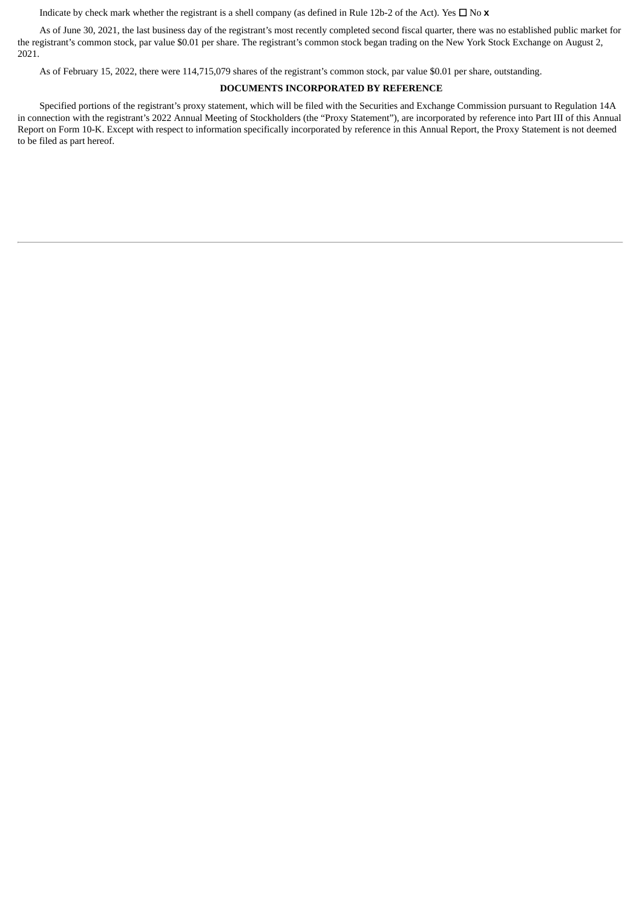Indicate by check mark whether the registrant is a shell company (as defined in Rule 12b-2 of the Act). Yes ☐ No **x**

As of June 30, 2021, the last business day of the registrant's most recently completed second fiscal quarter, there was no established public market for the registrant's common stock, par value \$0.01 per share. The registrant's common stock began trading on the New York Stock Exchange on August 2, 2021.

As of February 15, 2022, there were 114,715,079 shares of the registrant's common stock, par value \$0.01 per share, outstanding.

# **DOCUMENTS INCORPORATED BY REFERENCE**

Specified portions of the registrant's proxy statement, which will be filed with the Securities and Exchange Commission pursuant to Regulation 14A in connection with the registrant's 2022 Annual Meeting of Stockholders (the "Proxy Statement"), are incorporated by reference into Part III of this Annual Report on Form 10-K. Except with respect to information specifically incorporated by reference in this Annual Report, the Proxy Statement is not deemed to be filed as part hereof.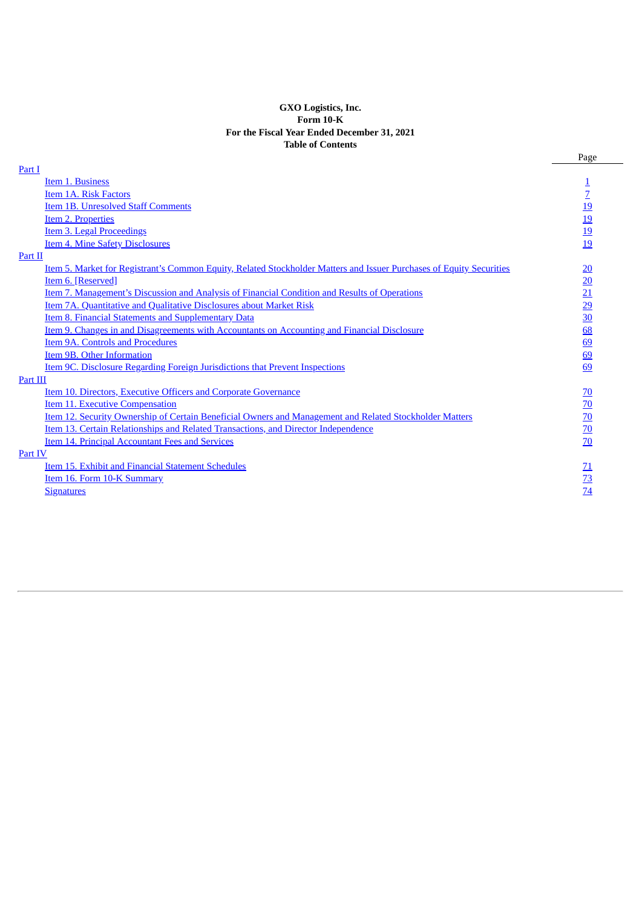# **GXO Logistics, Inc. Form 10-K For the Fiscal Year Ended December 31, 2021 Table of Contents**

|                                                                                                                      | Page            |
|----------------------------------------------------------------------------------------------------------------------|-----------------|
| Part I                                                                                                               |                 |
| Item 1. Business                                                                                                     |                 |
| Item 1A. Risk Factors                                                                                                | $rac{1}{z}$     |
| <b>Item 1B. Unresolved Staff Comments</b>                                                                            | $\frac{19}{19}$ |
| <b>Item 2. Properties</b>                                                                                            |                 |
| Item 3. Legal Proceedings                                                                                            |                 |
| <b>Item 4. Mine Safety Disclosures</b>                                                                               | 19              |
| Part II                                                                                                              |                 |
| Item 5. Market for Registrant's Common Equity, Related Stockholder Matters and Issuer Purchases of Equity Securities | 20              |
| Item 6. [Reserved]                                                                                                   | 20              |
| Item 7. Management's Discussion and Analysis of Financial Condition and Results of Operations                        | 21              |
| Item 7A. Quantitative and Qualitative Disclosures about Market Risk                                                  | 29              |
| Item 8. Financial Statements and Supplementary Data                                                                  | 30              |
| Item 9. Changes in and Disagreements with Accountants on Accounting and Financial Disclosure                         | <b>68</b>       |
| <b>Item 9A. Controls and Procedures</b>                                                                              | 69              |
| <b>Item 9B. Other Information</b>                                                                                    | 69              |
| Item 9C. Disclosure Regarding Foreign Jurisdictions that Prevent Inspections                                         | 69              |
| Part III                                                                                                             |                 |
| <b>Item 10. Directors, Executive Officers and Corporate Governance</b>                                               | $\overline{20}$ |
| <b>Item 11. Executive Compensation</b>                                                                               | $\overline{20}$ |
| <b>Item 12. Security Ownership of Certain Beneficial Owners and Management and Related Stockholder Matters</b>       | 70              |
| Item 13. Certain Relationships and Related Transactions, and Director Independence                                   | $\overline{20}$ |
| <b>Item 14. Principal Accountant Fees and Services</b>                                                               | 70              |
| Part IV                                                                                                              |                 |
| Item 15. Exhibit and Financial Statement Schedules                                                                   | $\overline{21}$ |
| Item 16. Form 10-K Summary                                                                                           | $\overline{23}$ |
| <b>Signatures</b>                                                                                                    | $\overline{74}$ |
|                                                                                                                      |                 |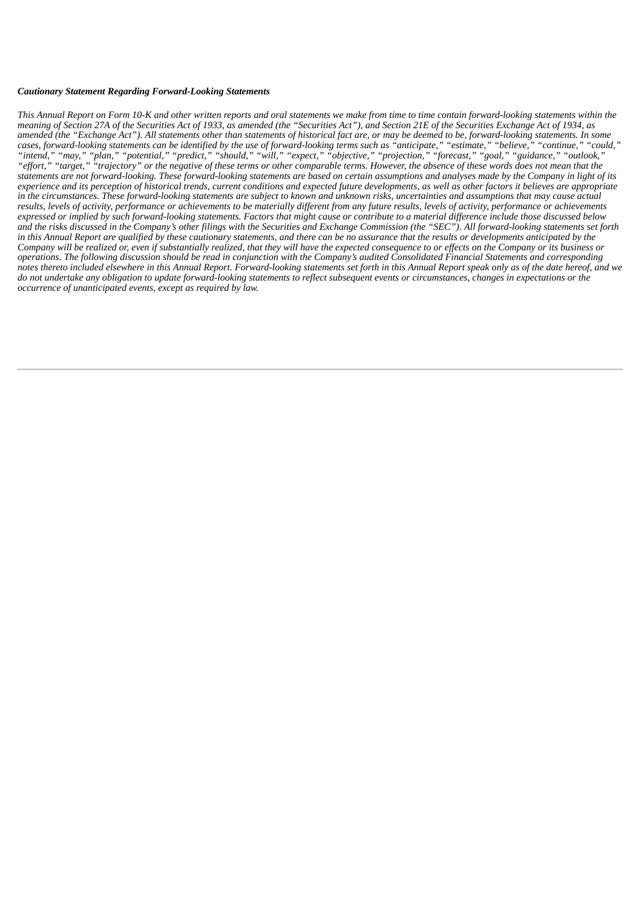#### *Cautionary Statement Regarding Forward-Looking Statements*

<span id="page-3-0"></span>This Annual Report on Form 10-K and other written reports and oral statements we make from time to time contain forward-looking statements within the meaning of Section 27A of the Securities Act of 1933, as amended (the "Securities Act"), and Section 21E of the Securities Exchange Act of 1934, as amended (the "Exchange Act"). All statements other than statements of historical fact are, or may be deemed to be, forward-looking statements. In some cases, forward-looking statements can be identified by the use of forward-looking terms such as "anticipate," "estimate," "believe," "continue," "could," "intend," "may," "plan," "potential," "predict," "should," "will," "expect," "objective," "projection," "forecast," "goal," "guidance," "outlook," "effort," "target," "trajectory" or the negative of these terms or other comparable terms. However, the absence of these words does not mean that the statements are not forward-looking. These forward-looking statements are based on certain assumptions and analyses made by the Company in liaht of its experience and its perception of historical trends, current conditions and expected future developments, as well as other factors it believes are appropriate in the circumstances. These forward-looking statements are subject to known and unknown risks, uncertainties and assumptions that may cause actual results, levels of activity, performance or achievements to be materially different from any future results, levels of activity, performance or achievements expressed or implied by such forward-looking statements. Factors that might cause or contribute to a material difference include those discussed below and the risks discussed in the Company's other filings with the Securities and Exchange Commission (the "SEC"). All forward-looking statements set forth in this Annual Report are qualified by these cautionary statements, and there can be no assurance that the results or developments anticipated by the Company will be realized or, even if substantially realized, that they will have the expected consequence to or effects on the Company or its business or operations. The following discussion should be read in conjunction with the Company's audited Consolidated Financial Statements and corresponding notes thereto included elsewhere in this Annual Report. Forward-looking statements set forth in this Annual Report speak only as of the date hereof, and we do not undertake any obligation to update forward-looking statements to reflect subsequent events or circumstances, changes in expectations or the *occurrence of unanticipated events, except as required by law.*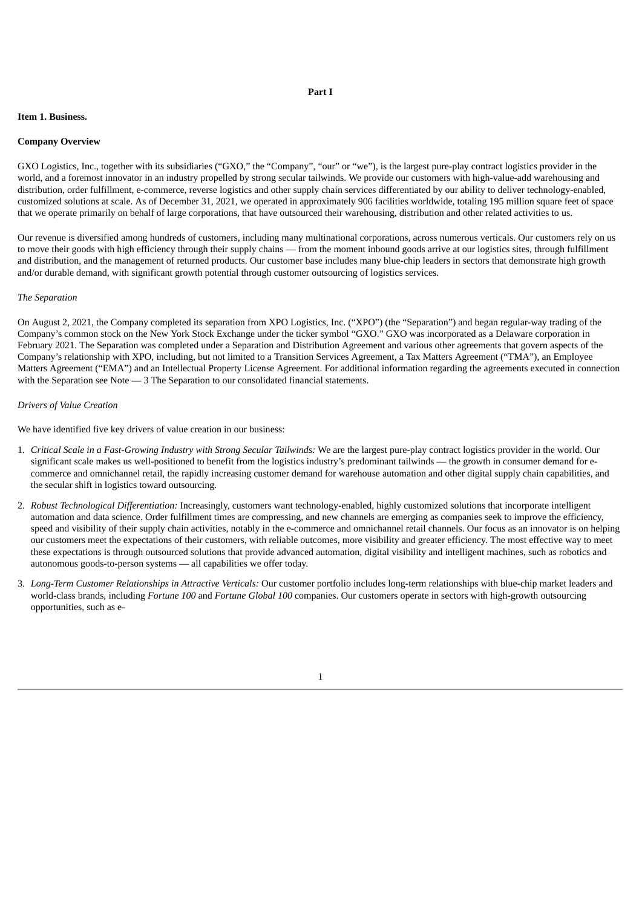# **Part I**

#### <span id="page-4-0"></span>**Item 1. Business.**

#### **Company Overview**

GXO Logistics, Inc., together with its subsidiaries ("GXO," the "Company", "our" or "we"), is the largest pure-play contract logistics provider in the world, and a foremost innovator in an industry propelled by strong secular tailwinds. We provide our customers with high-value-add warehousing and distribution, order fulfillment, e-commerce, reverse logistics and other supply chain services differentiated by our ability to deliver technology-enabled, customized solutions at scale. As of December 31, 2021, we operated in approximately 906 facilities worldwide, totaling 195 million square feet of space that we operate primarily on behalf of large corporations, that have outsourced their warehousing, distribution and other related activities to us.

Our revenue is diversified among hundreds of customers, including many multinational corporations, across numerous verticals. Our customers rely on us to move their goods with high efficiency through their supply chains — from the moment inbound goods arrive at our logistics sites, through fulfillment and distribution, and the management of returned products. Our customer base includes many blue-chip leaders in sectors that demonstrate high growth and/or durable demand, with significant growth potential through customer outsourcing of logistics services.

#### *The Separation*

On August 2, 2021, the Company completed its separation from XPO Logistics, Inc. ("XPO") (the "Separation") and began regular-way trading of the Company's common stock on the New York Stock Exchange under the ticker symbol "GXO." GXO was incorporated as a Delaware corporation in February 2021. The Separation was completed under a Separation and Distribution Agreement and various other agreements that govern aspects of the Company's relationship with XPO, including, but not limited to a Transition Services Agreement, a Tax Matters Agreement ("TMA"), an Employee Matters Agreement ("EMA") and an Intellectual Property License Agreement. For additional information regarding the agreements executed in connection with the Separation see Note — 3 The Separation to our consolidated financial statements.

### *Drivers of Value Creation*

We have identified five key drivers of value creation in our business:

- 1. *Critical Scale in a Fast-Growing Industry with Strong Secular Tailwinds:* We are the largest pure-play contract logistics provider in the world. Our significant scale makes us well-positioned to benefit from the logistics industry's predominant tailwinds — the growth in consumer demand for ecommerce and omnichannel retail, the rapidly increasing customer demand for warehouse automation and other digital supply chain capabilities, and the secular shift in logistics toward outsourcing.
- 2. *Robust Technological Differentiation:* Increasingly, customers want technology-enabled, highly customized solutions that incorporate intelligent automation and data science. Order fulfillment times are compressing, and new channels are emerging as companies seek to improve the efficiency, speed and visibility of their supply chain activities, notably in the e-commerce and omnichannel retail channels. Our focus as an innovator is on helping our customers meet the expectations of their customers, with reliable outcomes, more visibility and greater efficiency. The most effective way to meet these expectations is through outsourced solutions that provide advanced automation, digital visibility and intelligent machines, such as robotics and autonomous goods-to-person systems — all capabilities we offer today.
- 3. *Long-Term Customer Relationships in Attractive Verticals:* Our customer portfolio includes long-term relationships with blue-chip market leaders and world-class brands, including *Fortune 100* and *Fortune Global 100* companies. Our customers operate in sectors with high-growth outsourcing opportunities, such as e-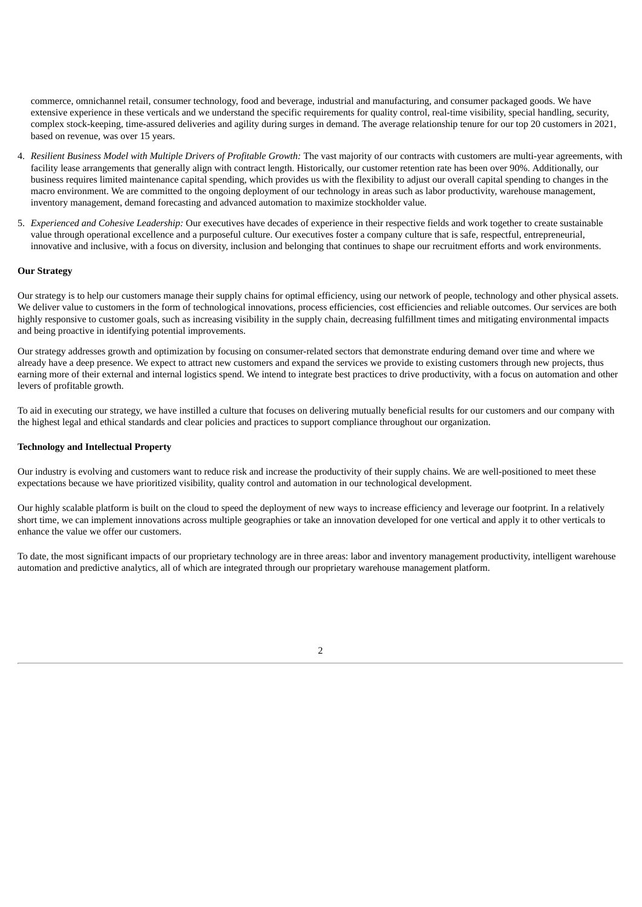commerce, omnichannel retail, consumer technology, food and beverage, industrial and manufacturing, and consumer packaged goods. We have extensive experience in these verticals and we understand the specific requirements for quality control, real-time visibility, special handling, security, complex stock-keeping, time-assured deliveries and agility during surges in demand. The average relationship tenure for our top 20 customers in 2021, based on revenue, was over 15 years.

- 4. *Resilient Business Model with Multiple Drivers of Profitable Growth:* The vast majority of our contracts with customers are multi-year agreements, with facility lease arrangements that generally align with contract length. Historically, our customer retention rate has been over 90%. Additionally, our business requires limited maintenance capital spending, which provides us with the flexibility to adjust our overall capital spending to changes in the macro environment. We are committed to the ongoing deployment of our technology in areas such as labor productivity, warehouse management, inventory management, demand forecasting and advanced automation to maximize stockholder value.
- 5. *Experienced and Cohesive Leadership:* Our executives have decades of experience in their respective fields and work together to create sustainable value through operational excellence and a purposeful culture. Our executives foster a company culture that is safe, respectful, entrepreneurial, innovative and inclusive, with a focus on diversity, inclusion and belonging that continues to shape our recruitment efforts and work environments.

#### **Our Strategy**

Our strategy is to help our customers manage their supply chains for optimal efficiency, using our network of people, technology and other physical assets. We deliver value to customers in the form of technological innovations, process efficiencies, cost efficiencies and reliable outcomes. Our services are both highly responsive to customer goals, such as increasing visibility in the supply chain, decreasing fulfillment times and mitigating environmental impacts and being proactive in identifying potential improvements.

Our strategy addresses growth and optimization by focusing on consumer-related sectors that demonstrate enduring demand over time and where we already have a deep presence. We expect to attract new customers and expand the services we provide to existing customers through new projects, thus earning more of their external and internal logistics spend. We intend to integrate best practices to drive productivity, with a focus on automation and other levers of profitable growth.

To aid in executing our strategy, we have instilled a culture that focuses on delivering mutually beneficial results for our customers and our company with the highest legal and ethical standards and clear policies and practices to support compliance throughout our organization.

### **Technology and Intellectual Property**

Our industry is evolving and customers want to reduce risk and increase the productivity of their supply chains. We are well-positioned to meet these expectations because we have prioritized visibility, quality control and automation in our technological development.

Our highly scalable platform is built on the cloud to speed the deployment of new ways to increase efficiency and leverage our footprint. In a relatively short time, we can implement innovations across multiple geographies or take an innovation developed for one vertical and apply it to other verticals to enhance the value we offer our customers.

To date, the most significant impacts of our proprietary technology are in three areas: labor and inventory management productivity, intelligent warehouse automation and predictive analytics, all of which are integrated through our proprietary warehouse management platform.

2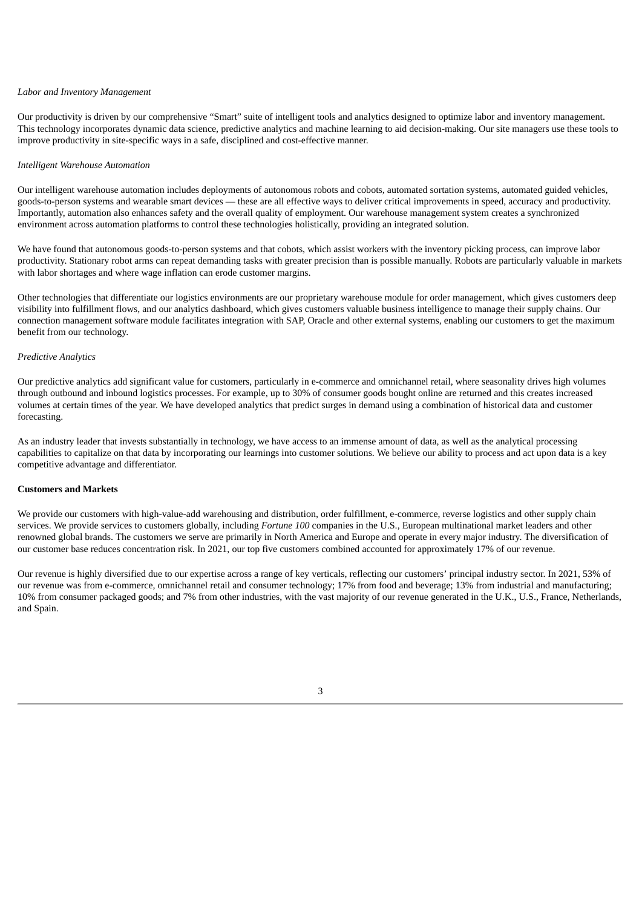### *Labor and Inventory Management*

Our productivity is driven by our comprehensive "Smart" suite of intelligent tools and analytics designed to optimize labor and inventory management. This technology incorporates dynamic data science, predictive analytics and machine learning to aid decision-making. Our site managers use these tools to improve productivity in site-specific ways in a safe, disciplined and cost-effective manner.

#### *Intelligent Warehouse Automation*

Our intelligent warehouse automation includes deployments of autonomous robots and cobots, automated sortation systems, automated guided vehicles, goods-to-person systems and wearable smart devices — these are all effective ways to deliver critical improvements in speed, accuracy and productivity. Importantly, automation also enhances safety and the overall quality of employment. Our warehouse management system creates a synchronized environment across automation platforms to control these technologies holistically, providing an integrated solution.

We have found that autonomous goods-to-person systems and that cobots, which assist workers with the inventory picking process, can improve labor productivity. Stationary robot arms can repeat demanding tasks with greater precision than is possible manually. Robots are particularly valuable in markets with labor shortages and where wage inflation can erode customer margins.

Other technologies that differentiate our logistics environments are our proprietary warehouse module for order management, which gives customers deep visibility into fulfillment flows, and our analytics dashboard, which gives customers valuable business intelligence to manage their supply chains. Our connection management software module facilitates integration with SAP, Oracle and other external systems, enabling our customers to get the maximum benefit from our technology.

#### *Predictive Analytics*

Our predictive analytics add significant value for customers, particularly in e-commerce and omnichannel retail, where seasonality drives high volumes through outbound and inbound logistics processes. For example, up to 30% of consumer goods bought online are returned and this creates increased volumes at certain times of the year. We have developed analytics that predict surges in demand using a combination of historical data and customer forecasting.

As an industry leader that invests substantially in technology, we have access to an immense amount of data, as well as the analytical processing capabilities to capitalize on that data by incorporating our learnings into customer solutions. We believe our ability to process and act upon data is a key competitive advantage and differentiator.

#### **Customers and Markets**

We provide our customers with high-value-add warehousing and distribution, order fulfillment, e-commerce, reverse logistics and other supply chain services. We provide services to customers globally, including *Fortune 100* companies in the U.S., European multinational market leaders and other renowned global brands. The customers we serve are primarily in North America and Europe and operate in every major industry. The diversification of our customer base reduces concentration risk. In 2021, our top five customers combined accounted for approximately 17% of our revenue.

Our revenue is highly diversified due to our expertise across a range of key verticals, reflecting our customers' principal industry sector. In 2021, 53% of our revenue was from e-commerce, omnichannel retail and consumer technology; 17% from food and beverage; 13% from industrial and manufacturing; 10% from consumer packaged goods; and 7% from other industries, with the vast majority of our revenue generated in the U.K., U.S., France, Netherlands, and Spain.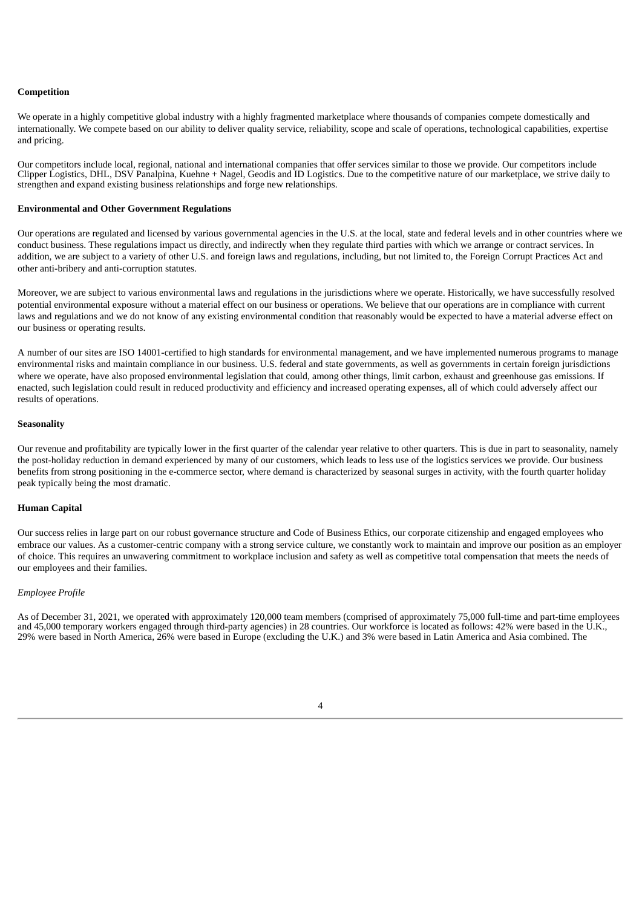### **Competition**

We operate in a highly competitive global industry with a highly fragmented marketplace where thousands of companies compete domestically and internationally. We compete based on our ability to deliver quality service, reliability, scope and scale of operations, technological capabilities, expertise and pricing.

Our competitors include local, regional, national and international companies that offer services similar to those we provide. Our competitors include Clipper Logistics, DHL, DSV Panalpina, Kuehne + Nagel, Geodis and ID Logistics. Due to the competitive nature of our marketplace, we strive daily to strengthen and expand existing business relationships and forge new relationships.

### **Environmental and Other Government Regulations**

Our operations are regulated and licensed by various governmental agencies in the U.S. at the local, state and federal levels and in other countries where we conduct business. These regulations impact us directly, and indirectly when they regulate third parties with which we arrange or contract services. In addition, we are subject to a variety of other U.S. and foreign laws and regulations, including, but not limited to, the Foreign Corrupt Practices Act and other anti-bribery and anti-corruption statutes.

Moreover, we are subject to various environmental laws and regulations in the jurisdictions where we operate. Historically, we have successfully resolved potential environmental exposure without a material effect on our business or operations. We believe that our operations are in compliance with current laws and regulations and we do not know of any existing environmental condition that reasonably would be expected to have a material adverse effect on our business or operating results.

A number of our sites are ISO 14001-certified to high standards for environmental management, and we have implemented numerous programs to manage environmental risks and maintain compliance in our business. U.S. federal and state governments, as well as governments in certain foreign jurisdictions where we operate, have also proposed environmental legislation that could, among other things, limit carbon, exhaust and greenhouse gas emissions. If enacted, such legislation could result in reduced productivity and efficiency and increased operating expenses, all of which could adversely affect our results of operations.

# **Seasonality**

Our revenue and profitability are typically lower in the first quarter of the calendar year relative to other quarters. This is due in part to seasonality, namely the post-holiday reduction in demand experienced by many of our customers, which leads to less use of the logistics services we provide. Our business benefits from strong positioning in the e-commerce sector, where demand is characterized by seasonal surges in activity, with the fourth quarter holiday peak typically being the most dramatic.

#### **Human Capital**

Our success relies in large part on our robust governance structure and Code of Business Ethics, our corporate citizenship and engaged employees who embrace our values. As a customer-centric company with a strong service culture, we constantly work to maintain and improve our position as an employer of choice. This requires an unwavering commitment to workplace inclusion and safety as well as competitive total compensation that meets the needs of our employees and their families.

#### *Employee Profile*

As of December 31, 2021, we operated with approximately 120,000 team members (comprised of approximately 75,000 full-time and part-time employees and 45,000 temporary workers engaged through third-party agencies) in 28 countries. Our workforce is located as follows: 42% were based in the U.K., 29% were based in North America, 26% were based in Europe (excluding the U.K.) and 3% were based in Latin America and Asia combined. The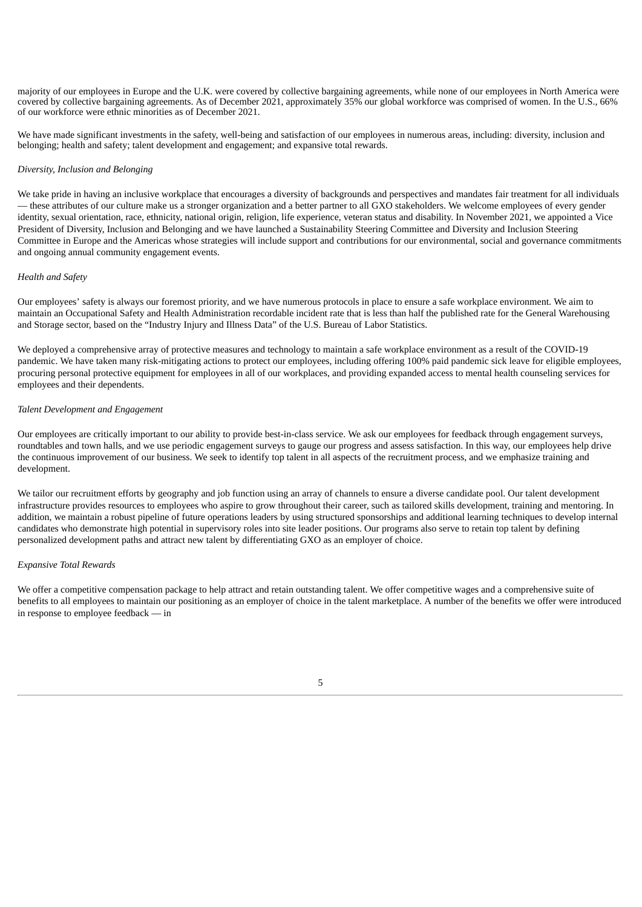majority of our employees in Europe and the U.K. were covered by collective bargaining agreements, while none of our employees in North America were covered by collective bargaining agreements. As of December 2021, approximately 35% our global workforce was comprised of women. In the U.S., 66% of our workforce were ethnic minorities as of December 2021.

We have made significant investments in the safety, well-being and satisfaction of our employees in numerous areas, including: diversity, inclusion and belonging; health and safety; talent development and engagement; and expansive total rewards.

#### *Diversity, Inclusion and Belonging*

We take pride in having an inclusive workplace that encourages a diversity of backgrounds and perspectives and mandates fair treatment for all individuals — these attributes of our culture make us a stronger organization and a better partner to all GXO stakeholders. We welcome employees of every gender identity, sexual orientation, race, ethnicity, national origin, religion, life experience, veteran status and disability. In November 2021, we appointed a Vice President of Diversity, Inclusion and Belonging and we have launched a Sustainability Steering Committee and Diversity and Inclusion Steering Committee in Europe and the Americas whose strategies will include support and contributions for our environmental, social and governance commitments and ongoing annual community engagement events.

### *Health and Safety*

Our employees' safety is always our foremost priority, and we have numerous protocols in place to ensure a safe workplace environment. We aim to maintain an Occupational Safety and Health Administration recordable incident rate that is less than half the published rate for the General Warehousing and Storage sector, based on the "Industry Injury and Illness Data" of the U.S. Bureau of Labor Statistics.

We deployed a comprehensive array of protective measures and technology to maintain a safe workplace environment as a result of the COVID-19 pandemic. We have taken many risk-mitigating actions to protect our employees, including offering 100% paid pandemic sick leave for eligible employees, procuring personal protective equipment for employees in all of our workplaces, and providing expanded access to mental health counseling services for employees and their dependents.

# *Talent Development and Engagement*

Our employees are critically important to our ability to provide best-in-class service. We ask our employees for feedback through engagement surveys, roundtables and town halls, and we use periodic engagement surveys to gauge our progress and assess satisfaction. In this way, our employees help drive the continuous improvement of our business. We seek to identify top talent in all aspects of the recruitment process, and we emphasize training and development.

We tailor our recruitment efforts by geography and job function using an array of channels to ensure a diverse candidate pool. Our talent development infrastructure provides resources to employees who aspire to grow throughout their career, such as tailored skills development, training and mentoring. In addition, we maintain a robust pipeline of future operations leaders by using structured sponsorships and additional learning techniques to develop internal candidates who demonstrate high potential in supervisory roles into site leader positions. Our programs also serve to retain top talent by defining personalized development paths and attract new talent by differentiating GXO as an employer of choice.

### *Expansive Total Rewards*

We offer a competitive compensation package to help attract and retain outstanding talent. We offer competitive wages and a comprehensive suite of benefits to all employees to maintain our positioning as an employer of choice in the talent marketplace. A number of the benefits we offer were introduced in response to employee feedback — in

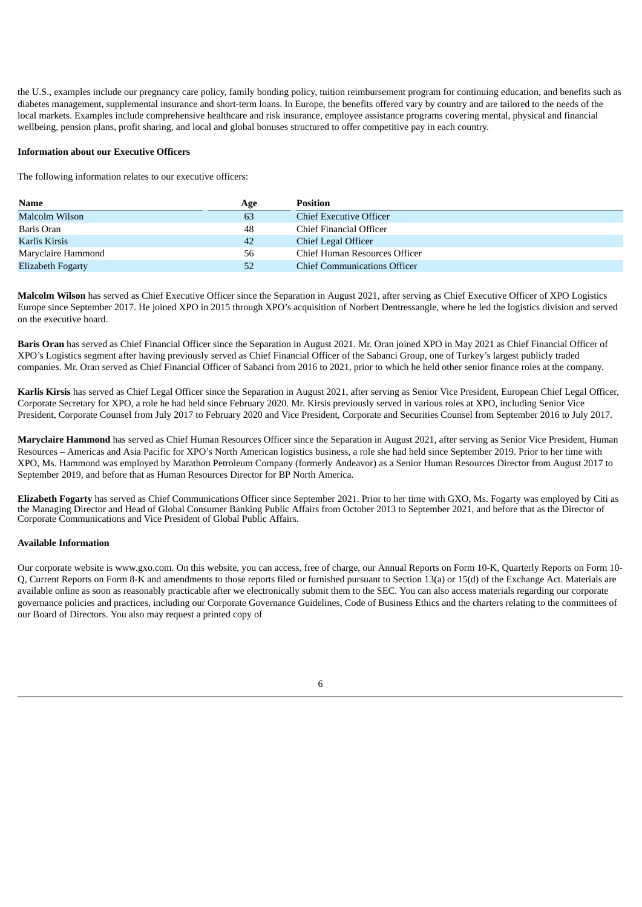the U.S., examples include our pregnancy care policy, family bonding policy, tuition reimbursement program for continuing education, and benefits such as diabetes management, supplemental insurance and short-term loans. In Europe, the benefits offered vary by country and are tailored to the needs of the local markets. Examples include comprehensive healthcare and risk insurance, employee assistance programs covering mental, physical and financial wellbeing, pension plans, profit sharing, and local and global bonuses structured to offer competitive pay in each country.

#### **Information about our Executive Officers**

The following information relates to our executive officers:

| Name               | Age | <b>Position</b>                     |
|--------------------|-----|-------------------------------------|
| Malcolm Wilson     | 63  | <b>Chief Executive Officer</b>      |
| Baris Oran         | 48  | Chief Financial Officer             |
| Karlis Kirsis      | 42  | Chief Legal Officer                 |
| Maryclaire Hammond | 56  | Chief Human Resources Officer       |
| Elizabeth Fogarty  | 52  | <b>Chief Communications Officer</b> |

**Malcolm Wilson** has served as Chief Executive Officer since the Separation in August 2021, after serving as Chief Executive Officer of XPO Logistics Europe since September 2017. He joined XPO in 2015 through XPO's acquisition of Norbert Dentressangle, where he led the logistics division and served on the executive board.

**Baris Oran** has served as Chief Financial Officer since the Separation in August 2021. Mr. Oran joined XPO in May 2021 as Chief Financial Officer of XPO's Logistics segment after having previously served as Chief Financial Officer of the Sabanci Group, one of Turkey's largest publicly traded companies. Mr. Oran served as Chief Financial Officer of Sabanci from 2016 to 2021, prior to which he held other senior finance roles at the company.

**Karlis Kirsis** has served as Chief Legal Officer since the Separation in August 2021, after serving as Senior Vice President, European Chief Legal Officer, Corporate Secretary for XPO, a role he had held since February 2020. Mr. Kirsis previously served in various roles at XPO, including Senior Vice President, Corporate Counsel from July 2017 to February 2020 and Vice President, Corporate and Securities Counsel from September 2016 to July 2017.

**Maryclaire Hammond** has served as Chief Human Resources Officer since the Separation in August 2021, after serving as Senior Vice President, Human Resources – Americas and Asia Pacific for XPO's North American logistics business, a role she had held since September 2019. Prior to her time with XPO, Ms. Hammond was employed by Marathon Petroleum Company (formerly Andeavor) as a Senior Human Resources Director from August 2017 to September 2019, and before that as Human Resources Director for BP North America.

**Elizabeth Fogarty** has served as Chief Communications Officer since September 2021. Prior to her time with GXO, Ms. Fogarty was employed by Citi as the Managing Director and Head of Global Consumer Banking Public Affairs from October 2013 to September 2021, and before that as the Director of Corporate Communications and Vice President of Global Public Affairs.

#### **Available Information**

Our corporate website is www.gxo.com. On this website, you can access, free of charge, our Annual Reports on Form 10-K, Quarterly Reports on Form 10- Q, Current Reports on Form 8-K and amendments to those reports filed or furnished pursuant to Section 13(a) or 15(d) of the Exchange Act. Materials are available online as soon as reasonably practicable after we electronically submit them to the SEC. You can also access materials regarding our corporate governance policies and practices, including our Corporate Governance Guidelines, Code of Business Ethics and the charters relating to the committees of our Board of Directors. You also may request a printed copy of

6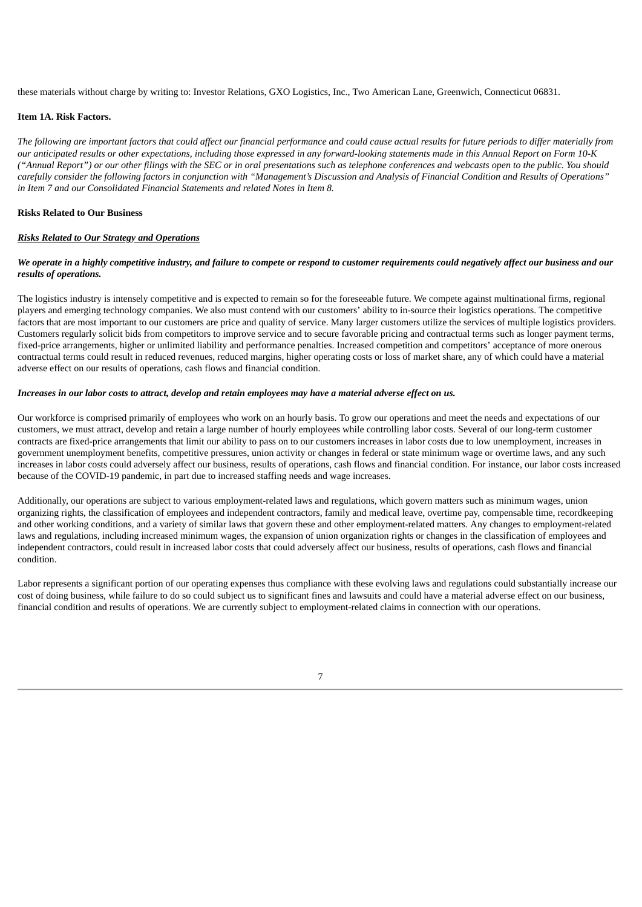these materials without charge by writing to: Investor Relations, GXO Logistics, Inc., Two American Lane, Greenwich, Connecticut 06831.

#### <span id="page-10-0"></span>**Item 1A. Risk Factors.**

The following are important factors that could affect our financial performance and could cause actual results for future periods to differ materially from our anticipated results or other expectations, including those expressed in any forward-looking statements made in this Annual Report on Form 10-K ("Annual Report") or our other filings with the SEC or in oral presentations such as telephone conferences and webcasts open to the public. You should carefully consider the following factors in conjunction with "Management's Discussion and Analysis of Financial Condition and Results of Operations" *in Item 7 and our Consolidated Financial Statements and related Notes in Item 8.*

# **Risks Related to Our Business**

#### *Risks Related to Our Strategy and Operations*

### We operate in a highly competitive industry, and failure to compete or respond to customer requirements could negatively affect our business and our *results of operations.*

The logistics industry is intensely competitive and is expected to remain so for the foreseeable future. We compete against multinational firms, regional players and emerging technology companies. We also must contend with our customers' ability to in-source their logistics operations. The competitive factors that are most important to our customers are price and quality of service. Many larger customers utilize the services of multiple logistics providers. Customers regularly solicit bids from competitors to improve service and to secure favorable pricing and contractual terms such as longer payment terms, fixed-price arrangements, higher or unlimited liability and performance penalties. Increased competition and competitors' acceptance of more onerous contractual terms could result in reduced revenues, reduced margins, higher operating costs or loss of market share, any of which could have a material adverse effect on our results of operations, cash flows and financial condition.

### Increases in our labor costs to attract, develop and retain employees may have a material adverse effect on us.

Our workforce is comprised primarily of employees who work on an hourly basis. To grow our operations and meet the needs and expectations of our customers, we must attract, develop and retain a large number of hourly employees while controlling labor costs. Several of our long-term customer contracts are fixed-price arrangements that limit our ability to pass on to our customers increases in labor costs due to low unemployment, increases in government unemployment benefits, competitive pressures, union activity or changes in federal or state minimum wage or overtime laws, and any such increases in labor costs could adversely affect our business, results of operations, cash flows and financial condition. For instance, our labor costs increased because of the COVID-19 pandemic, in part due to increased staffing needs and wage increases.

Additionally, our operations are subject to various employment-related laws and regulations, which govern matters such as minimum wages, union organizing rights, the classification of employees and independent contractors, family and medical leave, overtime pay, compensable time, recordkeeping and other working conditions, and a variety of similar laws that govern these and other employment-related matters. Any changes to employment-related laws and regulations, including increased minimum wages, the expansion of union organization rights or changes in the classification of employees and independent contractors, could result in increased labor costs that could adversely affect our business, results of operations, cash flows and financial condition.

Labor represents a significant portion of our operating expenses thus compliance with these evolving laws and regulations could substantially increase our cost of doing business, while failure to do so could subject us to significant fines and lawsuits and could have a material adverse effect on our business, financial condition and results of operations. We are currently subject to employment-related claims in connection with our operations.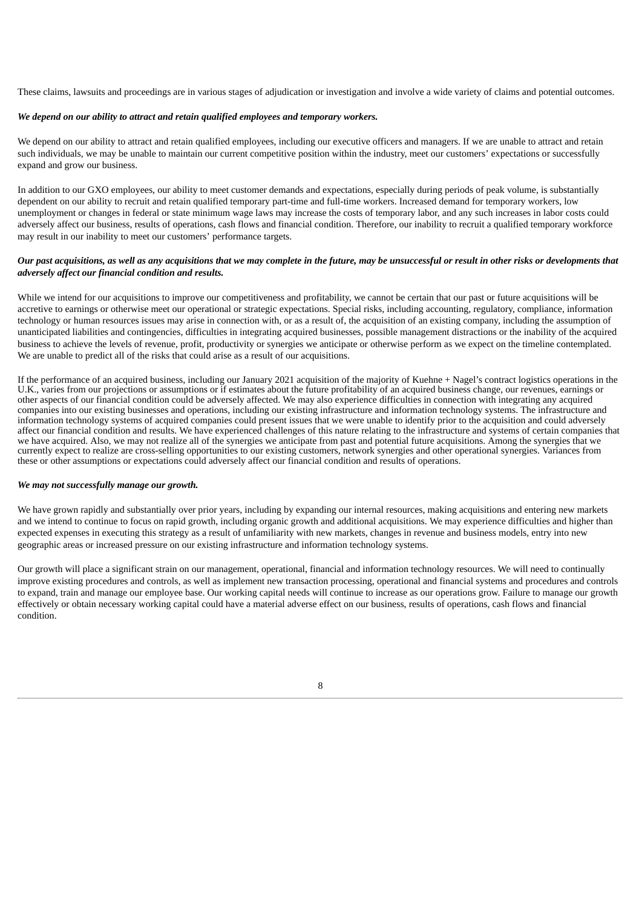These claims, lawsuits and proceedings are in various stages of adjudication or investigation and involve a wide variety of claims and potential outcomes.

#### *We depend on our ability to attract and retain qualified employees and temporary workers.*

We depend on our ability to attract and retain qualified employees, including our executive officers and managers. If we are unable to attract and retain such individuals, we may be unable to maintain our current competitive position within the industry, meet our customers' expectations or successfully expand and grow our business.

In addition to our GXO employees, our ability to meet customer demands and expectations, especially during periods of peak volume, is substantially dependent on our ability to recruit and retain qualified temporary part-time and full-time workers. Increased demand for temporary workers, low unemployment or changes in federal or state minimum wage laws may increase the costs of temporary labor, and any such increases in labor costs could adversely affect our business, results of operations, cash flows and financial condition. Therefore, our inability to recruit a qualified temporary workforce may result in our inability to meet our customers' performance targets.

# Our past acquisitions, as well as any acquisitions that we may complete in the future, may be unsuccessful or result in other risks or developments that *adversely affect our financial condition and results.*

While we intend for our acquisitions to improve our competitiveness and profitability, we cannot be certain that our past or future acquisitions will be accretive to earnings or otherwise meet our operational or strategic expectations. Special risks, including accounting, regulatory, compliance, information technology or human resources issues may arise in connection with, or as a result of, the acquisition of an existing company, including the assumption of unanticipated liabilities and contingencies, difficulties in integrating acquired businesses, possible management distractions or the inability of the acquired business to achieve the levels of revenue, profit, productivity or synergies we anticipate or otherwise perform as we expect on the timeline contemplated. We are unable to predict all of the risks that could arise as a result of our acquisitions.

If the performance of an acquired business, including our January 2021 acquisition of the majority of Kuehne + Nagel's contract logistics operations in the U.K., varies from our projections or assumptions or if estimates about the future profitability of an acquired business change, our revenues, earnings or other aspects of our financial condition could be adversely affected. We may also experience difficulties in connection with integrating any acquired companies into our existing businesses and operations, including our existing infrastructure and information technology systems. The infrastructure and information technology systems of acquired companies could present issues that we were unable to identify prior to the acquisition and could adversely affect our financial condition and results. We have experienced challenges of this nature relating to the infrastructure and systems of certain companies that we have acquired. Also, we may not realize all of the synergies we anticipate from past and potential future acquisitions. Among the synergies that we currently expect to realize are cross-selling opportunities to our existing customers, network synergies and other operational synergies. Variances from these or other assumptions or expectations could adversely affect our financial condition and results of operations.

#### *We may not successfully manage our growth.*

We have grown rapidly and substantially over prior years, including by expanding our internal resources, making acquisitions and entering new markets and we intend to continue to focus on rapid growth, including organic growth and additional acquisitions. We may experience difficulties and higher than expected expenses in executing this strategy as a result of unfamiliarity with new markets, changes in revenue and business models, entry into new geographic areas or increased pressure on our existing infrastructure and information technology systems.

Our growth will place a significant strain on our management, operational, financial and information technology resources. We will need to continually improve existing procedures and controls, as well as implement new transaction processing, operational and financial systems and procedures and controls to expand, train and manage our employee base. Our working capital needs will continue to increase as our operations grow. Failure to manage our growth effectively or obtain necessary working capital could have a material adverse effect on our business, results of operations, cash flows and financial condition.

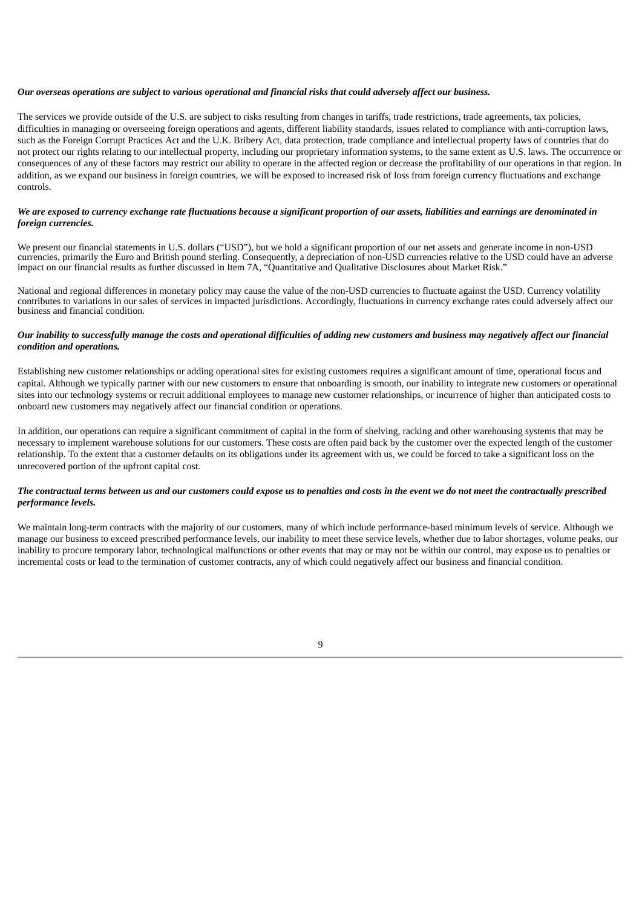#### Our overseas operations are subiect to various operational and financial risks that could adversely affect our business.

The services we provide outside of the U.S. are subject to risks resulting from changes in tariffs, trade restrictions, trade agreements, tax policies, difficulties in managing or overseeing foreign operations and agents, different liability standards, issues related to compliance with anti-corruption laws, such as the Foreign Corrupt Practices Act and the U.K. Bribery Act, data protection, trade compliance and intellectual property laws of countries that do not protect our rights relating to our intellectual property, including our proprietary information systems, to the same extent as U.S. laws. The occurrence or consequences of any of these factors may restrict our ability to operate in the affected region or decrease the profitability of our operations in that region. In addition, as we expand our business in foreign countries, we will be exposed to increased risk of loss from foreign currency fluctuations and exchange controls.

### We are exposed to currency exchange rate fluctuations because a significant proportion of our assets, liabilities and earnings are denominated in *foreign currencies.*

We present our financial statements in U.S. dollars ("USD"), but we hold a significant proportion of our net assets and generate income in non-USD currencies, primarily the Euro and British pound sterling. Consequently, a depreciation of non-USD currencies relative to the USD could have an adverse impact on our financial results as further discussed in Item 7A, "Quantitative and Qualitative Disclosures about Market Risk."

National and regional differences in monetary policy may cause the value of the non-USD currencies to fluctuate against the USD. Currency volatility contributes to variations in our sales of services in impacted jurisdictions. Accordingly, fluctuations in currency exchange rates could adversely affect our business and financial condition.

### Our inability to successfully manage the costs and operational difficulties of adding new customers and business may negatively affect our financial *condition and operations.*

Establishing new customer relationships or adding operational sites for existing customers requires a significant amount of time, operational focus and capital. Although we typically partner with our new customers to ensure that onboarding is smooth, our inability to integrate new customers or operational sites into our technology systems or recruit additional employees to manage new customer relationships, or incurrence of higher than anticipated costs to onboard new customers may negatively affect our financial condition or operations.

In addition, our operations can require a significant commitment of capital in the form of shelving, racking and other warehousing systems that may be necessary to implement warehouse solutions for our customers. These costs are often paid back by the customer over the expected length of the customer relationship. To the extent that a customer defaults on its obligations under its agreement with us, we could be forced to take a significant loss on the unrecovered portion of the upfront capital cost.

### The contractual terms between us and our customers could expose us to penalties and costs in the event we do not meet the contractually prescribed *performance levels.*

We maintain long-term contracts with the majority of our customers, many of which include performance-based minimum levels of service. Although we manage our business to exceed prescribed performance levels, our inability to meet these service levels, whether due to labor shortages, volume peaks, our inability to procure temporary labor, technological malfunctions or other events that may or may not be within our control, may expose us to penalties or incremental costs or lead to the termination of customer contracts, any of which could negatively affect our business and financial condition.

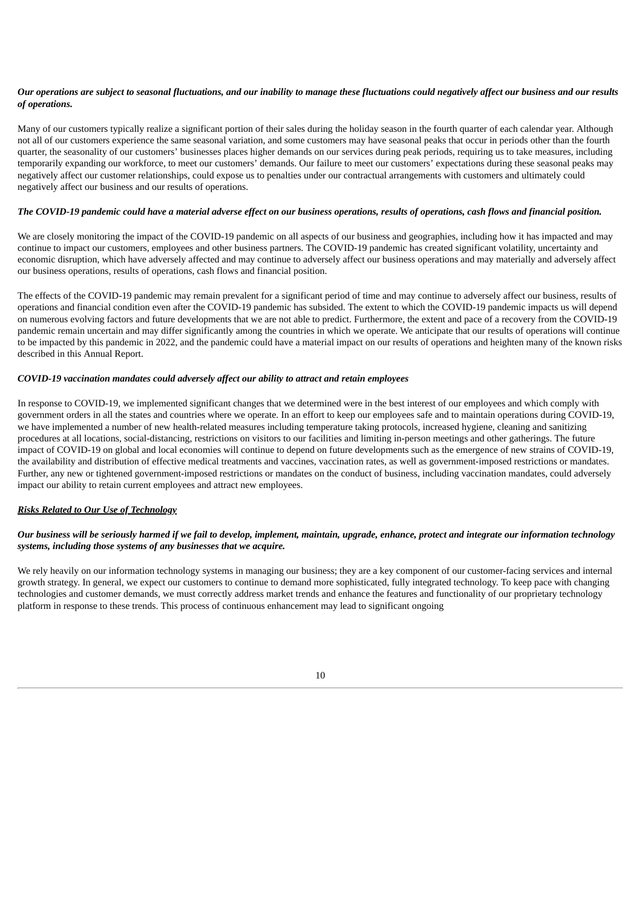# Our operations are subject to seasonal fluctuations, and our inability to manage these fluctuations could negatively affect our business and our results *of operations.*

Many of our customers typically realize a significant portion of their sales during the holiday season in the fourth quarter of each calendar year. Although not all of our customers experience the same seasonal variation, and some customers may have seasonal peaks that occur in periods other than the fourth quarter, the seasonality of our customers' businesses places higher demands on our services during peak periods, requiring us to take measures, including temporarily expanding our workforce, to meet our customers' demands. Our failure to meet our customers' expectations during these seasonal peaks may negatively affect our customer relationships, could expose us to penalties under our contractual arrangements with customers and ultimately could negatively affect our business and our results of operations.

# The COVID-19 pandemic could have a material adverse effect on our business operations, results of operations, cash flows and financial position.

We are closely monitoring the impact of the COVID-19 pandemic on all aspects of our business and geographies, including how it has impacted and may continue to impact our customers, employees and other business partners. The COVID-19 pandemic has created significant volatility, uncertainty and economic disruption, which have adversely affected and may continue to adversely affect our business operations and may materially and adversely affect our business operations, results of operations, cash flows and financial position.

The effects of the COVID-19 pandemic may remain prevalent for a significant period of time and may continue to adversely affect our business, results of operations and financial condition even after the COVID-19 pandemic has subsided. The extent to which the COVID-19 pandemic impacts us will depend on numerous evolving factors and future developments that we are not able to predict. Furthermore, the extent and pace of a recovery from the COVID-19 pandemic remain uncertain and may differ significantly among the countries in which we operate. We anticipate that our results of operations will continue to be impacted by this pandemic in 2022, and the pandemic could have a material impact on our results of operations and heighten many of the known risks described in this Annual Report.

### *COVID-19 vaccination mandates could adversely affect our ability to attract and retain employees*

In response to COVID-19, we implemented significant changes that we determined were in the best interest of our employees and which comply with government orders in all the states and countries where we operate. In an effort to keep our employees safe and to maintain operations during COVID-19, we have implemented a number of new health-related measures including temperature taking protocols, increased hygiene, cleaning and sanitizing procedures at all locations, social-distancing, restrictions on visitors to our facilities and limiting in-person meetings and other gatherings. The future impact of COVID-19 on global and local economies will continue to depend on future developments such as the emergence of new strains of COVID-19, the availability and distribution of effective medical treatments and vaccines, vaccination rates, as well as government-imposed restrictions or mandates. Further, any new or tightened government-imposed restrictions or mandates on the conduct of business, including vaccination mandates, could adversely impact our ability to retain current employees and attract new employees.

# *Risks Related to Our Use of Technology*

# Our business will be seriously harmed if we fail to develop, implement, maintain, upgrade, enhance, protect and integrate our information technology *systems, including those systems of any businesses that we acquire.*

We rely heavily on our information technology systems in managing our business; they are a key component of our customer-facing services and internal growth strategy. In general, we expect our customers to continue to demand more sophisticated, fully integrated technology. To keep pace with changing technologies and customer demands, we must correctly address market trends and enhance the features and functionality of our proprietary technology platform in response to these trends. This process of continuous enhancement may lead to significant ongoing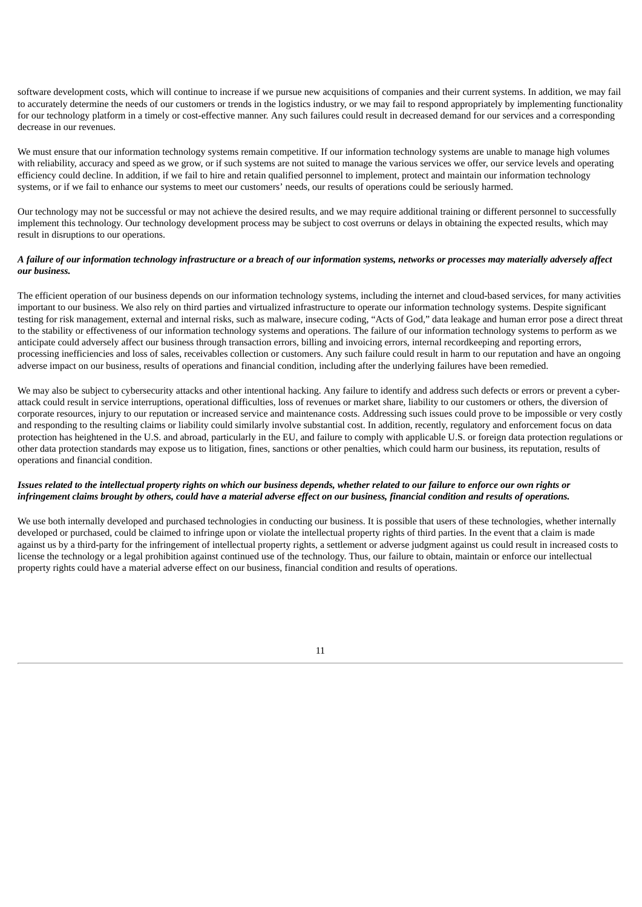software development costs, which will continue to increase if we pursue new acquisitions of companies and their current systems. In addition, we may fail to accurately determine the needs of our customers or trends in the logistics industry, or we may fail to respond appropriately by implementing functionality for our technology platform in a timely or cost-effective manner. Any such failures could result in decreased demand for our services and a corresponding decrease in our revenues.

We must ensure that our information technology systems remain competitive. If our information technology systems are unable to manage high volumes with reliability, accuracy and speed as we grow, or if such systems are not suited to manage the various services we offer, our service levels and operating efficiency could decline. In addition, if we fail to hire and retain qualified personnel to implement, protect and maintain our information technology systems, or if we fail to enhance our systems to meet our customers' needs, our results of operations could be seriously harmed.

Our technology may not be successful or may not achieve the desired results, and we may require additional training or different personnel to successfully implement this technology. Our technology development process may be subject to cost overruns or delays in obtaining the expected results, which may result in disruptions to our operations.

# A failure of our information technology infrastructure or a breach of our information systems, networks or processes may materially adversely affect *our business.*

The efficient operation of our business depends on our information technology systems, including the internet and cloud-based services, for many activities important to our business. We also rely on third parties and virtualized infrastructure to operate our information technology systems. Despite significant testing for risk management, external and internal risks, such as malware, insecure coding, "Acts of God," data leakage and human error pose a direct threat to the stability or effectiveness of our information technology systems and operations. The failure of our information technology systems to perform as we anticipate could adversely affect our business through transaction errors, billing and invoicing errors, internal recordkeeping and reporting errors, processing inefficiencies and loss of sales, receivables collection or customers. Any such failure could result in harm to our reputation and have an ongoing adverse impact on our business, results of operations and financial condition, including after the underlying failures have been remedied.

We may also be subject to cybersecurity attacks and other intentional hacking. Any failure to identify and address such defects or errors or prevent a cyberattack could result in service interruptions, operational difficulties, loss of revenues or market share, liability to our customers or others, the diversion of corporate resources, injury to our reputation or increased service and maintenance costs. Addressing such issues could prove to be impossible or very costly and responding to the resulting claims or liability could similarly involve substantial cost. In addition, recently, regulatory and enforcement focus on data protection has heightened in the U.S. and abroad, particularly in the EU, and failure to comply with applicable U.S. or foreign data protection regulations or other data protection standards may expose us to litigation, fines, sanctions or other penalties, which could harm our business, its reputation, results of operations and financial condition.

# Issues related to the intellectual property rights on which our business depends, whether related to our failure to enforce our own rights or infringement claims brought by others, could have a material adverse effect on our business, financial condition and results of operations.

We use both internally developed and purchased technologies in conducting our business. It is possible that users of these technologies, whether internally developed or purchased, could be claimed to infringe upon or violate the intellectual property rights of third parties. In the event that a claim is made against us by a third-party for the infringement of intellectual property rights, a settlement or adverse judgment against us could result in increased costs to license the technology or a legal prohibition against continued use of the technology. Thus, our failure to obtain, maintain or enforce our intellectual property rights could have a material adverse effect on our business, financial condition and results of operations.

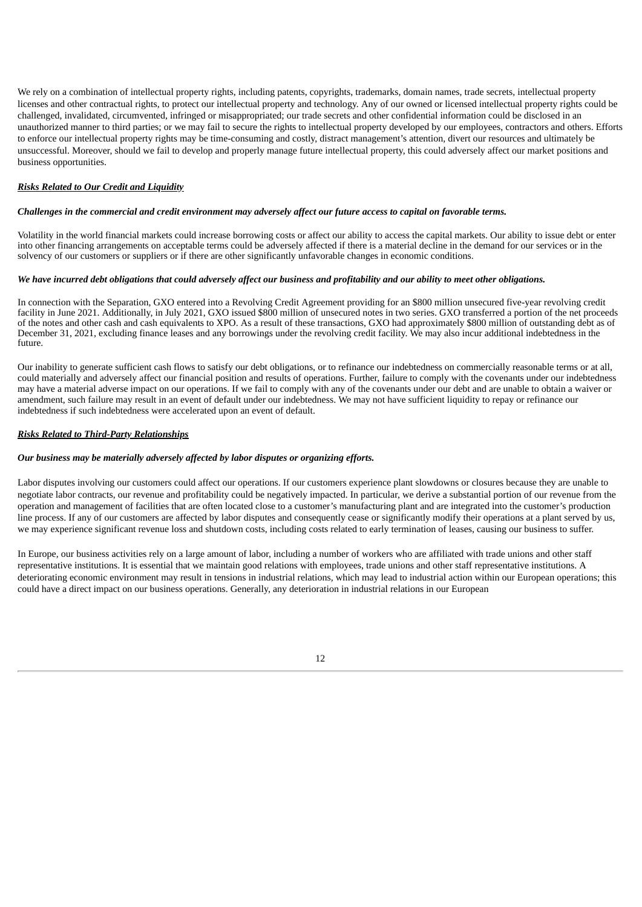We rely on a combination of intellectual property rights, including patents, copyrights, trademarks, domain names, trade secrets, intellectual property licenses and other contractual rights, to protect our intellectual property and technology. Any of our owned or licensed intellectual property rights could be challenged, invalidated, circumvented, infringed or misappropriated; our trade secrets and other confidential information could be disclosed in an unauthorized manner to third parties; or we may fail to secure the rights to intellectual property developed by our employees, contractors and others. Efforts to enforce our intellectual property rights may be time-consuming and costly, distract management's attention, divert our resources and ultimately be unsuccessful. Moreover, should we fail to develop and properly manage future intellectual property, this could adversely affect our market positions and business opportunities.

# *Risks Related to Our Credit and Liquidity*

#### Challenges in the commercial and credit environment may adversely affect our future access to capital on favorable terms.

Volatility in the world financial markets could increase borrowing costs or affect our ability to access the capital markets. Our ability to issue debt or enter into other financing arrangements on acceptable terms could be adversely affected if there is a material decline in the demand for our services or in the solvency of our customers or suppliers or if there are other significantly unfavorable changes in economic conditions.

#### We have incurred debt obligations that could adversely affect our business and profitability and our ability to meet other obligations.

In connection with the Separation, GXO entered into a Revolving Credit Agreement providing for an \$800 million unsecured five-year revolving credit facility in June 2021. Additionally, in July 2021, GXO issued \$800 million of unsecured notes in two series. GXO transferred a portion of the net proceeds of the notes and other cash and cash equivalents to XPO. As a result of these transactions, GXO had approximately \$800 million of outstanding debt as of December 31, 2021, excluding finance leases and any borrowings under the revolving credit facility. We may also incur additional indebtedness in the future.

Our inability to generate sufficient cash flows to satisfy our debt obligations, or to refinance our indebtedness on commercially reasonable terms or at all, could materially and adversely affect our financial position and results of operations. Further, failure to comply with the covenants under our indebtedness may have a material adverse impact on our operations. If we fail to comply with any of the covenants under our debt and are unable to obtain a waiver or amendment, such failure may result in an event of default under our indebtedness. We may not have sufficient liquidity to repay or refinance our indebtedness if such indebtedness were accelerated upon an event of default.

#### *Risks Related to Third-Party Relationships*

### *Our business may be materially adversely affected by labor disputes or organizing efforts.*

Labor disputes involving our customers could affect our operations. If our customers experience plant slowdowns or closures because they are unable to negotiate labor contracts, our revenue and profitability could be negatively impacted. In particular, we derive a substantial portion of our revenue from the operation and management of facilities that are often located close to a customer's manufacturing plant and are integrated into the customer's production line process. If any of our customers are affected by labor disputes and consequently cease or significantly modify their operations at a plant served by us, we may experience significant revenue loss and shutdown costs, including costs related to early termination of leases, causing our business to suffer.

In Europe, our business activities rely on a large amount of labor, including a number of workers who are affiliated with trade unions and other staff representative institutions. It is essential that we maintain good relations with employees, trade unions and other staff representative institutions. A deteriorating economic environment may result in tensions in industrial relations, which may lead to industrial action within our European operations; this could have a direct impact on our business operations. Generally, any deterioration in industrial relations in our European

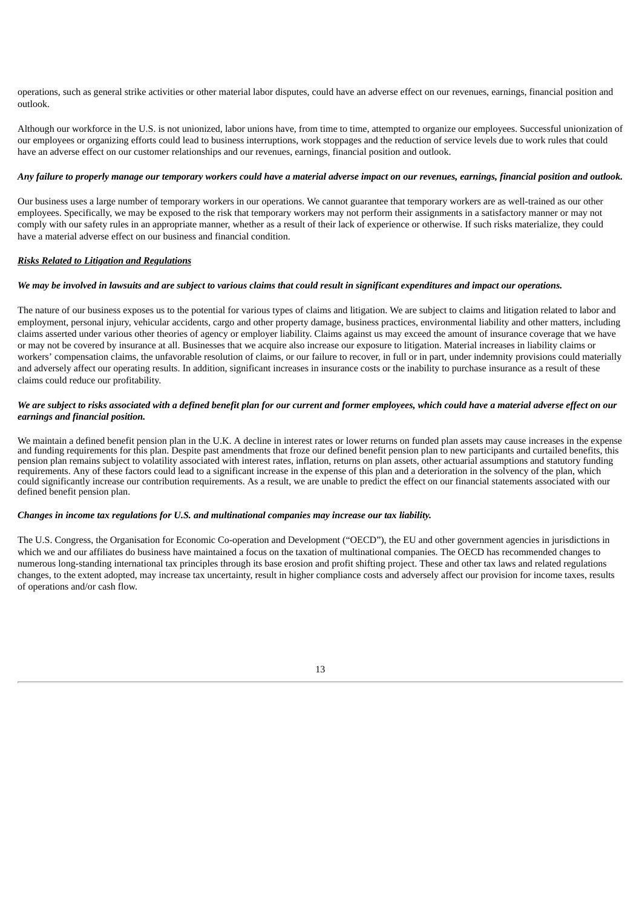operations, such as general strike activities or other material labor disputes, could have an adverse effect on our revenues, earnings, financial position and outlook.

Although our workforce in the U.S. is not unionized, labor unions have, from time to time, attempted to organize our employees. Successful unionization of our employees or organizing efforts could lead to business interruptions, work stoppages and the reduction of service levels due to work rules that could have an adverse effect on our customer relationships and our revenues, earnings, financial position and outlook.

### Any failure to properly manage our temporary workers could have a material adverse impact on our revenues, earnings, financial position and outlook.

Our business uses a large number of temporary workers in our operations. We cannot guarantee that temporary workers are as well-trained as our other employees. Specifically, we may be exposed to the risk that temporary workers may not perform their assignments in a satisfactory manner or may not comply with our safety rules in an appropriate manner, whether as a result of their lack of experience or otherwise. If such risks materialize, they could have a material adverse effect on our business and financial condition.

# *Risks Related to Litigation and Regulations*

### We may be involved in lawsuits and are subject to various claims that could result in significant expenditures and impact our operations.

The nature of our business exposes us to the potential for various types of claims and litigation. We are subject to claims and litigation related to labor and employment, personal injury, vehicular accidents, cargo and other property damage, business practices, environmental liability and other matters, including claims asserted under various other theories of agency or employer liability. Claims against us may exceed the amount of insurance coverage that we have or may not be covered by insurance at all. Businesses that we acquire also increase our exposure to litigation. Material increases in liability claims or workers' compensation claims, the unfavorable resolution of claims, or our failure to recover, in full or in part, under indemnity provisions could materially and adversely affect our operating results. In addition, significant increases in insurance costs or the inability to purchase insurance as a result of these claims could reduce our profitability.

# We are subject to risks associated with a defined benefit plan for our current and former employees, which could have a material adverse effect on our *earnings and financial position.*

We maintain a defined benefit pension plan in the U.K. A decline in interest rates or lower returns on funded plan assets may cause increases in the expense and funding requirements for this plan. Despite past amendments that froze our defined benefit pension plan to new participants and curtailed benefits, this pension plan remains subject to volatility associated with interest rates, inflation, returns on plan assets, other actuarial assumptions and statutory funding requirements. Any of these factors could lead to a significant increase in the expense of this plan and a deterioration in the solvency of the plan, which could significantly increase our contribution requirements. As a result, we are unable to predict the effect on our financial statements associated with our defined benefit pension plan.

#### *Changes in income tax regulations for U.S. and multinational companies may increase our tax liability.*

The U.S. Congress, the Organisation for Economic Co-operation and Development ("OECD"), the EU and other government agencies in jurisdictions in which we and our affiliates do business have maintained a focus on the taxation of multinational companies. The OECD has recommended changes to numerous long-standing international tax principles through its base erosion and profit shifting project. These and other tax laws and related regulations changes, to the extent adopted, may increase tax uncertainty, result in higher compliance costs and adversely affect our provision for income taxes, results of operations and/or cash flow.

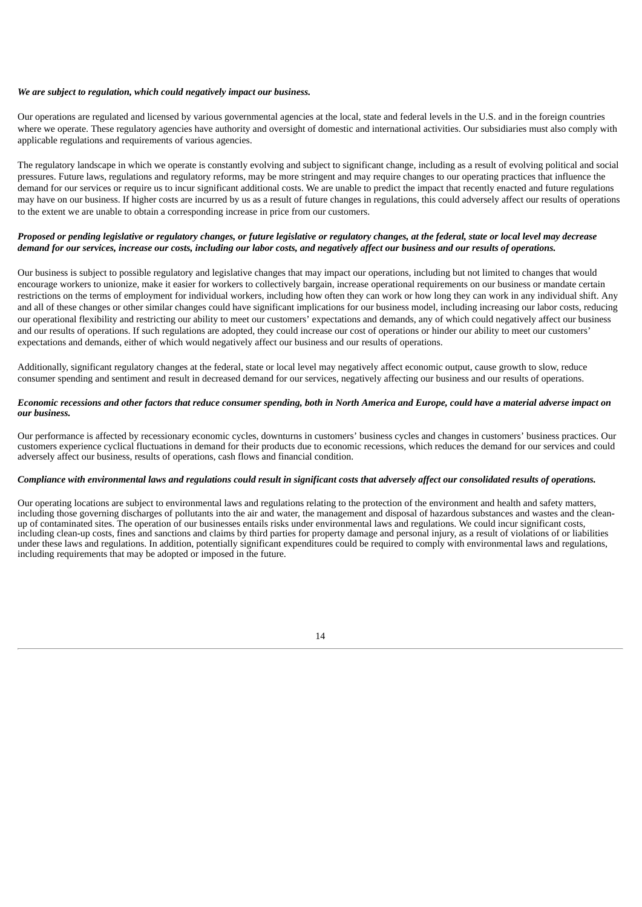### *We are subject to regulation, which could negatively impact our business.*

Our operations are regulated and licensed by various governmental agencies at the local, state and federal levels in the U.S. and in the foreign countries where we operate. These regulatory agencies have authority and oversight of domestic and international activities. Our subsidiaries must also comply with applicable regulations and requirements of various agencies.

The regulatory landscape in which we operate is constantly evolving and subject to significant change, including as a result of evolving political and social pressures. Future laws, regulations and regulatory reforms, may be more stringent and may require changes to our operating practices that influence the demand for our services or require us to incur significant additional costs. We are unable to predict the impact that recently enacted and future regulations may have on our business. If higher costs are incurred by us as a result of future changes in regulations, this could adversely affect our results of operations to the extent we are unable to obtain a corresponding increase in price from our customers.

### Proposed or pending legislative or regulatory changes, or future legislative or regulatory changes, at the federal, state or local level may decrease demand for our services, increase our costs, including our labor costs, and negatively affect our business and our results of operations.

Our business is subject to possible regulatory and legislative changes that may impact our operations, including but not limited to changes that would encourage workers to unionize, make it easier for workers to collectively bargain, increase operational requirements on our business or mandate certain restrictions on the terms of employment for individual workers, including how often they can work or how long they can work in any individual shift. Any and all of these changes or other similar changes could have significant implications for our business model, including increasing our labor costs, reducing our operational flexibility and restricting our ability to meet our customers' expectations and demands, any of which could negatively affect our business and our results of operations. If such regulations are adopted, they could increase our cost of operations or hinder our ability to meet our customers' expectations and demands, either of which would negatively affect our business and our results of operations.

Additionally, significant regulatory changes at the federal, state or local level may negatively affect economic output, cause growth to slow, reduce consumer spending and sentiment and result in decreased demand for our services, negatively affecting our business and our results of operations.

### Economic recessions and other factors that reduce consumer spending, both in North America and Europe, could have a material adverse impact on *our business.*

Our performance is affected by recessionary economic cycles, downturns in customers' business cycles and changes in customers' business practices. Our customers experience cyclical fluctuations in demand for their products due to economic recessions, which reduces the demand for our services and could adversely affect our business, results of operations, cash flows and financial condition.

### Compliance with environmental laws and regulations could result in significant costs that adversely affect our consolidated results of operations.

Our operating locations are subject to environmental laws and regulations relating to the protection of the environment and health and safety matters, including those governing discharges of pollutants into the air and water, the management and disposal of hazardous substances and wastes and the cleanup of contaminated sites. The operation of our businesses entails risks under environmental laws and regulations. We could incur significant costs, including clean-up costs, fines and sanctions and claims by third parties for property damage and personal injury, as a result of violations of or liabilities under these laws and regulations. In addition, potentially significant expenditures could be required to comply with environmental laws and regulations, including requirements that may be adopted or imposed in the future.

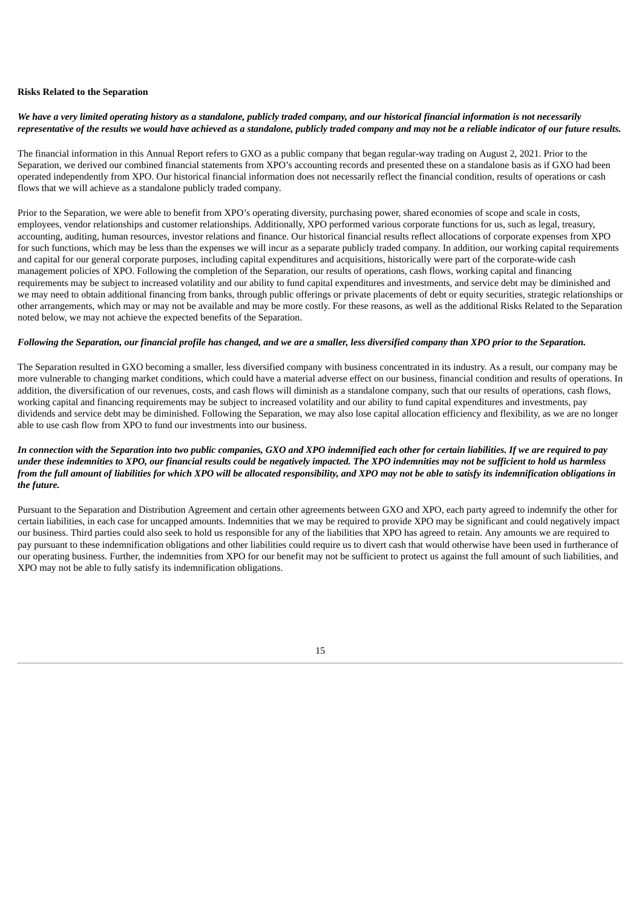# **Risks Related to the Separation**

#### We have a very limited operating history as a standalone, publicly traded company, and our historical financial information is not necessarily representative of the results we would have achieved as a standalone, publicly traded company and may not be a reliable indicator of our future results.

The financial information in this Annual Report refers to GXO as a public company that began regular-way trading on August 2, 2021. Prior to the Separation, we derived our combined financial statements from XPO's accounting records and presented these on a standalone basis as if GXO had been operated independently from XPO. Our historical financial information does not necessarily reflect the financial condition, results of operations or cash flows that we will achieve as a standalone publicly traded company.

Prior to the Separation, we were able to benefit from XPO's operating diversity, purchasing power, shared economies of scope and scale in costs, employees, vendor relationships and customer relationships. Additionally, XPO performed various corporate functions for us, such as legal, treasury, accounting, auditing, human resources, investor relations and finance. Our historical financial results reflect allocations of corporate expenses from XPO for such functions, which may be less than the expenses we will incur as a separate publicly traded company. In addition, our working capital requirements and capital for our general corporate purposes, including capital expenditures and acquisitions, historically were part of the corporate-wide cash management policies of XPO. Following the completion of the Separation, our results of operations, cash flows, working capital and financing requirements may be subject to increased volatility and our ability to fund capital expenditures and investments, and service debt may be diminished and we may need to obtain additional financing from banks, through public offerings or private placements of debt or equity securities, strategic relationships or other arrangements, which may or may not be available and may be more costly. For these reasons, as well as the additional Risks Related to the Separation noted below, we may not achieve the expected benefits of the Separation.

### Following the Separation, our financial profile has changed, and we are a smaller, less diversified company than XPO prior to the Separation.

The Separation resulted in GXO becoming a smaller, less diversified company with business concentrated in its industry. As a result, our company may be more vulnerable to changing market conditions, which could have a material adverse effect on our business, financial condition and results of operations. In addition, the diversification of our revenues, costs, and cash flows will diminish as a standalone company, such that our results of operations, cash flows, working capital and financing requirements may be subject to increased volatility and our ability to fund capital expenditures and investments, pay dividends and service debt may be diminished. Following the Separation, we may also lose capital allocation efficiency and flexibility, as we are no longer able to use cash flow from XPO to fund our investments into our business.

# In connection with the Separation into two public companies, GXO and XPO indemnified each other for certain liabilities. If we are required to pay under these indemnities to XPO, our financial results could be negatively impacted. The XPO indemnities may not be sufficient to hold us harmless from the full amount of liabilities for which XPO will be allocated responsibility, and XPO may not be able to satisfy its indemnification obligations in *the future.*

Pursuant to the Separation and Distribution Agreement and certain other agreements between GXO and XPO, each party agreed to indemnify the other for certain liabilities, in each case for uncapped amounts. Indemnities that we may be required to provide XPO may be significant and could negatively impact our business. Third parties could also seek to hold us responsible for any of the liabilities that XPO has agreed to retain. Any amounts we are required to pay pursuant to these indemnification obligations and other liabilities could require us to divert cash that would otherwise have been used in furtherance of our operating business. Further, the indemnities from XPO for our benefit may not be sufficient to protect us against the full amount of such liabilities, and XPO may not be able to fully satisfy its indemnification obligations.

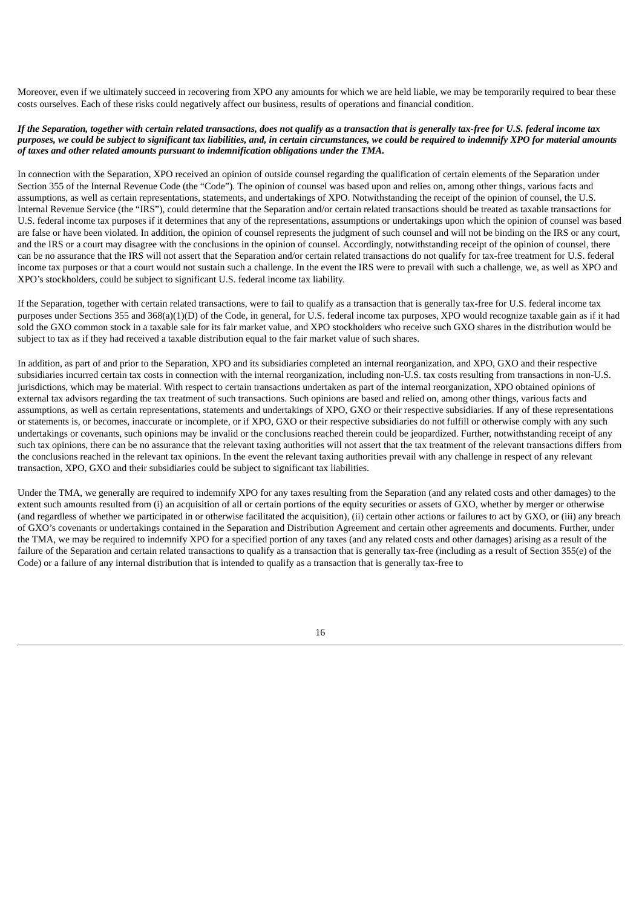Moreover, even if we ultimately succeed in recovering from XPO any amounts for which we are held liable, we may be temporarily required to bear these costs ourselves. Each of these risks could negatively affect our business, results of operations and financial condition.

### If the Separation, together with certain related transactions, does not qualify as a transaction that is generally tax-free for U.S. federal income tax purposes, we could be subject to significant tax liabilities, and, in certain circumstances, we could be required to indemnify XPO for material amounts *of taxes and other related amounts pursuant to indemnification obligations under the TMA.*

In connection with the Separation, XPO received an opinion of outside counsel regarding the qualification of certain elements of the Separation under Section 355 of the Internal Revenue Code (the "Code"). The opinion of counsel was based upon and relies on, among other things, various facts and assumptions, as well as certain representations, statements, and undertakings of XPO. Notwithstanding the receipt of the opinion of counsel, the U.S. Internal Revenue Service (the "IRS"), could determine that the Separation and/or certain related transactions should be treated as taxable transactions for U.S. federal income tax purposes if it determines that any of the representations, assumptions or undertakings upon which the opinion of counsel was based are false or have been violated. In addition, the opinion of counsel represents the judgment of such counsel and will not be binding on the IRS or any court, and the IRS or a court may disagree with the conclusions in the opinion of counsel. Accordingly, notwithstanding receipt of the opinion of counsel, there can be no assurance that the IRS will not assert that the Separation and/or certain related transactions do not qualify for tax-free treatment for U.S. federal income tax purposes or that a court would not sustain such a challenge. In the event the IRS were to prevail with such a challenge, we, as well as XPO and XPO's stockholders, could be subject to significant U.S. federal income tax liability.

If the Separation, together with certain related transactions, were to fail to qualify as a transaction that is generally tax-free for U.S. federal income tax purposes under Sections 355 and 368(a)(1)(D) of the Code, in general, for U.S. federal income tax purposes, XPO would recognize taxable gain as if it had sold the GXO common stock in a taxable sale for its fair market value, and XPO stockholders who receive such GXO shares in the distribution would be subject to tax as if they had received a taxable distribution equal to the fair market value of such shares.

In addition, as part of and prior to the Separation, XPO and its subsidiaries completed an internal reorganization, and XPO, GXO and their respective subsidiaries incurred certain tax costs in connection with the internal reorganization, including non-U.S. tax costs resulting from transactions in non-U.S. jurisdictions, which may be material. With respect to certain transactions undertaken as part of the internal reorganization, XPO obtained opinions of external tax advisors regarding the tax treatment of such transactions. Such opinions are based and relied on, among other things, various facts and assumptions, as well as certain representations, statements and undertakings of XPO, GXO or their respective subsidiaries. If any of these representations or statements is, or becomes, inaccurate or incomplete, or if XPO, GXO or their respective subsidiaries do not fulfill or otherwise comply with any such undertakings or covenants, such opinions may be invalid or the conclusions reached therein could be jeopardized. Further, notwithstanding receipt of any such tax opinions, there can be no assurance that the relevant taxing authorities will not assert that the tax treatment of the relevant transactions differs from the conclusions reached in the relevant tax opinions. In the event the relevant taxing authorities prevail with any challenge in respect of any relevant transaction, XPO, GXO and their subsidiaries could be subject to significant tax liabilities.

Under the TMA, we generally are required to indemnify XPO for any taxes resulting from the Separation (and any related costs and other damages) to the extent such amounts resulted from (i) an acquisition of all or certain portions of the equity securities or assets of GXO, whether by merger or otherwise (and regardless of whether we participated in or otherwise facilitated the acquisition), (ii) certain other actions or failures to act by GXO, or (iii) any breach of GXO's covenants or undertakings contained in the Separation and Distribution Agreement and certain other agreements and documents. Further, under the TMA, we may be required to indemnify XPO for a specified portion of any taxes (and any related costs and other damages) arising as a result of the failure of the Separation and certain related transactions to qualify as a transaction that is generally tax-free (including as a result of Section 355(e) of the Code) or a failure of any internal distribution that is intended to qualify as a transaction that is generally tax-free to

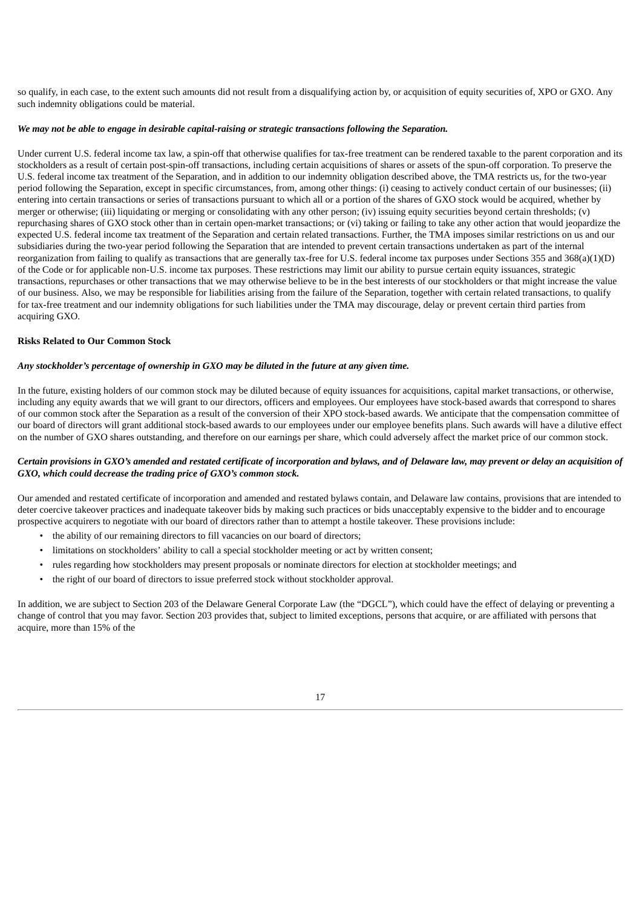so qualify, in each case, to the extent such amounts did not result from a disqualifying action by, or acquisition of equity securities of, XPO or GXO. Any such indemnity obligations could be material.

#### *We may not be able to engage in desirable capital-raising or strategic transactions following the Separation.*

Under current U.S. federal income tax law, a spin-off that otherwise qualifies for tax-free treatment can be rendered taxable to the parent corporation and its stockholders as a result of certain post-spin-off transactions, including certain acquisitions of shares or assets of the spun-off corporation. To preserve the U.S. federal income tax treatment of the Separation, and in addition to our indemnity obligation described above, the TMA restricts us, for the two-year period following the Separation, except in specific circumstances, from, among other things: (i) ceasing to actively conduct certain of our businesses; (ii) entering into certain transactions or series of transactions pursuant to which all or a portion of the shares of GXO stock would be acquired, whether by merger or otherwise; (iii) liquidating or merging or consolidating with any other person; (iv) issuing equity securities beyond certain thresholds; (v) repurchasing shares of GXO stock other than in certain open-market transactions; or (vi) taking or failing to take any other action that would jeopardize the expected U.S. federal income tax treatment of the Separation and certain related transactions. Further, the TMA imposes similar restrictions on us and our subsidiaries during the two-year period following the Separation that are intended to prevent certain transactions undertaken as part of the internal reorganization from failing to qualify as transactions that are generally tax-free for U.S. federal income tax purposes under Sections 355 and 368(a)(1)(D) of the Code or for applicable non-U.S. income tax purposes. These restrictions may limit our ability to pursue certain equity issuances, strategic transactions, repurchases or other transactions that we may otherwise believe to be in the best interests of our stockholders or that might increase the value of our business. Also, we may be responsible for liabilities arising from the failure of the Separation, together with certain related transactions, to qualify for tax-free treatment and our indemnity obligations for such liabilities under the TMA may discourage, delay or prevent certain third parties from acquiring GXO.

### **Risks Related to Our Common Stock**

# *Any stockholder's percentage of ownership in GXO may be diluted in the future at any given time.*

In the future, existing holders of our common stock may be diluted because of equity issuances for acquisitions, capital market transactions, or otherwise, including any equity awards that we will grant to our directors, officers and employees. Our employees have stock-based awards that correspond to shares of our common stock after the Separation as a result of the conversion of their XPO stock-based awards. We anticipate that the compensation committee of our board of directors will grant additional stock-based awards to our employees under our employee benefits plans. Such awards will have a dilutive effect on the number of GXO shares outstanding, and therefore on our earnings per share, which could adversely affect the market price of our common stock.

### Certain provisions in GXO's amended and restated certificate of incorporation and bylaws, and of Delaware law, may prevent or delay an acquisition of *GXO, which could decrease the trading price of GXO's common stock.*

Our amended and restated certificate of incorporation and amended and restated bylaws contain, and Delaware law contains, provisions that are intended to deter coercive takeover practices and inadequate takeover bids by making such practices or bids unacceptably expensive to the bidder and to encourage prospective acquirers to negotiate with our board of directors rather than to attempt a hostile takeover. These provisions include:

- the ability of our remaining directors to fill vacancies on our board of directors;
- limitations on stockholders' ability to call a special stockholder meeting or act by written consent;
- rules regarding how stockholders may present proposals or nominate directors for election at stockholder meetings; and
- the right of our board of directors to issue preferred stock without stockholder approval.

In addition, we are subject to Section 203 of the Delaware General Corporate Law (the "DGCL"), which could have the effect of delaying or preventing a change of control that you may favor. Section 203 provides that, subject to limited exceptions, persons that acquire, or are affiliated with persons that acquire, more than 15% of the

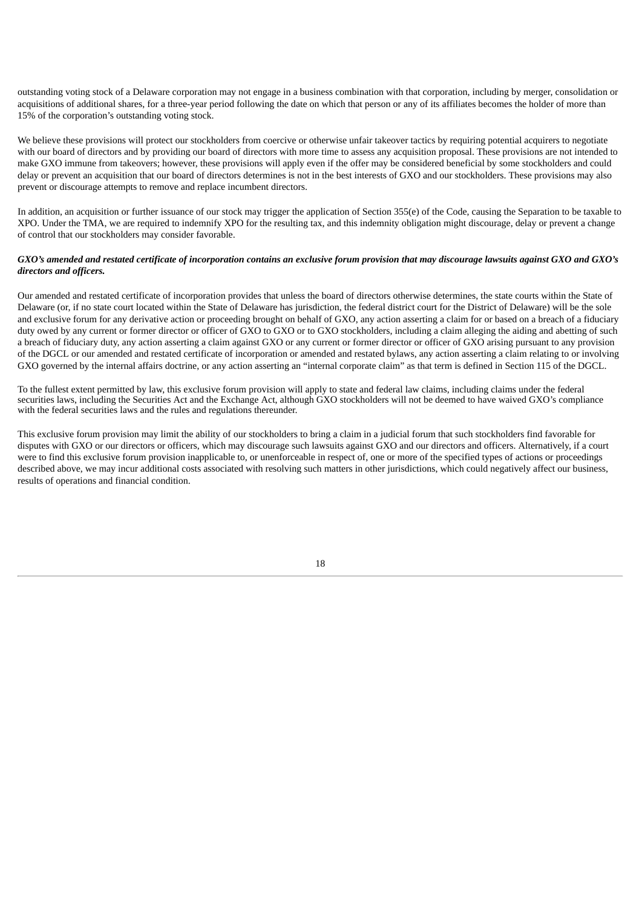outstanding voting stock of a Delaware corporation may not engage in a business combination with that corporation, including by merger, consolidation or acquisitions of additional shares, for a three-year period following the date on which that person or any of its affiliates becomes the holder of more than 15% of the corporation's outstanding voting stock.

We believe these provisions will protect our stockholders from coercive or otherwise unfair takeover tactics by requiring potential acquirers to negotiate with our board of directors and by providing our board of directors with more time to assess any acquisition proposal. These provisions are not intended to make GXO immune from takeovers; however, these provisions will apply even if the offer may be considered beneficial by some stockholders and could delay or prevent an acquisition that our board of directors determines is not in the best interests of GXO and our stockholders. These provisions may also prevent or discourage attempts to remove and replace incumbent directors.

In addition, an acquisition or further issuance of our stock may trigger the application of Section 355(e) of the Code, causing the Separation to be taxable to XPO. Under the TMA, we are required to indemnify XPO for the resulting tax, and this indemnity obligation might discourage, delay or prevent a change of control that our stockholders may consider favorable.

### GXO's amended and restated certificate of incorporation contains an exclusive forum provision that may discourage lawsuits against GXO and GXO's *directors and officers.*

Our amended and restated certificate of incorporation provides that unless the board of directors otherwise determines, the state courts within the State of Delaware (or, if no state court located within the State of Delaware has jurisdiction, the federal district court for the District of Delaware) will be the sole and exclusive forum for any derivative action or proceeding brought on behalf of GXO, any action asserting a claim for or based on a breach of a fiduciary duty owed by any current or former director or officer of GXO to GXO or to GXO stockholders, including a claim alleging the aiding and abetting of such a breach of fiduciary duty, any action asserting a claim against GXO or any current or former director or officer of GXO arising pursuant to any provision of the DGCL or our amended and restated certificate of incorporation or amended and restated bylaws, any action asserting a claim relating to or involving GXO governed by the internal affairs doctrine, or any action asserting an "internal corporate claim" as that term is defined in Section 115 of the DGCL.

To the fullest extent permitted by law, this exclusive forum provision will apply to state and federal law claims, including claims under the federal securities laws, including the Securities Act and the Exchange Act, although GXO stockholders will not be deemed to have waived GXO's compliance with the federal securities laws and the rules and regulations thereunder.

This exclusive forum provision may limit the ability of our stockholders to bring a claim in a judicial forum that such stockholders find favorable for disputes with GXO or our directors or officers, which may discourage such lawsuits against GXO and our directors and officers. Alternatively, if a court were to find this exclusive forum provision inapplicable to, or unenforceable in respect of, one or more of the specified types of actions or proceedings described above, we may incur additional costs associated with resolving such matters in other jurisdictions, which could negatively affect our business, results of operations and financial condition.

18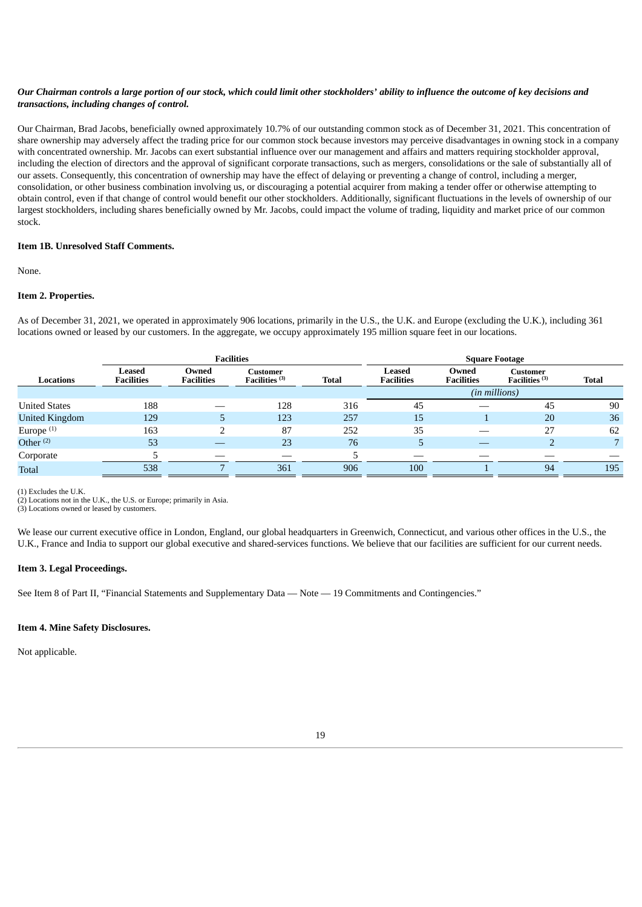# Our Chairman controls a large portion of our stock, which could limit other stockholders' ability to influence the outcome of key decisions and *transactions, including changes of control.*

Our Chairman, Brad Jacobs, beneficially owned approximately 10.7% of our outstanding common stock as of December 31, 2021. This concentration of share ownership may adversely affect the trading price for our common stock because investors may perceive disadvantages in owning stock in a company with concentrated ownership. Mr. Jacobs can exert substantial influence over our management and affairs and matters requiring stockholder approval, including the election of directors and the approval of significant corporate transactions, such as mergers, consolidations or the sale of substantially all of our assets. Consequently, this concentration of ownership may have the effect of delaying or preventing a change of control, including a merger, consolidation, or other business combination involving us, or discouraging a potential acquirer from making a tender offer or otherwise attempting to obtain control, even if that change of control would benefit our other stockholders. Additionally, significant fluctuations in the levels of ownership of our largest stockholders, including shares beneficially owned by Mr. Jacobs, could impact the volume of trading, liquidity and market price of our common stock.

### <span id="page-22-0"></span>**Item 1B. Unresolved Staff Comments.**

None.

### <span id="page-22-1"></span>**Item 2. Properties.**

As of December 31, 2021, we operated in approximately 906 locations, primarily in the U.S., the U.K. and Europe (excluding the U.K.), including 361 locations owned or leased by our customers. In the aggregate, we occupy approximately 195 million square feet in our locations.

|                       |                             |                            | <b>Facilities</b>                            |              |                             |                            | <b>Square Footage</b>                 |              |
|-----------------------|-----------------------------|----------------------------|----------------------------------------------|--------------|-----------------------------|----------------------------|---------------------------------------|--------------|
| <b>Locations</b>      | Leased<br><b>Facilities</b> | Owned<br><b>Facilities</b> | <b>Customer</b><br>Facilities <sup>(3)</sup> | <b>Total</b> | Leased<br><b>Facilities</b> | Owned<br><b>Facilities</b> | Customer<br>Facilities <sup>(3)</sup> | <b>Total</b> |
|                       |                             |                            |                                              |              |                             |                            | (in millions)                         |              |
| <b>United States</b>  | 188                         |                            | 128                                          | 316          | 45                          |                            | 45                                    | 90           |
| <b>United Kingdom</b> | 129                         | .5                         | 123                                          | 257          | 15                          |                            | 20                                    | 36           |
| Europe <sup>(1)</sup> | 163                         | n                          | 87                                           | 252          | 35                          |                            | 27                                    | 62           |
| Other $(2)$           | 53                          |                            | 23                                           | 76           | 5                           |                            | $\overline{2}$                        | 7            |
| Corporate             |                             |                            |                                              |              |                             |                            |                                       |              |
| <b>Total</b>          | 538                         |                            | 361                                          | 906          | 100                         |                            | 94                                    | 195          |

(1) Excludes the U.K.

(2) Locations not in the U.K., the U.S. or Europe; primarily in Asia.

(3) Locations owned or leased by customers.

We lease our current executive office in London, England, our global headquarters in Greenwich, Connecticut, and various other offices in the U.S., the U.K., France and India to support our global executive and shared-services functions. We believe that our facilities are sufficient for our current needs.

#### <span id="page-22-2"></span>**Item 3. Legal Proceedings.**

See Item 8 of Part II, "Financial Statements and Supplementary Data — Note — 19 Commitments and Contingencies."

#### <span id="page-22-3"></span>**Item 4. Mine Safety Disclosures.**

<span id="page-22-4"></span>Not applicable.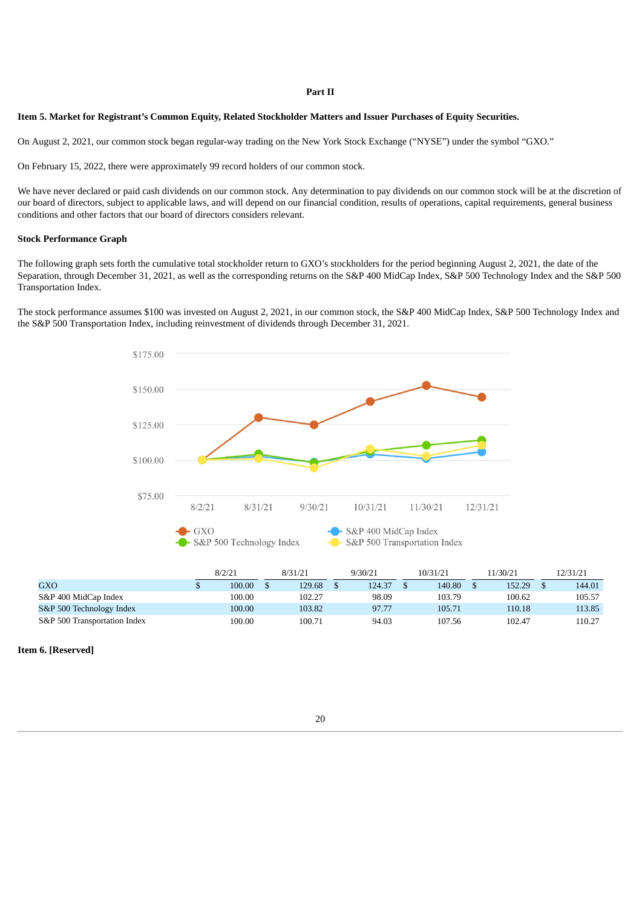### **Part II**

#### <span id="page-23-0"></span>Item 5. Market for Registrant's Common Equity, Related Stockholder Matters and Issuer Purchases of Equity Securities.

On August 2, 2021, our common stock began regular-way trading on the New York Stock Exchange ("NYSE") under the symbol "GXO."

On February 15, 2022, there were approximately 99 record holders of our common stock.

We have never declared or paid cash dividends on our common stock. Any determination to pay dividends on our common stock will be at the discretion of our board of directors, subject to applicable laws, and will depend on our financial condition, results of operations, capital requirements, general business conditions and other factors that our board of directors considers relevant.

#### **Stock Performance Graph**

The following graph sets forth the cumulative total stockholder return to GXO's stockholders for the period beginning August 2, 2021, the date of the Separation, through December 31, 2021, as well as the corresponding returns on the S&P 400 MidCap Index, S&P 500 Technology Index and the S&P 500 Transportation Index.

The stock performance assumes \$100 was invested on August 2, 2021, in our common stock, the S&P 400 MidCap Index, S&P 500 Technology Index and the S&P 500 Transportation Index, including reinvestment of dividends through December 31, 2021.



|                              | 8/2/21 | 8/31/21 | 9/30/21 | 10/31/21 | 11/30/21 | 12/31/21 |
|------------------------------|--------|---------|---------|----------|----------|----------|
| GXO                          | 100.00 | 129.68  | 124.37  | 140.80   | 152.29   | 144.01   |
| S&P 400 MidCap Index         | 100.00 | 102.27  | 98.09   | 103.79   | 100.62   | 105.57   |
| S&P 500 Technology Index     | 100.00 | 103.82  | 97.77   | 105.71   | 110.18   | 113.85   |
| S&P 500 Transportation Index | 100.00 | 100.71  | 94.03   | 107.56   | 102.47   | 110.27   |

<span id="page-23-2"></span><span id="page-23-1"></span>**Item 6. [Reserved]**

20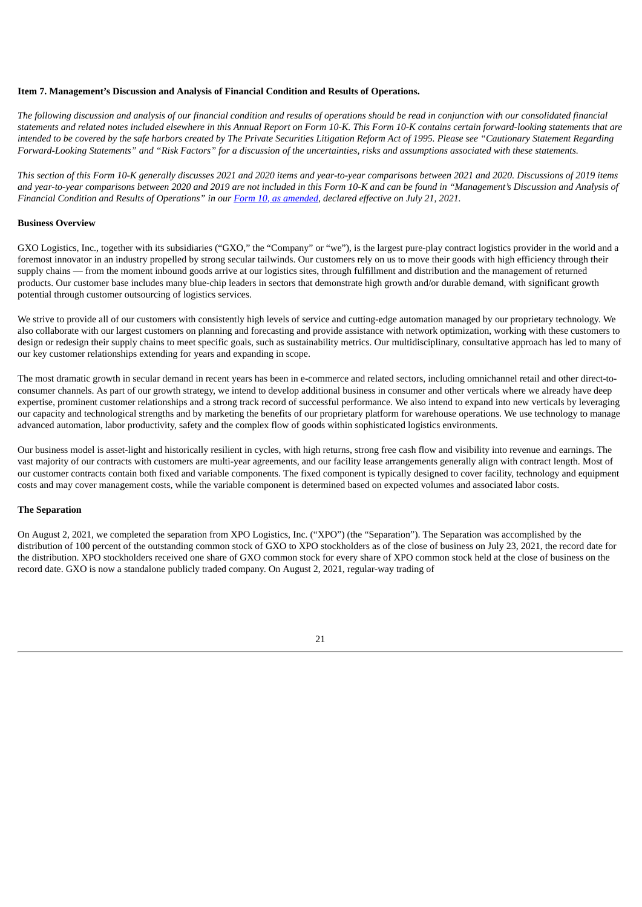# **Item 7. Management's Discussion and Analysis of Financial Condition and Results of Operations.**

The following discussion and anglysis of our financial condition and results of operations should be read in conjunction with our consolidated financial statements and related notes included elsewhere in this Annual Report on Form 10-K. This Form 10-K contains certain forward-looking statements that are intended to be covered by the safe harbors created by The Private Securities Litigation Reform Act of 1995. Please see "Cautionary Statement Regarding Forward-Looking Statements" and "Risk Factors" for a discussion of the uncertainties, risks and assumptions associated with these statements.

This section of this Form 10-K generally discusses 2021 and 2020 items and year-to-year comparisons between 2021 and 2020. Discussions of 2019 items and vear-to-vear comparisons between 2020 and 2019 are not included in this Form 10-K and can be found in "Management's Discussion and Analysis of Financial Condition and Results of Operations" in our [Form](https://www.sec.gov/Archives/edgar/data/0001852244/000162828021011851/exhibit991-form10.htm) 10, [as](https://www.sec.gov/Archives/edgar/data/0001852244/000162828021011851/exhibit991-form10.htm) [amended](https://www.sec.gov/Archives/edgar/data/0001852244/000162828021011851/exhibit991-form10.htm), declared effective on July 21, 2021.

### **Business Overview**

GXO Logistics, Inc., together with its subsidiaries ("GXO," the "Company" or "we"), is the largest pure-play contract logistics provider in the world and a foremost innovator in an industry propelled by strong secular tailwinds. Our customers rely on us to move their goods with high efficiency through their supply chains — from the moment inbound goods arrive at our logistics sites, through fulfillment and distribution and the management of returned products. Our customer base includes many blue-chip leaders in sectors that demonstrate high growth and/or durable demand, with significant growth potential through customer outsourcing of logistics services.

We strive to provide all of our customers with consistently high levels of service and cutting-edge automation managed by our proprietary technology. We also collaborate with our largest customers on planning and forecasting and provide assistance with network optimization, working with these customers to design or redesign their supply chains to meet specific goals, such as sustainability metrics. Our multidisciplinary, consultative approach has led to many of our key customer relationships extending for years and expanding in scope.

The most dramatic growth in secular demand in recent years has been in e-commerce and related sectors, including omnichannel retail and other direct-toconsumer channels. As part of our growth strategy, we intend to develop additional business in consumer and other verticals where we already have deep expertise, prominent customer relationships and a strong track record of successful performance. We also intend to expand into new verticals by leveraging our capacity and technological strengths and by marketing the benefits of our proprietary platform for warehouse operations. We use technology to manage advanced automation, labor productivity, safety and the complex flow of goods within sophisticated logistics environments.

Our business model is asset-light and historically resilient in cycles, with high returns, strong free cash flow and visibility into revenue and earnings. The vast majority of our contracts with customers are multi-year agreements, and our facility lease arrangements generally align with contract length. Most of our customer contracts contain both fixed and variable components. The fixed component is typically designed to cover facility, technology and equipment costs and may cover management costs, while the variable component is determined based on expected volumes and associated labor costs.

#### **The Separation**

On August 2, 2021, we completed the separation from XPO Logistics, Inc. ("XPO") (the "Separation"). The Separation was accomplished by the distribution of 100 percent of the outstanding common stock of GXO to XPO stockholders as of the close of business on July 23, 2021, the record date for the distribution. XPO stockholders received one share of GXO common stock for every share of XPO common stock held at the close of business on the record date. GXO is now a standalone publicly traded company. On August 2, 2021, regular-way trading of

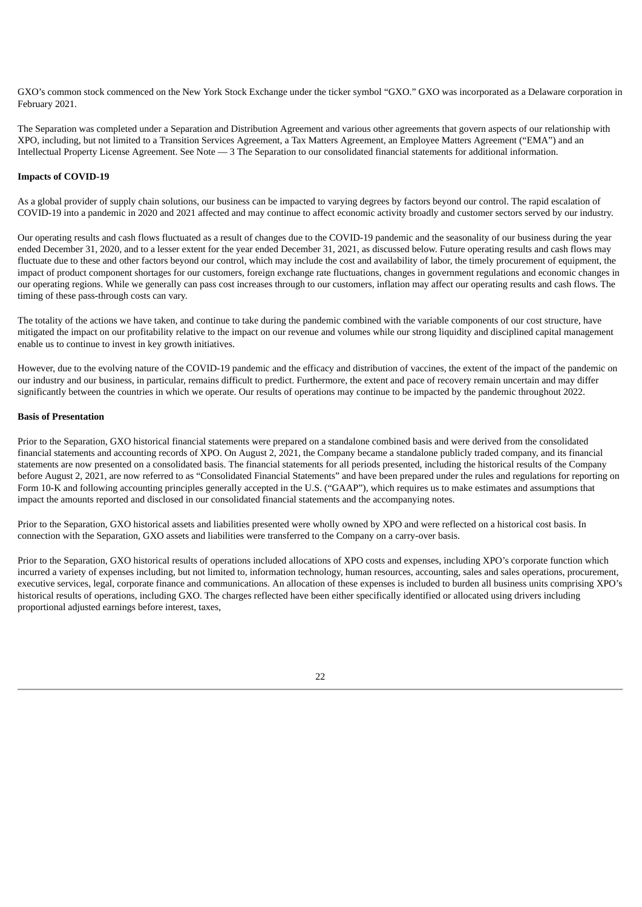GXO's common stock commenced on the New York Stock Exchange under the ticker symbol "GXO." GXO was incorporated as a Delaware corporation in February 2021.

The Separation was completed under a Separation and Distribution Agreement and various other agreements that govern aspects of our relationship with XPO, including, but not limited to a Transition Services Agreement, a Tax Matters Agreement, an Employee Matters Agreement ("EMA") and an Intellectual Property License Agreement. See Note — 3 The Separation to our consolidated financial statements for additional information.

# **Impacts of COVID-19**

As a global provider of supply chain solutions, our business can be impacted to varying degrees by factors beyond our control. The rapid escalation of COVID-19 into a pandemic in 2020 and 2021 affected and may continue to affect economic activity broadly and customer sectors served by our industry.

Our operating results and cash flows fluctuated as a result of changes due to the COVID-19 pandemic and the seasonality of our business during the year ended December 31, 2020, and to a lesser extent for the year ended December 31, 2021, as discussed below. Future operating results and cash flows may fluctuate due to these and other factors beyond our control, which may include the cost and availability of labor, the timely procurement of equipment, the impact of product component shortages for our customers, foreign exchange rate fluctuations, changes in government regulations and economic changes in our operating regions. While we generally can pass cost increases through to our customers, inflation may affect our operating results and cash flows. The timing of these pass-through costs can vary.

The totality of the actions we have taken, and continue to take during the pandemic combined with the variable components of our cost structure, have mitigated the impact on our profitability relative to the impact on our revenue and volumes while our strong liquidity and disciplined capital management enable us to continue to invest in key growth initiatives.

However, due to the evolving nature of the COVID-19 pandemic and the efficacy and distribution of vaccines, the extent of the impact of the pandemic on our industry and our business, in particular, remains difficult to predict. Furthermore, the extent and pace of recovery remain uncertain and may differ significantly between the countries in which we operate. Our results of operations may continue to be impacted by the pandemic throughout 2022.

### **Basis of Presentation**

Prior to the Separation, GXO historical financial statements were prepared on a standalone combined basis and were derived from the consolidated financial statements and accounting records of XPO. On August 2, 2021, the Company became a standalone publicly traded company, and its financial statements are now presented on a consolidated basis. The financial statements for all periods presented, including the historical results of the Company before August 2, 2021, are now referred to as "Consolidated Financial Statements" and have been prepared under the rules and regulations for reporting on Form 10-K and following accounting principles generally accepted in the U.S. ("GAAP"), which requires us to make estimates and assumptions that impact the amounts reported and disclosed in our consolidated financial statements and the accompanying notes.

Prior to the Separation, GXO historical assets and liabilities presented were wholly owned by XPO and were reflected on a historical cost basis. In connection with the Separation, GXO assets and liabilities were transferred to the Company on a carry-over basis.

Prior to the Separation, GXO historical results of operations included allocations of XPO costs and expenses, including XPO's corporate function which incurred a variety of expenses including, but not limited to, information technology, human resources, accounting, sales and sales operations, procurement, executive services, legal, corporate finance and communications. An allocation of these expenses is included to burden all business units comprising XPO's historical results of operations, including GXO. The charges reflected have been either specifically identified or allocated using drivers including proportional adjusted earnings before interest, taxes,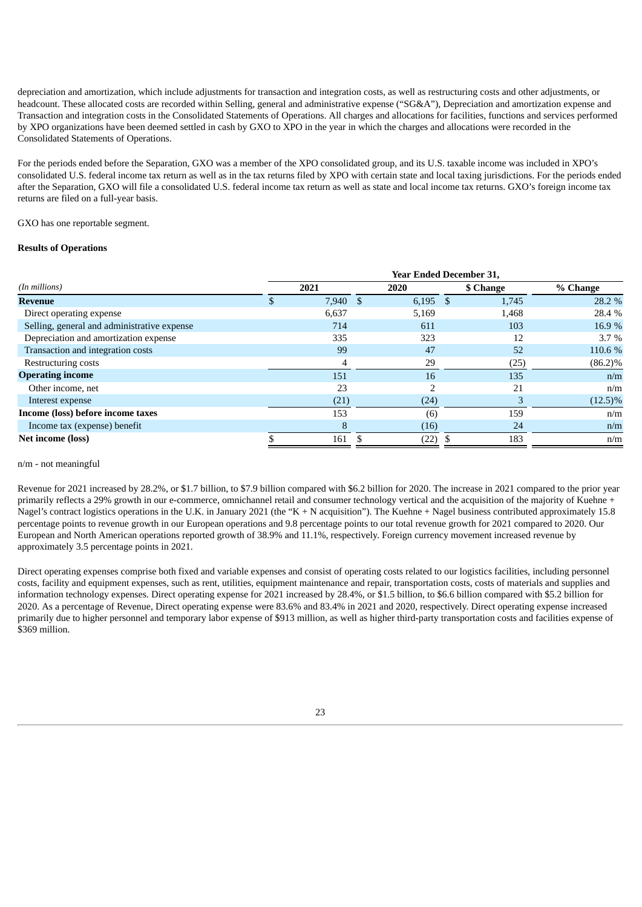depreciation and amortization, which include adjustments for transaction and integration costs, as well as restructuring costs and other adjustments, or headcount. These allocated costs are recorded within Selling, general and administrative expense ("SG&A"), Depreciation and amortization expense and Transaction and integration costs in the Consolidated Statements of Operations. All charges and allocations for facilities, functions and services performed by XPO organizations have been deemed settled in cash by GXO to XPO in the year in which the charges and allocations were recorded in the Consolidated Statements of Operations.

For the periods ended before the Separation, GXO was a member of the XPO consolidated group, and its U.S. taxable income was included in XPO's consolidated U.S. federal income tax return as well as in the tax returns filed by XPO with certain state and local taxing jurisdictions. For the periods ended after the Separation, GXO will file a consolidated U.S. federal income tax return as well as state and local income tax returns. GXO's foreign income tax returns are filed on a full-year basis.

GXO has one reportable segment.

# **Results of Operations**

|                                             | <b>Year Ended December 31,</b> |          |  |       |  |           |            |
|---------------------------------------------|--------------------------------|----------|--|-------|--|-----------|------------|
| (In millions)                               |                                | 2021     |  | 2020  |  | \$ Change | % Change   |
| <b>Revenue</b>                              |                                | 7,940 \$ |  | 6,195 |  | 1,745     | 28.2 %     |
| Direct operating expense                    |                                | 6,637    |  | 5,169 |  | 1,468     | 28.4 %     |
| Selling, general and administrative expense |                                | 714      |  | 611   |  | 103       | 16.9%      |
| Depreciation and amortization expense       |                                | 335      |  | 323   |  | 12        | $3.7\%$    |
| Transaction and integration costs           |                                | 99       |  | 47    |  | 52        | 110.6 %    |
| Restructuring costs                         |                                | 4        |  | 29    |  | (25)      | $(86.2)\%$ |
| <b>Operating income</b>                     |                                | 151      |  | 16    |  | 135       | n/m        |
| Other income, net                           |                                | 23       |  |       |  | 21        | n/m        |
| Interest expense                            |                                | (21)     |  | (24)  |  | 3         | $(12.5)\%$ |
| Income (loss) before income taxes           |                                | 153      |  | (6)   |  | 159       | n/m        |
| Income tax (expense) benefit                |                                | 8        |  | (16)  |  | 24        | n/m        |
| Net income (loss)                           |                                | 161      |  | (22)  |  | 183       | n/m        |

### n/m - not meaningful

Revenue for 2021 increased by 28.2%, or \$1.7 billion, to \$7.9 billion compared with \$6.2 billion for 2020. The increase in 2021 compared to the prior year primarily reflects a 29% growth in our e-commerce, omnichannel retail and consumer technology vertical and the acquisition of the majority of Kuehne + Nagel's contract logistics operations in the U.K. in January 2021 (the "K + N acquisition"). The Kuehne + Nagel business contributed approximately 15.8 percentage points to revenue growth in our European operations and 9.8 percentage points to our total revenue growth for 2021 compared to 2020. Our European and North American operations reported growth of 38.9% and 11.1%, respectively. Foreign currency movement increased revenue by approximately 3.5 percentage points in 2021.

Direct operating expenses comprise both fixed and variable expenses and consist of operating costs related to our logistics facilities, including personnel costs, facility and equipment expenses, such as rent, utilities, equipment maintenance and repair, transportation costs, costs of materials and supplies and information technology expenses. Direct operating expense for 2021 increased by 28.4%, or \$1.5 billion, to \$6.6 billion compared with \$5.2 billion for 2020. As a percentage of Revenue, Direct operating expense were 83.6% and 83.4% in 2021 and 2020, respectively. Direct operating expense increased primarily due to higher personnel and temporary labor expense of \$913 million, as well as higher third-party transportation costs and facilities expense of \$369 million.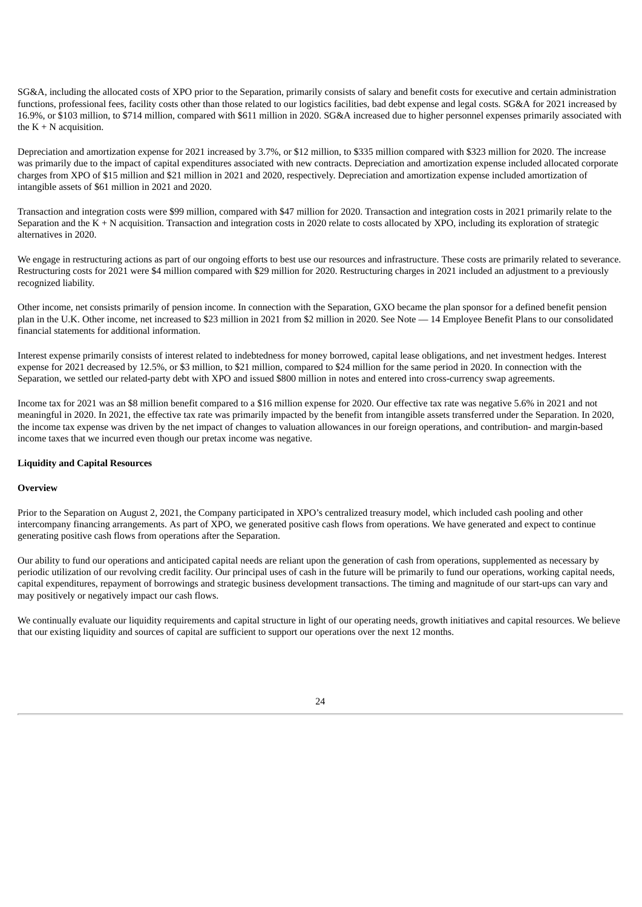SG&A, including the allocated costs of XPO prior to the Separation, primarily consists of salary and benefit costs for executive and certain administration functions, professional fees, facility costs other than those related to our logistics facilities, bad debt expense and legal costs. SG&A for 2021 increased by 16.9%, or \$103 million, to \$714 million, compared with \$611 million in 2020. SG&A increased due to higher personnel expenses primarily associated with the  $K + N$  acquisition.

Depreciation and amortization expense for 2021 increased by 3.7%, or \$12 million, to \$335 million compared with \$323 million for 2020. The increase was primarily due to the impact of capital expenditures associated with new contracts. Depreciation and amortization expense included allocated corporate charges from XPO of \$15 million and \$21 million in 2021 and 2020, respectively. Depreciation and amortization expense included amortization of intangible assets of \$61 million in 2021 and 2020.

Transaction and integration costs were \$99 million, compared with \$47 million for 2020. Transaction and integration costs in 2021 primarily relate to the Separation and the K + N acquisition. Transaction and integration costs in 2020 relate to costs allocated by XPO, including its exploration of strategic alternatives in 2020.

We engage in restructuring actions as part of our ongoing efforts to best use our resources and infrastructure. These costs are primarily related to severance. Restructuring costs for 2021 were \$4 million compared with \$29 million for 2020. Restructuring charges in 2021 included an adjustment to a previously recognized liability.

Other income, net consists primarily of pension income. In connection with the Separation, GXO became the plan sponsor for a defined benefit pension plan in the U.K. Other income, net increased to \$23 million in 2021 from \$2 million in 2020. See Note — 14 Employee Benefit Plans to our consolidated financial statements for additional information.

Interest expense primarily consists of interest related to indebtedness for money borrowed, capital lease obligations, and net investment hedges. Interest expense for 2021 decreased by 12.5%, or \$3 million, to \$21 million, compared to \$24 million for the same period in 2020. In connection with the Separation, we settled our related-party debt with XPO and issued \$800 million in notes and entered into cross-currency swap agreements.

Income tax for 2021 was an \$8 million benefit compared to a \$16 million expense for 2020. Our effective tax rate was negative 5.6% in 2021 and not meaningful in 2020. In 2021, the effective tax rate was primarily impacted by the benefit from intangible assets transferred under the Separation. In 2020, the income tax expense was driven by the net impact of changes to valuation allowances in our foreign operations, and contribution- and margin-based income taxes that we incurred even though our pretax income was negative.

# **Liquidity and Capital Resources**

### **Overview**

Prior to the Separation on August 2, 2021, the Company participated in XPO's centralized treasury model, which included cash pooling and other intercompany financing arrangements. As part of XPO, we generated positive cash flows from operations. We have generated and expect to continue generating positive cash flows from operations after the Separation.

Our ability to fund our operations and anticipated capital needs are reliant upon the generation of cash from operations, supplemented as necessary by periodic utilization of our revolving credit facility. Our principal uses of cash in the future will be primarily to fund our operations, working capital needs, capital expenditures, repayment of borrowings and strategic business development transactions. The timing and magnitude of our start-ups can vary and may positively or negatively impact our cash flows.

We continually evaluate our liquidity requirements and capital structure in light of our operating needs, growth initiatives and capital resources. We believe that our existing liquidity and sources of capital are sufficient to support our operations over the next 12 months.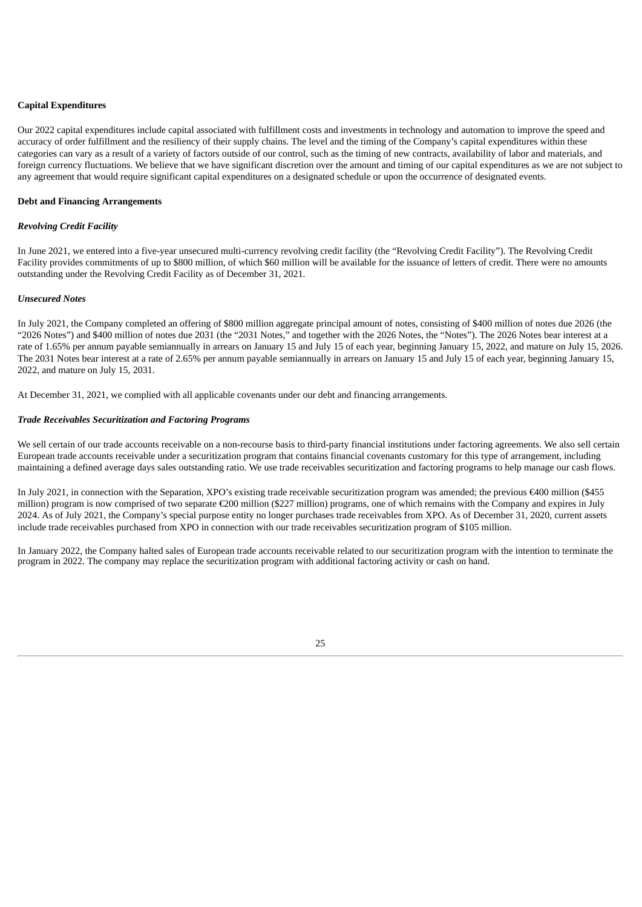# **Capital Expenditures**

Our 2022 capital expenditures include capital associated with fulfillment costs and investments in technology and automation to improve the speed and accuracy of order fulfillment and the resiliency of their supply chains. The level and the timing of the Company's capital expenditures within these categories can vary as a result of a variety of factors outside of our control, such as the timing of new contracts, availability of labor and materials, and foreign currency fluctuations. We believe that we have significant discretion over the amount and timing of our capital expenditures as we are not subject to any agreement that would require significant capital expenditures on a designated schedule or upon the occurrence of designated events.

#### **Debt and Financing Arrangements**

#### *Revolving Credit Facility*

In June 2021, we entered into a five-year unsecured multi-currency revolving credit facility (the "Revolving Credit Facility"). The Revolving Credit Facility provides commitments of up to \$800 million, of which \$60 million will be available for the issuance of letters of credit. There were no amounts outstanding under the Revolving Credit Facility as of December 31, 2021.

### *Unsecured Notes*

In July 2021, the Company completed an offering of \$800 million aggregate principal amount of notes, consisting of \$400 million of notes due 2026 (the "2026 Notes") and \$400 million of notes due 2031 (the "2031 Notes," and together with the 2026 Notes, the "Notes"). The 2026 Notes bear interest at a rate of 1.65% per annum payable semiannually in arrears on January 15 and July 15 of each year, beginning January 15, 2022, and mature on July 15, 2026. The 2031 Notes bear interest at a rate of 2.65% per annum payable semiannually in arrears on January 15 and July 15 of each year, beginning January 15, 2022, and mature on July 15, 2031.

At December 31, 2021, we complied with all applicable covenants under our debt and financing arrangements.

#### *Trade Receivables Securitization and Factoring Programs*

We sell certain of our trade accounts receivable on a non-recourse basis to third-party financial institutions under factoring agreements. We also sell certain European trade accounts receivable under a securitization program that contains financial covenants customary for this type of arrangement, including maintaining a defined average days sales outstanding ratio. We use trade receivables securitization and factoring programs to help manage our cash flows.

In July 2021, in connection with the Separation, XPO's existing trade receivable securitization program was amended; the previous €400 million (\$455 million) program is now comprised of two separate €200 million (\$227 million) programs, one of which remains with the Company and expires in July 2024. As of July 2021, the Company's special purpose entity no longer purchases trade receivables from XPO. As of December 31, 2020, current assets include trade receivables purchased from XPO in connection with our trade receivables securitization program of \$105 million.

In January 2022, the Company halted sales of European trade accounts receivable related to our securitization program with the intention to terminate the program in 2022. The company may replace the securitization program with additional factoring activity or cash on hand.

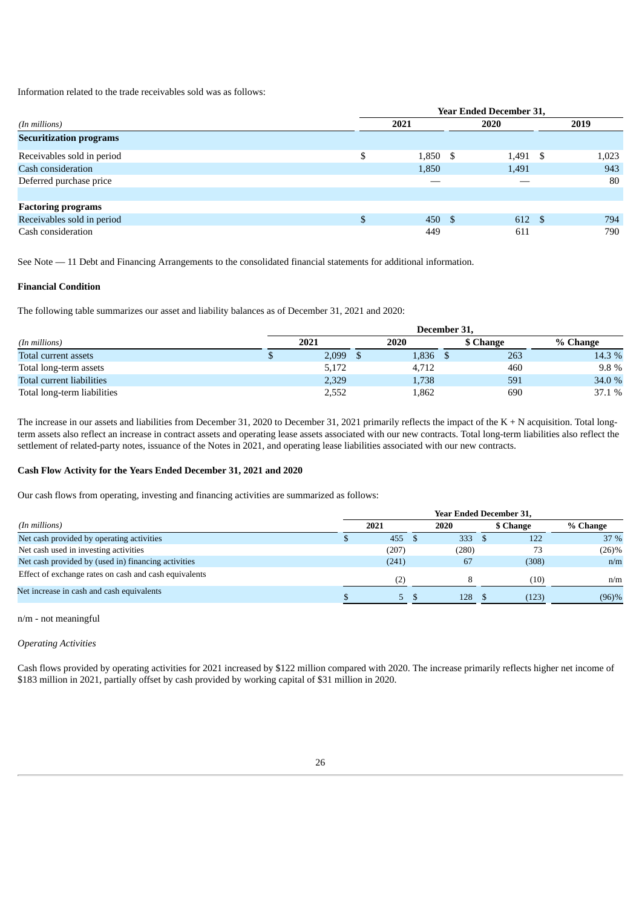Information related to the trade receivables sold was as follows:

|                                | <b>Year Ended December 31,</b> |            |  |            |  |       |  |  |  |
|--------------------------------|--------------------------------|------------|--|------------|--|-------|--|--|--|
| (In millions)                  |                                | 2021       |  | 2020       |  | 2019  |  |  |  |
| <b>Securitization programs</b> |                                |            |  |            |  |       |  |  |  |
| Receivables sold in period     | ¢<br>D                         | $1,850$ \$ |  | $1,491$ \$ |  | 1,023 |  |  |  |
| Cash consideration             |                                | 1,850      |  | 1,491      |  | 943   |  |  |  |
| Deferred purchase price        |                                |            |  |            |  | 80    |  |  |  |
|                                |                                |            |  |            |  |       |  |  |  |
| <b>Factoring programs</b>      |                                |            |  |            |  |       |  |  |  |
| Receivables sold in period     | \$                             | 450S       |  | 612 \$     |  | 794   |  |  |  |
| Cash consideration             |                                | 449        |  | 611        |  | 790   |  |  |  |

See Note — 11 Debt and Financing Arrangements to the consolidated financial statements for additional information.

### **Financial Condition**

The following table summarizes our asset and liability balances as of December 31, 2021 and 2020:

|                             | December 31, |  |       |  |           |          |  |  |  |  |
|-----------------------------|--------------|--|-------|--|-----------|----------|--|--|--|--|
| (In millions)               | 2021         |  | 2020  |  | \$ Change | % Change |  |  |  |  |
| Total current assets        | 2,099        |  | 1,836 |  | 263       | 14.3 %   |  |  |  |  |
| Total long-term assets      | 5,172        |  | 4,712 |  | 460       | $9.8\%$  |  |  |  |  |
| Total current liabilities   | 2,329        |  | 1,738 |  | 591       | 34.0 %   |  |  |  |  |
| Total long-term liabilities | 2,552        |  | 1,862 |  | 690       | 37.1 %   |  |  |  |  |

The increase in our assets and liabilities from December 31, 2020 to December 31, 2021 primarily reflects the impact of the K + N acquisition. Total longterm assets also reflect an increase in contract assets and operating lease assets associated with our new contracts. Total long-term liabilities also reflect the settlement of related-party notes, issuance of the Notes in 2021, and operating lease liabilities associated with our new contracts.

# **Cash Flow Activity for the Years Ended December 31, 2021 and 2020**

Our cash flows from operating, investing and financing activities are summarized as follows:

|                                                       | <b>Year Ended December 31,</b> |       |  |       |  |           |          |  |  |  |
|-------------------------------------------------------|--------------------------------|-------|--|-------|--|-----------|----------|--|--|--|
| (In millions)                                         |                                | 2021  |  | 2020  |  | \$ Change | % Change |  |  |  |
| Net cash provided by operating activities             |                                | 455   |  | 333   |  | 122       | 37%      |  |  |  |
| Net cash used in investing activities                 |                                | (207) |  | (280) |  | 73        | $(26)\%$ |  |  |  |
| Net cash provided by (used in) financing activities   |                                | (241) |  | 67    |  | (308)     | n/m      |  |  |  |
| Effect of exchange rates on cash and cash equivalents |                                |       |  |       |  | (10)      | n/m      |  |  |  |
| Net increase in cash and cash equivalents             |                                | 5.    |  | 128   |  | (123)     | $(96)$ % |  |  |  |

n/m - not meaningful

### *Operating Activities*

Cash flows provided by operating activities for 2021 increased by \$122 million compared with 2020. The increase primarily reflects higher net income of \$183 million in 2021, partially offset by cash provided by working capital of \$31 million in 2020.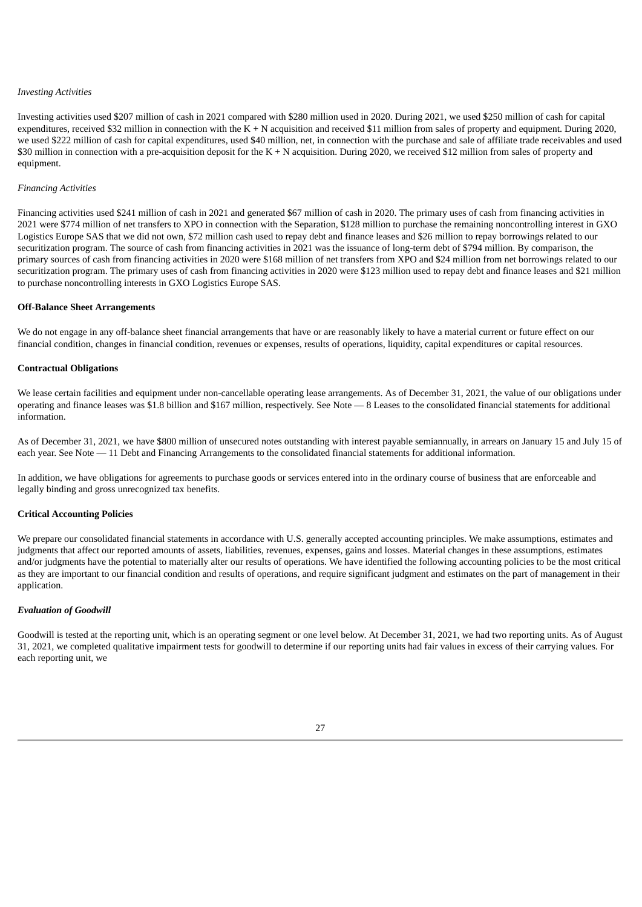#### *Investing Activities*

Investing activities used \$207 million of cash in 2021 compared with \$280 million used in 2020. During 2021, we used \$250 million of cash for capital expenditures, received \$32 million in connection with the  $K + N$  acquisition and received \$11 million from sales of property and equipment. During 2020, we used \$222 million of cash for capital expenditures, used \$40 million, net, in connection with the purchase and sale of affiliate trade receivables and used \$30 million in connection with a pre-acquisition deposit for the K + N acquisition. During 2020, we received \$12 million from sales of property and equipment.

### *Financing Activities*

Financing activities used \$241 million of cash in 2021 and generated \$67 million of cash in 2020. The primary uses of cash from financing activities in 2021 were \$774 million of net transfers to XPO in connection with the Separation, \$128 million to purchase the remaining noncontrolling interest in GXO Logistics Europe SAS that we did not own, \$72 million cash used to repay debt and finance leases and \$26 million to repay borrowings related to our securitization program. The source of cash from financing activities in 2021 was the issuance of long-term debt of \$794 million. By comparison, the primary sources of cash from financing activities in 2020 were \$168 million of net transfers from XPO and \$24 million from net borrowings related to our securitization program. The primary uses of cash from financing activities in 2020 were \$123 million used to repay debt and finance leases and \$21 million to purchase noncontrolling interests in GXO Logistics Europe SAS.

#### **Off-Balance Sheet Arrangements**

We do not engage in any off-balance sheet financial arrangements that have or are reasonably likely to have a material current or future effect on our financial condition, changes in financial condition, revenues or expenses, results of operations, liquidity, capital expenditures or capital resources.

#### **Contractual Obligations**

We lease certain facilities and equipment under non-cancellable operating lease arrangements. As of December 31, 2021, the value of our obligations under operating and finance leases was \$1.8 billion and \$167 million, respectively. See Note — 8 Leases to the consolidated financial statements for additional information.

As of December 31, 2021, we have \$800 million of unsecured notes outstanding with interest payable semiannually, in arrears on January 15 and July 15 of each year. See Note — 11 Debt and Financing Arrangements to the consolidated financial statements for additional information.

In addition, we have obligations for agreements to purchase goods or services entered into in the ordinary course of business that are enforceable and legally binding and gross unrecognized tax benefits.

# **Critical Accounting Policies**

We prepare our consolidated financial statements in accordance with U.S. generally accepted accounting principles. We make assumptions, estimates and judgments that affect our reported amounts of assets, liabilities, revenues, expenses, gains and losses. Material changes in these assumptions, estimates and/or judgments have the potential to materially alter our results of operations. We have identified the following accounting policies to be the most critical as they are important to our financial condition and results of operations, and require significant judgment and estimates on the part of management in their application.

#### *Evaluation of Goodwill*

Goodwill is tested at the reporting unit, which is an operating segment or one level below. At December 31, 2021, we had two reporting units. As of August 31, 2021, we completed qualitative impairment tests for goodwill to determine if our reporting units had fair values in excess of their carrying values. For each reporting unit, we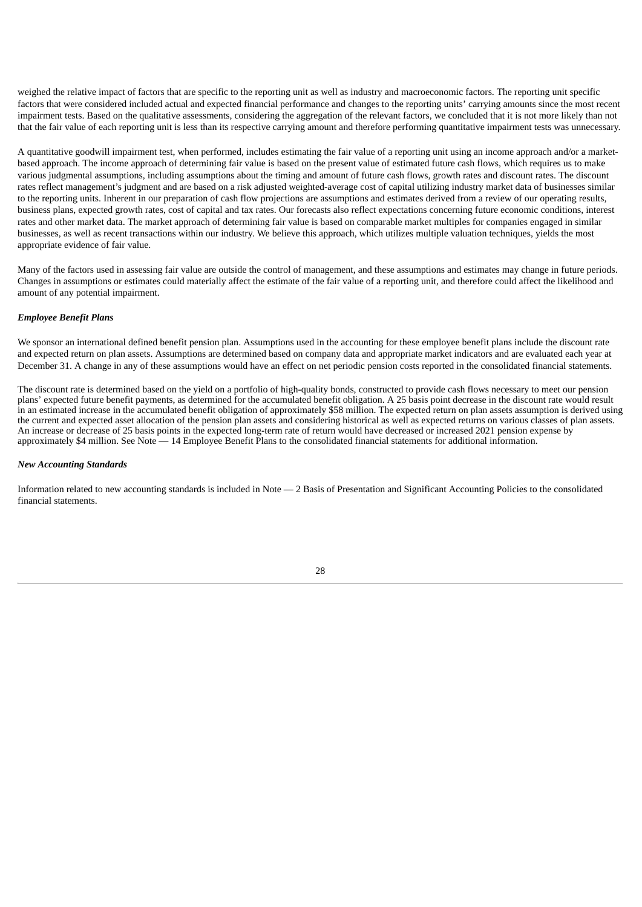weighed the relative impact of factors that are specific to the reporting unit as well as industry and macroeconomic factors. The reporting unit specific factors that were considered included actual and expected financial performance and changes to the reporting units' carrying amounts since the most recent impairment tests. Based on the qualitative assessments, considering the aggregation of the relevant factors, we concluded that it is not more likely than not that the fair value of each reporting unit is less than its respective carrying amount and therefore performing quantitative impairment tests was unnecessary.

A quantitative goodwill impairment test, when performed, includes estimating the fair value of a reporting unit using an income approach and/or a marketbased approach. The income approach of determining fair value is based on the present value of estimated future cash flows, which requires us to make various judgmental assumptions, including assumptions about the timing and amount of future cash flows, growth rates and discount rates. The discount rates reflect management's judgment and are based on a risk adjusted weighted-average cost of capital utilizing industry market data of businesses similar to the reporting units. Inherent in our preparation of cash flow projections are assumptions and estimates derived from a review of our operating results, business plans, expected growth rates, cost of capital and tax rates. Our forecasts also reflect expectations concerning future economic conditions, interest rates and other market data. The market approach of determining fair value is based on comparable market multiples for companies engaged in similar businesses, as well as recent transactions within our industry. We believe this approach, which utilizes multiple valuation techniques, yields the most appropriate evidence of fair value.

Many of the factors used in assessing fair value are outside the control of management, and these assumptions and estimates may change in future periods. Changes in assumptions or estimates could materially affect the estimate of the fair value of a reporting unit, and therefore could affect the likelihood and amount of any potential impairment.

### *Employee Benefit Plans*

We sponsor an international defined benefit pension plan. Assumptions used in the accounting for these employee benefit plans include the discount rate and expected return on plan assets. Assumptions are determined based on company data and appropriate market indicators and are evaluated each year at December 31. A change in any of these assumptions would have an effect on net periodic pension costs reported in the consolidated financial statements.

The discount rate is determined based on the yield on a portfolio of high-quality bonds, constructed to provide cash flows necessary to meet our pension plans' expected future benefit payments, as determined for the accumulated benefit obligation. A 25 basis point decrease in the discount rate would result in an estimated increase in the accumulated benefit obligation of approximately \$58 million. The expected return on plan assets assumption is derived using the current and expected asset allocation of the pension plan assets and considering historical as well as expected returns on various classes of plan assets. An increase or decrease of 25 basis points in the expected long-term rate of return would have decreased or increased 2021 pension expense by approximately \$4 million. See Note — 14 Employee Benefit Plans to the consolidated financial statements for additional information.

#### *New Accounting Standards*

<span id="page-31-0"></span>Information related to new accounting standards is included in Note — 2 Basis of Presentation and Significant Accounting Policies to the consolidated financial statements.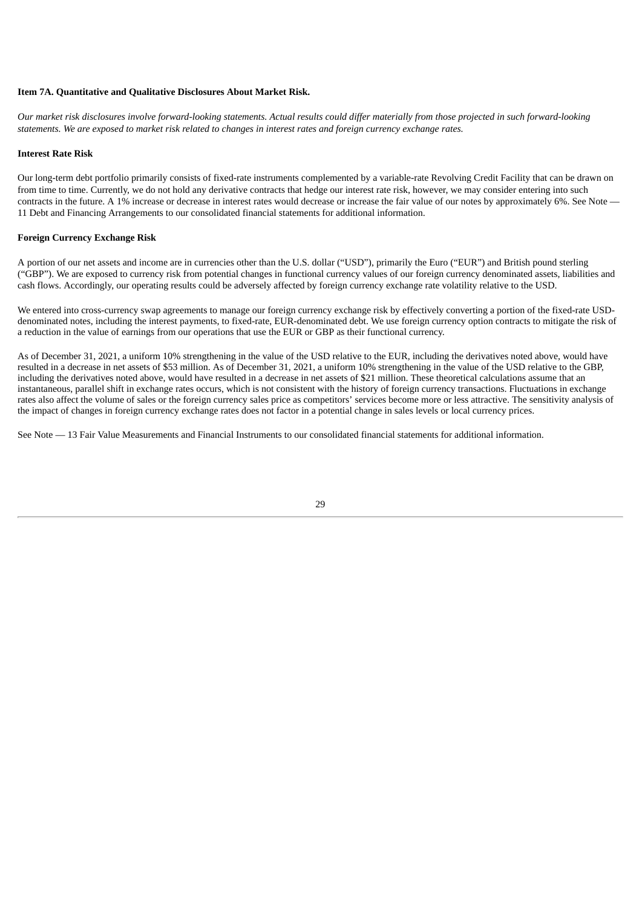### **Item 7A. Quantitative and Qualitative Disclosures About Market Risk.**

Our market risk disclosures involve forward-looking statements. Actual results could differ materially from those projected in such forward-looking statements. We are exposed to market risk related to changes in interest rates and foreign currency exchange rates.

#### **Interest Rate Risk**

Our long-term debt portfolio primarily consists of fixed-rate instruments complemented by a variable-rate Revolving Credit Facility that can be drawn on from time to time. Currently, we do not hold any derivative contracts that hedge our interest rate risk, however, we may consider entering into such contracts in the future. A 1% increase or decrease in interest rates would decrease or increase the fair value of our notes by approximately 6%. See Note — 11 Debt and Financing Arrangements to our consolidated financial statements for additional information.

#### **Foreign Currency Exchange Risk**

A portion of our net assets and income are in currencies other than the U.S. dollar ("USD"), primarily the Euro ("EUR") and British pound sterling ("GBP"). We are exposed to currency risk from potential changes in functional currency values of our foreign currency denominated assets, liabilities and cash flows. Accordingly, our operating results could be adversely affected by foreign currency exchange rate volatility relative to the USD.

We entered into cross-currency swap agreements to manage our foreign currency exchange risk by effectively converting a portion of the fixed-rate USDdenominated notes, including the interest payments, to fixed-rate, EUR-denominated debt. We use foreign currency option contracts to mitigate the risk of a reduction in the value of earnings from our operations that use the EUR or GBP as their functional currency.

As of December 31, 2021, a uniform 10% strengthening in the value of the USD relative to the EUR, including the derivatives noted above, would have resulted in a decrease in net assets of \$53 million. As of December 31, 2021, a uniform 10% strengthening in the value of the USD relative to the GBP, including the derivatives noted above, would have resulted in a decrease in net assets of \$21 million. These theoretical calculations assume that an instantaneous, parallel shift in exchange rates occurs, which is not consistent with the history of foreign currency transactions. Fluctuations in exchange rates also affect the volume of sales or the foreign currency sales price as competitors' services become more or less attractive. The sensitivity analysis of the impact of changes in foreign currency exchange rates does not factor in a potential change in sales levels or local currency prices.

<span id="page-32-0"></span>See Note — 13 Fair Value Measurements and Financial Instruments to our consolidated financial statements for additional information.

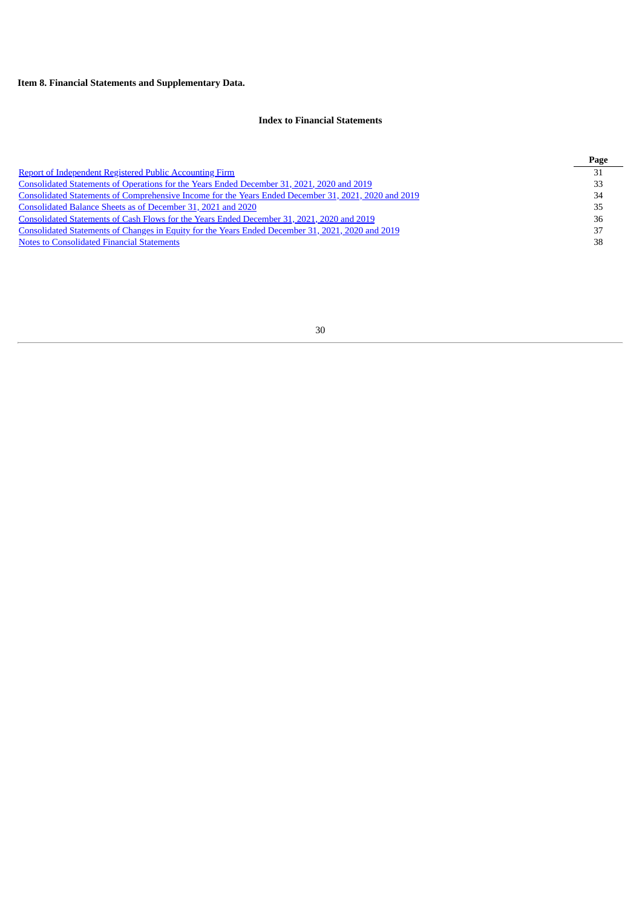# **Item 8. Financial Statements and Supplementary Data.**

# **Index to Financial Statements**

<span id="page-33-0"></span>

|                                                                                                      | Page |
|------------------------------------------------------------------------------------------------------|------|
| <b>Report of Independent Registered Public Accounting Firm</b>                                       | 31   |
| Consolidated Statements of Operations for the Years Ended December 31, 2021, 2020 and 2019           |      |
| Consolidated Statements of Comprehensive Income for the Years Ended December 31, 2021, 2020 and 2019 | 34   |
| Consolidated Balance Sheets as of December 31, 2021 and 2020                                         |      |
| Consolidated Statements of Cash Flows for the Years Ended December 31, 2021, 2020 and 2019           | 36   |
| Consolidated Statements of Changes in Equity for the Years Ended December 31, 2021, 2020 and 2019    |      |
| <b>Notes to Consolidated Financial Statements</b>                                                    | 38   |

| × | I<br>٠ | × | i<br>۰. |
|---|--------|---|---------|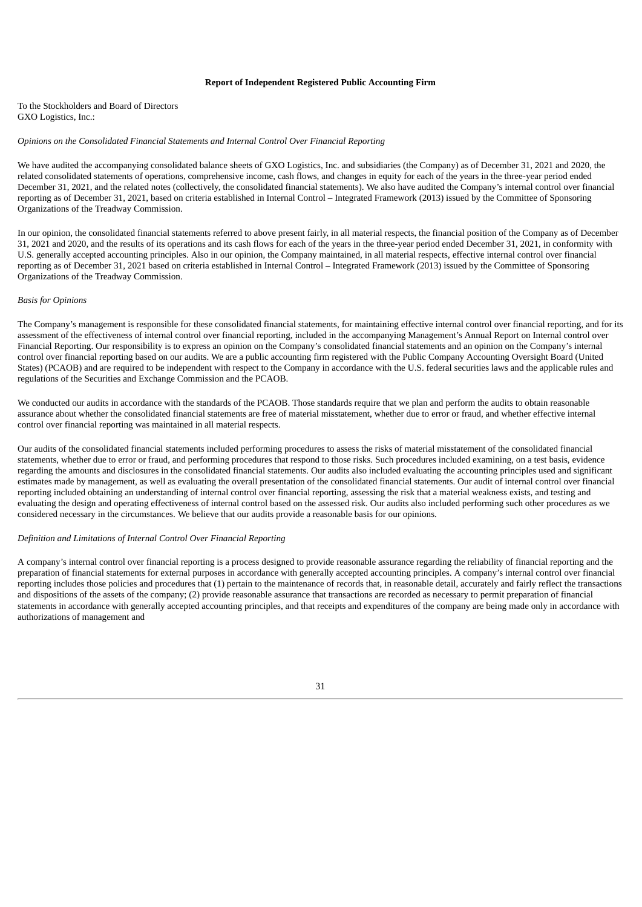# **Report of Independent Registered Public Accounting Firm**

To the Stockholders and Board of Directors GXO Logistics, Inc.:

#### *Opinions on the Consolidated Financial Statements and Internal Control Over Financial Reporting*

We have audited the accompanying consolidated balance sheets of GXO Logistics, Inc. and subsidiaries (the Company) as of December 31, 2021 and 2020, the related consolidated statements of operations, comprehensive income, cash flows, and changes in equity for each of the years in the three-year period ended December 31, 2021, and the related notes (collectively, the consolidated financial statements). We also have audited the Company's internal control over financial reporting as of December 31, 2021, based on criteria established in Internal Control – Integrated Framework (2013) issued by the Committee of Sponsoring Organizations of the Treadway Commission.

In our opinion, the consolidated financial statements referred to above present fairly, in all material respects, the financial position of the Company as of December 31, 2021 and 2020, and the results of its operations and its cash flows for each of the years in the three-year period ended December 31, 2021, in conformity with U.S. generally accepted accounting principles. Also in our opinion, the Company maintained, in all material respects, effective internal control over financial reporting as of December 31, 2021 based on criteria established in Internal Control – Integrated Framework (2013) issued by the Committee of Sponsoring Organizations of the Treadway Commission.

### *Basis for Opinions*

The Company's management is responsible for these consolidated financial statements, for maintaining effective internal control over financial reporting, and for its assessment of the effectiveness of internal control over financial reporting, included in the accompanying Management's Annual Report on Internal control over Financial Reporting. Our responsibility is to express an opinion on the Company's consolidated financial statements and an opinion on the Company's internal control over financial reporting based on our audits. We are a public accounting firm registered with the Public Company Accounting Oversight Board (United States) (PCAOB) and are required to be independent with respect to the Company in accordance with the U.S. federal securities laws and the applicable rules and regulations of the Securities and Exchange Commission and the PCAOB.

We conducted our audits in accordance with the standards of the PCAOB. Those standards require that we plan and perform the audits to obtain reasonable assurance about whether the consolidated financial statements are free of material misstatement, whether due to error or fraud, and whether effective internal control over financial reporting was maintained in all material respects.

Our audits of the consolidated financial statements included performing procedures to assess the risks of material misstatement of the consolidated financial statements, whether due to error or fraud, and performing procedures that respond to those risks. Such procedures included examining, on a test basis, evidence regarding the amounts and disclosures in the consolidated financial statements. Our audits also included evaluating the accounting principles used and significant estimates made by management, as well as evaluating the overall presentation of the consolidated financial statements. Our audit of internal control over financial reporting included obtaining an understanding of internal control over financial reporting, assessing the risk that a material weakness exists, and testing and evaluating the design and operating effectiveness of internal control based on the assessed risk. Our audits also included performing such other procedures as we considered necessary in the circumstances. We believe that our audits provide a reasonable basis for our opinions.

#### *Definition and Limitations of Internal Control Over Financial Reporting*

A company's internal control over financial reporting is a process designed to provide reasonable assurance regarding the reliability of financial reporting and the preparation of financial statements for external purposes in accordance with generally accepted accounting principles. A company's internal control over financial reporting includes those policies and procedures that (1) pertain to the maintenance of records that, in reasonable detail, accurately and fairly reflect the transactions and dispositions of the assets of the company; (2) provide reasonable assurance that transactions are recorded as necessary to permit preparation of financial statements in accordance with generally accepted accounting principles, and that receipts and expenditures of the company are being made only in accordance with authorizations of management and

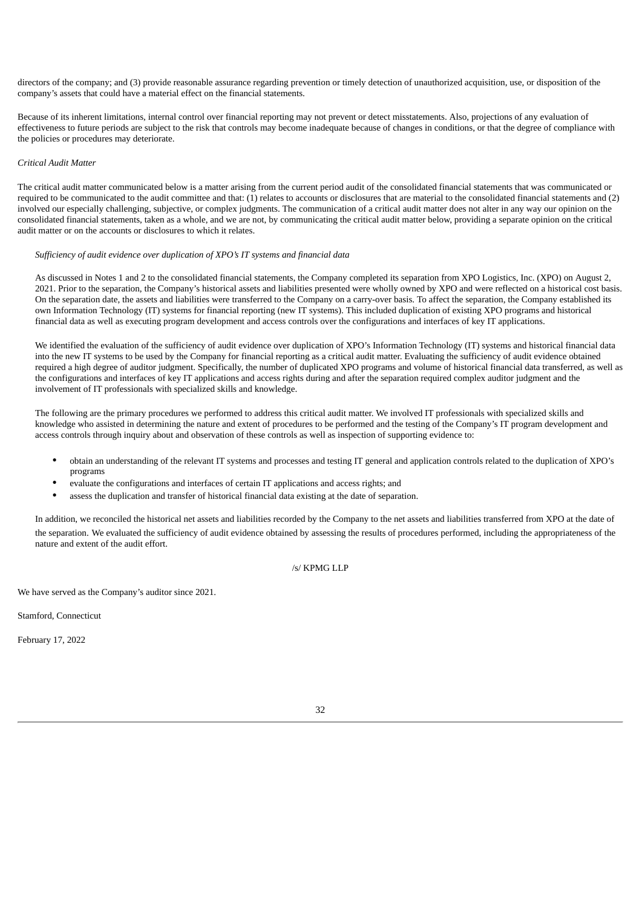directors of the company; and (3) provide reasonable assurance regarding prevention or timely detection of unauthorized acquisition, use, or disposition of the company's assets that could have a material effect on the financial statements.

Because of its inherent limitations, internal control over financial reporting may not prevent or detect misstatements. Also, projections of any evaluation of effectiveness to future periods are subject to the risk that controls may become inadequate because of changes in conditions, or that the degree of compliance with the policies or procedures may deteriorate.

#### *Critical Audit Matter*

The critical audit matter communicated below is a matter arising from the current period audit of the consolidated financial statements that was communicated or required to be communicated to the audit committee and that: (1) relates to accounts or disclosures that are material to the consolidated financial statements and (2) involved our especially challenging, subjective, or complex judgments. The communication of a critical audit matter does not alter in any way our opinion on the consolidated financial statements, taken as a whole, and we are not, by communicating the critical audit matter below, providing a separate opinion on the critical audit matter or on the accounts or disclosures to which it relates.

#### *Sufficiency of audit evidence over duplication of XPO's IT systems and financial data*

As discussed in Notes 1 and 2 to the consolidated financial statements, the Company completed its separation from XPO Logistics, Inc. (XPO) on August 2, 2021. Prior to the separation, the Company's historical assets and liabilities presented were wholly owned by XPO and were reflected on a historical cost basis. On the separation date, the assets and liabilities were transferred to the Company on a carry-over basis. To affect the separation, the Company established its own Information Technology (IT) systems for financial reporting (new IT systems). This included duplication of existing XPO programs and historical financial data as well as executing program development and access controls over the configurations and interfaces of key IT applications.

We identified the evaluation of the sufficiency of audit evidence over duplication of XPO's Information Technology (IT) systems and historical financial data into the new IT systems to be used by the Company for financial reporting as a critical audit matter. Evaluating the sufficiency of audit evidence obtained required a high degree of auditor judgment. Specifically, the number of duplicated XPO programs and volume of historical financial data transferred, as well as the configurations and interfaces of key IT applications and access rights during and after the separation required complex auditor judgment and the involvement of IT professionals with specialized skills and knowledge.

The following are the primary procedures we performed to address this critical audit matter. We involved IT professionals with specialized skills and knowledge who assisted in determining the nature and extent of procedures to be performed and the testing of the Company's IT program development and access controls through inquiry about and observation of these controls as well as inspection of supporting evidence to:

- obtain an understanding of the relevant IT systems and processes and testing IT general and application controls related to the duplication of XPO's programs
- evaluate the configurations and interfaces of certain IT applications and access rights; and
- assess the duplication and transfer of historical financial data existing at the date of separation.

In addition, we reconciled the historical net assets and liabilities recorded by the Company to the net assets and liabilities transferred from XPO at the date of the separation. We evaluated the sufficiency of audit evidence obtained by assessing the results of procedures performed, including the appropriateness of the nature and extent of the audit effort.

/s/ KPMG LLP

We have served as the Company's auditor since 2021.

Stamford, Connecticut

<span id="page-35-0"></span>February 17, 2022

32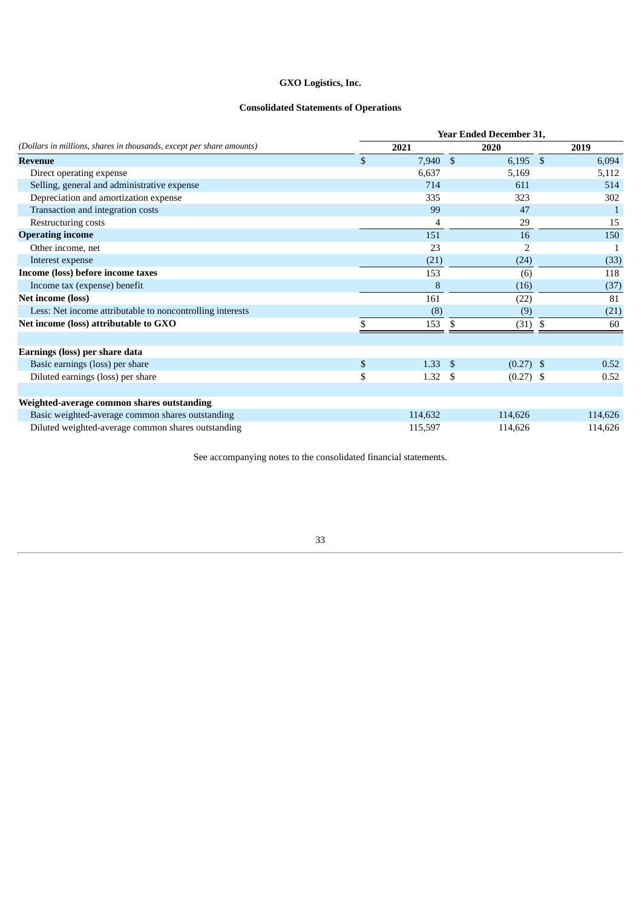# **Consolidated Statements of Operations**

|                                                                      | <b>Year Ended December 31,</b> |                |     |                |   |              |  |
|----------------------------------------------------------------------|--------------------------------|----------------|-----|----------------|---|--------------|--|
| (Dollars in millions, shares in thousands, except per share amounts) |                                | 2021           |     | 2020           |   | 2019         |  |
| <b>Revenue</b>                                                       | \$                             | 7,940 \$       |     | $6,195$ \$     |   | 6,094        |  |
| Direct operating expense                                             |                                | 6,637          |     | 5,169          |   | 5,112        |  |
| Selling, general and administrative expense                          |                                | 714            |     | 611            |   | 514          |  |
| Depreciation and amortization expense                                |                                | 335            |     | 323            |   | 302          |  |
| Transaction and integration costs                                    |                                | 99             |     | 47             |   | $\mathbf{1}$ |  |
| Restructuring costs                                                  |                                | 4              |     | 29             |   | 15           |  |
| <b>Operating income</b>                                              |                                | 151            |     | 16             |   | 150          |  |
| Other income, net                                                    |                                | 23             |     | $\overline{2}$ |   |              |  |
| Interest expense                                                     |                                | (21)           |     | (24)           |   | (33)         |  |
| Income (loss) before income taxes                                    |                                | 153            |     | (6)            |   | 118          |  |
| Income tax (expense) benefit                                         |                                | 8              |     | (16)           |   | (37)         |  |
| Net income (loss)                                                    |                                | 161            |     | (22)           |   | 81           |  |
| Less: Net income attributable to noncontrolling interests            |                                | (8)            |     | (9)            |   | (21)         |  |
| Net income (loss) attributable to GXO                                |                                | 153            | \$  | (31)           | S | 60           |  |
|                                                                      |                                |                |     |                |   |              |  |
| Earnings (loss) per share data                                       |                                |                |     |                |   |              |  |
| Basic earnings (loss) per share                                      | \$                             | $1.33 \quad $$ |     | $(0.27)$ \$    |   | 0.52         |  |
| Diluted earnings (loss) per share                                    | \$                             | 1.32           | -\$ | $(0.27)$ \$    |   | 0.52         |  |
| Weighted-average common shares outstanding                           |                                |                |     |                |   |              |  |
| Basic weighted-average common shares outstanding                     |                                | 114,632        |     | 114,626        |   | 114,626      |  |
| Diluted weighted-average common shares outstanding                   |                                | 115,597        |     | 114,626        |   | 114,626      |  |

See accompanying notes to the consolidated financial statements.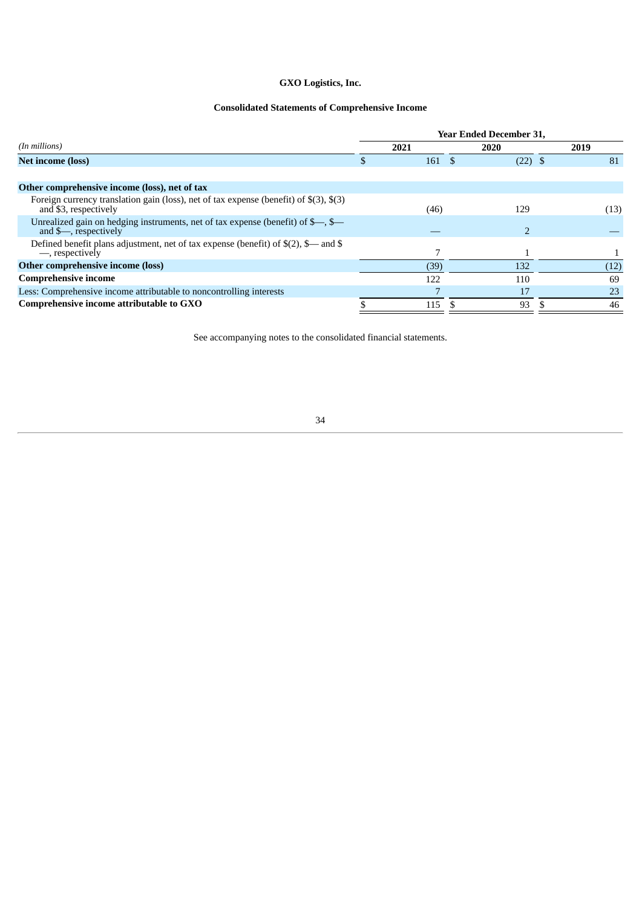# **Consolidated Statements of Comprehensive Income**

|                                                                                                                                  | <b>Year Ended December 31,</b> |      |               |  |      |  |
|----------------------------------------------------------------------------------------------------------------------------------|--------------------------------|------|---------------|--|------|--|
| (In millions)                                                                                                                    |                                | 2021 | 2020          |  | 2019 |  |
| <b>Net income (loss)</b>                                                                                                         |                                | 161  | $(22)$ \$     |  | 81   |  |
|                                                                                                                                  |                                |      |               |  |      |  |
| Other comprehensive income (loss), net of tax                                                                                    |                                |      |               |  |      |  |
| Foreign currency translation gain (loss), net of tax expense (benefit) of $\S(3)$ , $\S(3)$<br>and \$3, respectively             |                                | (46) | 129           |  | (13) |  |
| Unrealized gain on hedging instruments, net of tax expense (benefit) of $\frac{1}{2}$ , $\frac{1}{2}$<br>and \$-, respectively   |                                |      | $\mathcal{P}$ |  |      |  |
| Defined benefit plans adjustment, net of tax expense (benefit) of $\S(2)$ , $\mathcal{S}$ — and $\mathcal{S}$<br>—, respectively |                                |      |               |  |      |  |
| Other comprehensive income (loss)                                                                                                |                                | (39) | 132           |  | (12) |  |
| <b>Comprehensive income</b>                                                                                                      |                                | 122  | 110           |  | 69   |  |
| Less: Comprehensive income attributable to noncontrolling interests                                                              |                                |      | 17            |  | 23   |  |
| Comprehensive income attributable to GXO                                                                                         |                                | 115  | 93            |  | 46   |  |

See accompanying notes to the consolidated financial statements.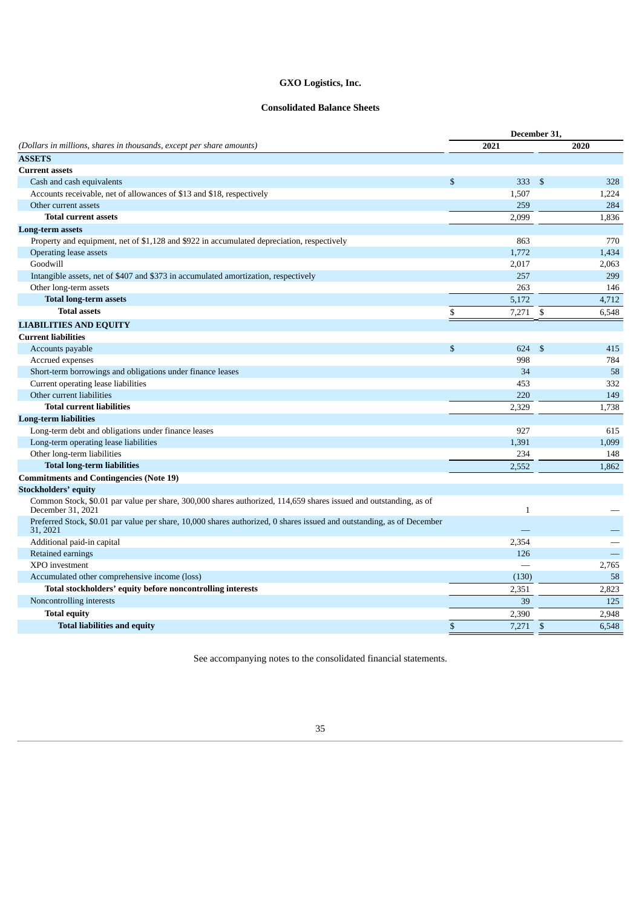# **Consolidated Balance Sheets**

|                                                                                                                                        | December 31, |              |                |       |
|----------------------------------------------------------------------------------------------------------------------------------------|--------------|--------------|----------------|-------|
| (Dollars in millions, shares in thousands, except per share amounts)                                                                   |              | 2021         |                | 2020  |
| <b>ASSETS</b>                                                                                                                          |              |              |                |       |
| <b>Current assets</b>                                                                                                                  |              |              |                |       |
| Cash and cash equivalents                                                                                                              | \$           | 333          | -\$            | 328   |
| Accounts receivable, net of allowances of \$13 and \$18, respectively                                                                  |              | 1,507        |                | 1,224 |
| Other current assets                                                                                                                   |              | 259          |                | 284   |
| <b>Total current assets</b>                                                                                                            |              | 2.099        |                | 1,836 |
| <b>Long-term assets</b>                                                                                                                |              |              |                |       |
| Property and equipment, net of \$1,128 and \$922 in accumulated depreciation, respectively                                             |              | 863          |                | 770   |
| Operating lease assets                                                                                                                 |              | 1,772        |                | 1,434 |
| Goodwill                                                                                                                               |              | 2,017        |                | 2,063 |
| Intangible assets, net of \$407 and \$373 in accumulated amortization, respectively                                                    |              | 257          |                | 299   |
| Other long-term assets                                                                                                                 |              | 263          |                | 146   |
| <b>Total long-term assets</b>                                                                                                          |              | 5,172        |                | 4,712 |
| <b>Total assets</b>                                                                                                                    | \$           | 7,271        | \$             | 6,548 |
| <b>LIABILITIES AND EQUITY</b>                                                                                                          |              |              |                |       |
| <b>Current liabilities</b>                                                                                                             |              |              |                |       |
| Accounts payable                                                                                                                       | \$           | 624          | \$             | 415   |
| Accrued expenses                                                                                                                       |              | 998          |                | 784   |
| Short-term borrowings and obligations under finance leases                                                                             |              | 34           |                | 58    |
| Current operating lease liabilities                                                                                                    |              | 453          |                | 332   |
| Other current liabilities                                                                                                              |              | 220          |                | 149   |
| <b>Total current liabilities</b>                                                                                                       |              | 2,329        |                | 1,738 |
| <b>Long-term liabilities</b>                                                                                                           |              |              |                |       |
| Long-term debt and obligations under finance leases                                                                                    |              | 927          |                | 615   |
| Long-term operating lease liabilities                                                                                                  |              | 1,391        |                | 1,099 |
| Other long-term liabilities                                                                                                            |              | 234          |                | 148   |
| <b>Total long-term liabilities</b>                                                                                                     |              | 2,552        |                | 1,862 |
| <b>Commitments and Contingencies (Note 19)</b>                                                                                         |              |              |                |       |
| <b>Stockholders' equity</b>                                                                                                            |              |              |                |       |
| Common Stock, \$0.01 par value per share, 300,000 shares authorized, 114,659 shares issued and outstanding, as of<br>December 31, 2021 |              | $\mathbf{1}$ |                |       |
| Preferred Stock, \$0.01 par value per share, 10,000 shares authorized, 0 shares issued and outstanding, as of December<br>31, 2021     |              |              |                |       |
| Additional paid-in capital                                                                                                             |              | 2,354        |                |       |
| Retained earnings                                                                                                                      |              | 126          |                |       |
| XPO investment                                                                                                                         |              |              |                | 2,765 |
| Accumulated other comprehensive income (loss)                                                                                          |              | (130)        |                | 58    |
| Total stockholders' equity before noncontrolling interests                                                                             |              | 2,351        |                | 2,823 |
| Noncontrolling interests                                                                                                               |              | 39           |                | 125   |
| <b>Total equity</b>                                                                                                                    |              | 2,390        |                | 2,948 |
| <b>Total liabilities and equity</b>                                                                                                    | \$           | 7,271        | $\mathfrak{s}$ | 6,548 |
|                                                                                                                                        |              |              |                |       |

See accompanying notes to the consolidated financial statements.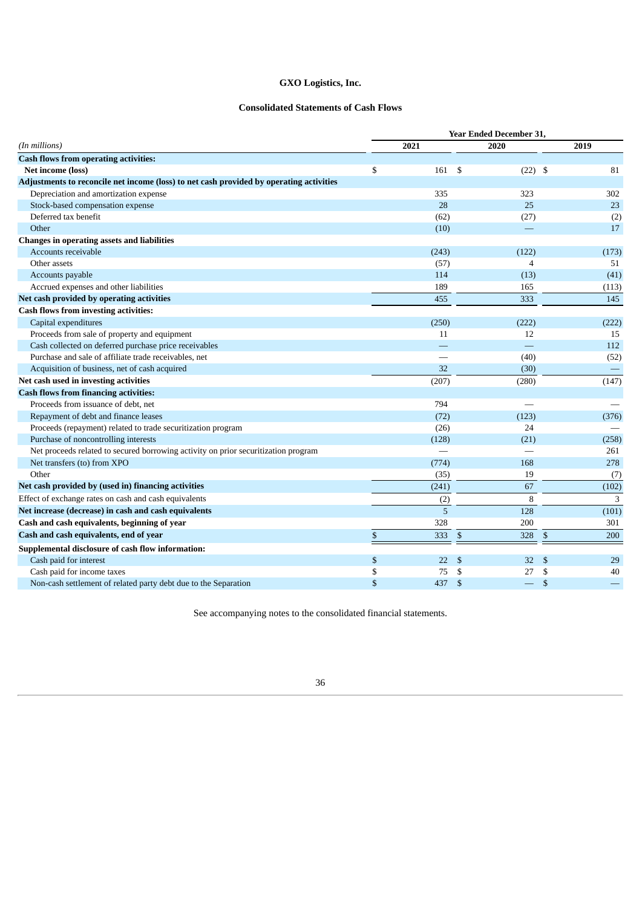# **Consolidated Statements of Cash Flows**

|                                                                                         | Year Ended December 31, |                          |                            |           |  |  |  |
|-----------------------------------------------------------------------------------------|-------------------------|--------------------------|----------------------------|-----------|--|--|--|
| (In millions)                                                                           |                         | 2021                     | 2020                       | 2019      |  |  |  |
| <b>Cash flows from operating activities:</b>                                            |                         |                          |                            |           |  |  |  |
| Net income (loss)                                                                       | \$                      | 161                      | <sup>\$</sup><br>$(22)$ \$ | 81        |  |  |  |
| Adjustments to reconcile net income (loss) to net cash provided by operating activities |                         |                          |                            |           |  |  |  |
| Depreciation and amortization expense                                                   |                         | 335                      | 323                        | 302       |  |  |  |
| Stock-based compensation expense                                                        |                         | 28                       | 25                         | 23        |  |  |  |
| Deferred tax benefit                                                                    |                         | (62)                     | (27)                       | (2)       |  |  |  |
| Other                                                                                   |                         | (10)                     |                            | 17        |  |  |  |
| <b>Changes in operating assets and liabilities</b>                                      |                         |                          |                            |           |  |  |  |
| Accounts receivable                                                                     |                         | (243)                    | (122)                      | (173)     |  |  |  |
| Other assets                                                                            |                         | (57)                     | $\overline{4}$             | 51        |  |  |  |
| Accounts payable                                                                        |                         | 114                      | (13)                       | (41)      |  |  |  |
| Accrued expenses and other liabilities                                                  |                         | 189                      | 165                        | (113)     |  |  |  |
| Net cash provided by operating activities                                               |                         | 455                      | 333                        | 145       |  |  |  |
| <b>Cash flows from investing activities:</b>                                            |                         |                          |                            |           |  |  |  |
| Capital expenditures                                                                    |                         | (250)                    | (222)                      | (222)     |  |  |  |
| Proceeds from sale of property and equipment                                            |                         | 11                       | 12                         | 15        |  |  |  |
| Cash collected on deferred purchase price receivables                                   |                         |                          |                            | 112       |  |  |  |
| Purchase and sale of affiliate trade receivables, net                                   |                         | $\overline{\phantom{0}}$ | (40)                       | (52)      |  |  |  |
| Acquisition of business, net of cash acquired                                           |                         | 32                       | (30)                       |           |  |  |  |
| Net cash used in investing activities                                                   |                         | (207)                    | (280)                      | (147)     |  |  |  |
| <b>Cash flows from financing activities:</b>                                            |                         |                          |                            |           |  |  |  |
| Proceeds from issuance of debt, net                                                     |                         | 794                      |                            |           |  |  |  |
| Repayment of debt and finance leases                                                    |                         | (72)                     | (123)                      | (376)     |  |  |  |
| Proceeds (repayment) related to trade securitization program                            |                         | (26)                     | 24                         |           |  |  |  |
| Purchase of noncontrolling interests                                                    |                         | (128)                    | (21)                       | (258)     |  |  |  |
| Net proceeds related to secured borrowing activity on prior securitization program      |                         |                          |                            | 261       |  |  |  |
| Net transfers (to) from XPO                                                             |                         | (774)                    | 168                        | 278       |  |  |  |
| Other                                                                                   |                         | (35)                     | 19                         | (7)       |  |  |  |
| Net cash provided by (used in) financing activities                                     |                         | (241)                    | 67                         | (102)     |  |  |  |
| Effect of exchange rates on cash and cash equivalents                                   |                         | (2)                      | 8                          | 3         |  |  |  |
| Net increase (decrease) in cash and cash equivalents                                    |                         | 5                        | 128                        | (101)     |  |  |  |
| Cash and cash equivalents, beginning of year                                            |                         | 328                      | 200                        | 301       |  |  |  |
| Cash and cash equivalents, end of year                                                  | \$                      | 333                      | $\mathfrak{F}$<br>328      | 200<br>\$ |  |  |  |
| Supplemental disclosure of cash flow information:                                       |                         |                          |                            |           |  |  |  |
| Cash paid for interest                                                                  | \$                      | 22                       | $\mathbf{s}$<br>32         | \$<br>29  |  |  |  |
| Cash paid for income taxes                                                              | \$                      | 75                       | \$<br>27                   | \$<br>40  |  |  |  |
| Non-cash settlement of related party debt due to the Separation                         | \$                      | 437                      | $\mathbf{s}$               | \$        |  |  |  |

See accompanying notes to the consolidated financial statements.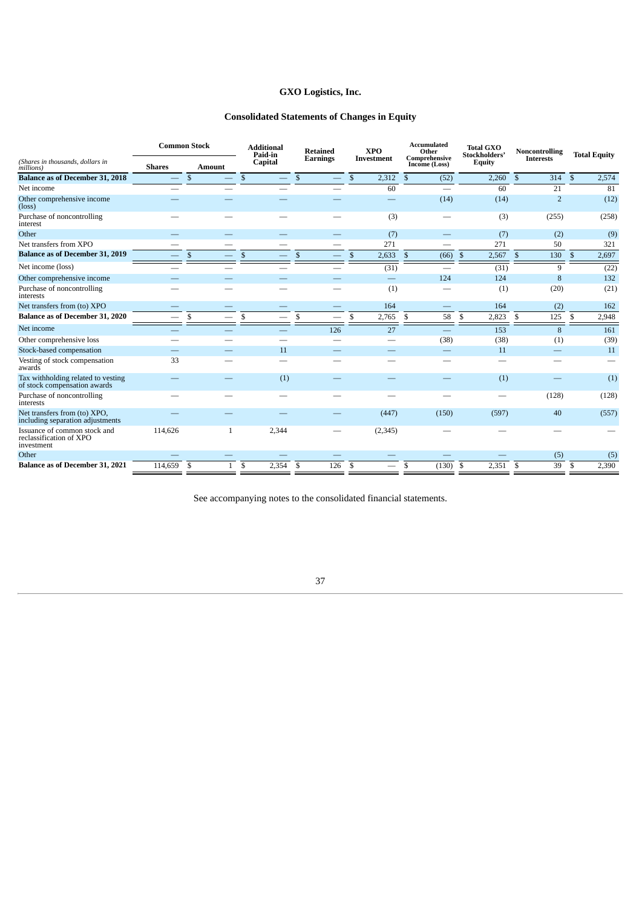# **Consolidated Statements of Changes in Equity**

|                                                                       |                          | <b>Common Stock</b>                        |                                | <b>Retained</b> |                          | <b>XPO</b>                     | <b>Accumulated</b><br>Other    | <b>Total GXO</b><br>Stockholders' | Noncontrolling        |              | <b>Total Equity</b> |
|-----------------------------------------------------------------------|--------------------------|--------------------------------------------|--------------------------------|-----------------|--------------------------|--------------------------------|--------------------------------|-----------------------------------|-----------------------|--------------|---------------------|
| (Shares in thousands, dollars in<br>millions)                         | <b>Shares</b>            | <b>Amount</b>                              | Paid-in<br>Capital             | <b>Earnings</b> |                          | Investment                     | Comprehensive<br>Income (Loss) | <b>Equity</b>                     | <b>Interests</b>      |              |                     |
| <b>Balance as of December 31, 2018</b>                                |                          | $\mathbb{S}$                               | \$                             | \$              |                          | $\mathfrak{S}$<br>2,312        | $\mathbb{S}$<br>(52)           | 2,260                             | \$<br>314             | $\mathbb{S}$ | 2,574               |
| Net income                                                            |                          |                                            |                                |                 |                          | 60                             | $\overline{\phantom{0}}$       | 60                                | 21                    |              | 81                  |
| Other comprehensive income<br>$(\text{loss})$                         |                          |                                            |                                |                 |                          |                                | (14)                           | (14)                              | $\overline{2}$        |              | (12)                |
| Purchase of noncontrolling<br>interest                                |                          |                                            |                                |                 |                          | (3)                            |                                | (3)                               | (255)                 |              | (258)               |
| Other                                                                 |                          |                                            |                                |                 |                          | (7)                            |                                | (7)                               | (2)                   |              | (9)                 |
| Net transfers from XPO                                                |                          |                                            |                                |                 |                          | 271                            |                                | 271                               | 50                    |              | 321                 |
| <b>Balance as of December 31, 2019</b>                                |                          | $\mathcal{S}$                              | $\mathbb{S}$                   | $\mathbf{s}$    |                          | 2,633<br>$\mathbb{S}$          | (66)<br>$\mathbb{S}$           | 2,567<br>$\mathbb{S}$             | 130<br>$\mathfrak{S}$ | $\mathbb{S}$ | 2,697               |
| Net income (loss)                                                     |                          |                                            |                                |                 |                          | (31)                           |                                | (31)                              | 9                     |              | (22)                |
| Other comprehensive income                                            |                          |                                            |                                |                 |                          | $\overline{\phantom{0}}$       | 124                            | 124                               | 8                     |              | 132                 |
| Purchase of noncontrolling<br>interests                               |                          |                                            |                                |                 |                          | (1)                            |                                | (1)                               | (20)                  |              | (21)                |
| Net transfers from (to) XPO                                           |                          |                                            |                                |                 |                          | 164                            | $\hspace{0.05cm}$              | 164                               | (2)                   |              | 162                 |
| <b>Balance as of December 31, 2020</b>                                | $\overline{\phantom{0}}$ | $\mathfrak{s}$<br>$\overline{\phantom{0}}$ | \$<br>$\overline{\phantom{0}}$ | \$              | $\overline{\phantom{0}}$ | 2,765<br>\$                    | \$<br>58                       | \$<br>2,823                       | \$<br>125             | \$           | 2,948               |
| Net income                                                            |                          |                                            |                                | 126             |                          | 27                             |                                | 153                               | 8                     |              | 161                 |
| Other comprehensive loss                                              |                          |                                            |                                |                 |                          |                                | (38)                           | (38)                              | (1)                   |              | (39)                |
| Stock-based compensation                                              |                          |                                            | 11                             |                 |                          |                                |                                | 11                                |                       |              | 11                  |
| Vesting of stock compensation<br>awards                               | 33                       |                                            |                                |                 |                          |                                |                                |                                   |                       |              |                     |
| Tax withholding related to vesting<br>of stock compensation awards    |                          |                                            | (1)                            |                 |                          |                                |                                | (1)                               |                       |              | (1)                 |
| Purchase of noncontrolling<br>interests                               |                          |                                            |                                |                 |                          |                                |                                |                                   | (128)                 |              | (128)               |
| Net transfers from (to) XPO,<br>including separation adjustments      |                          |                                            |                                |                 |                          | (447)                          | (150)                          | (597)                             | 40                    |              | (557)               |
| Issuance of common stock and<br>reclassification of XPO<br>investment | 114,626                  | 1                                          | 2,344                          |                 |                          | (2,345)                        |                                |                                   |                       |              |                     |
| Other                                                                 |                          |                                            |                                |                 |                          |                                |                                |                                   | (5)                   |              | (5)                 |
| <b>Balance as of December 31, 2021</b>                                | 114,659                  | \$<br>$\mathbf{1}$                         | \$<br>2,354                    | 126<br>\$       |                          | \$<br>$\overline{\phantom{0}}$ | (130)<br>\$                    | 2,351<br>\$                       | 39<br>\$              | \$           | 2,390               |

See accompanying notes to the consolidated financial statements.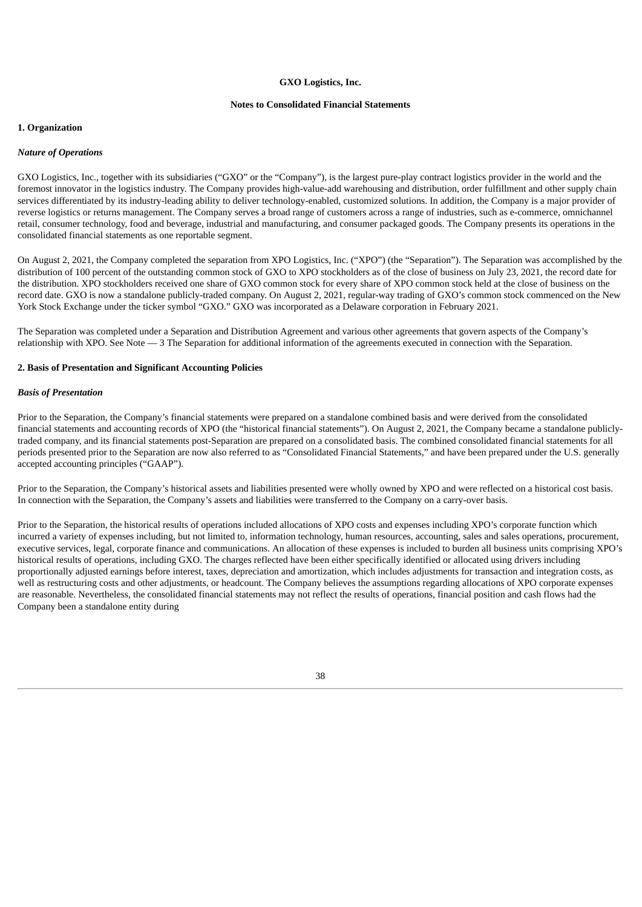### **Notes to Consolidated Financial Statements**

# **1. Organization**

### *Nature of Operations*

GXO Logistics, Inc., together with its subsidiaries ("GXO" or the "Company"), is the largest pure-play contract logistics provider in the world and the foremost innovator in the logistics industry. The Company provides high-value-add warehousing and distribution, order fulfillment and other supply chain services differentiated by its industry-leading ability to deliver technology-enabled, customized solutions. In addition, the Company is a major provider of reverse logistics or returns management. The Company serves a broad range of customers across a range of industries, such as e-commerce, omnichannel retail, consumer technology, food and beverage, industrial and manufacturing, and consumer packaged goods. The Company presents its operations in the consolidated financial statements as one reportable segment.

On August 2, 2021, the Company completed the separation from XPO Logistics, Inc. ("XPO") (the "Separation"). The Separation was accomplished by the distribution of 100 percent of the outstanding common stock of GXO to XPO stockholders as of the close of business on July 23, 2021, the record date for the distribution. XPO stockholders received one share of GXO common stock for every share of XPO common stock held at the close of business on the record date. GXO is now a standalone publicly-traded company. On August 2, 2021, regular-way trading of GXO's common stock commenced on the New York Stock Exchange under the ticker symbol "GXO." GXO was incorporated as a Delaware corporation in February 2021.

The Separation was completed under a Separation and Distribution Agreement and various other agreements that govern aspects of the Company's relationship with XPO. See Note — 3 The Separation for additional information of the agreements executed in connection with the Separation.

### **2. Basis of Presentation and Significant Accounting Policies**

### *Basis of Presentation*

Prior to the Separation, the Company's financial statements were prepared on a standalone combined basis and were derived from the consolidated financial statements and accounting records of XPO (the "historical financial statements"). On August 2, 2021, the Company became a standalone publiclytraded company, and its financial statements post-Separation are prepared on a consolidated basis. The combined consolidated financial statements for all periods presented prior to the Separation are now also referred to as "Consolidated Financial Statements," and have been prepared under the U.S. generally accepted accounting principles ("GAAP").

Prior to the Separation, the Company's historical assets and liabilities presented were wholly owned by XPO and were reflected on a historical cost basis. In connection with the Separation, the Company's assets and liabilities were transferred to the Company on a carry-over basis.

Prior to the Separation, the historical results of operations included allocations of XPO costs and expenses including XPO's corporate function which incurred a variety of expenses including, but not limited to, information technology, human resources, accounting, sales and sales operations, procurement, executive services, legal, corporate finance and communications. An allocation of these expenses is included to burden all business units comprising XPO's historical results of operations, including GXO. The charges reflected have been either specifically identified or allocated using drivers including proportionally adjusted earnings before interest, taxes, depreciation and amortization, which includes adjustments for transaction and integration costs, as well as restructuring costs and other adjustments, or headcount. The Company believes the assumptions regarding allocations of XPO corporate expenses are reasonable. Nevertheless, the consolidated financial statements may not reflect the results of operations, financial position and cash flows had the Company been a standalone entity during

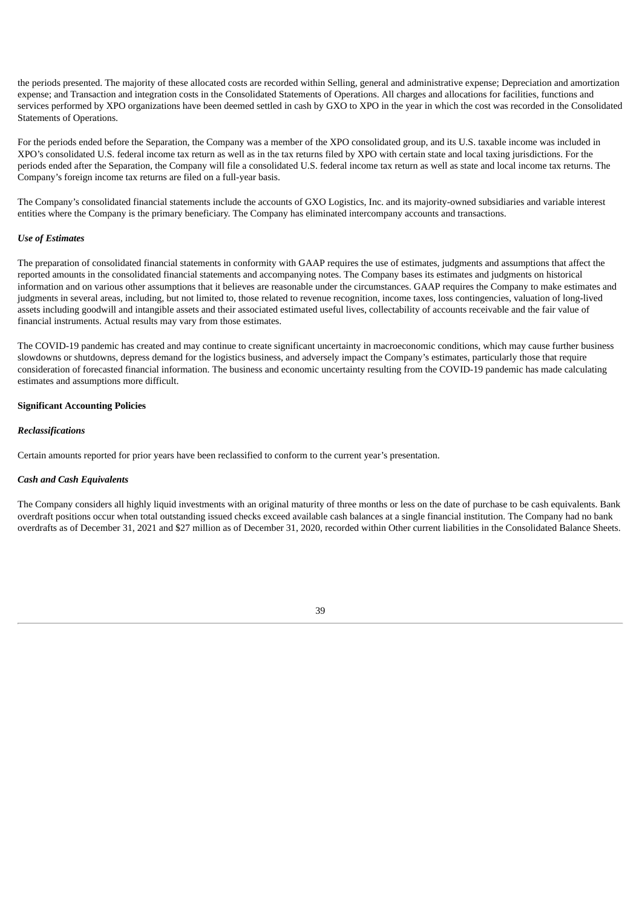the periods presented. The majority of these allocated costs are recorded within Selling, general and administrative expense; Depreciation and amortization expense; and Transaction and integration costs in the Consolidated Statements of Operations. All charges and allocations for facilities, functions and services performed by XPO organizations have been deemed settled in cash by GXO to XPO in the year in which the cost was recorded in the Consolidated Statements of Operations.

For the periods ended before the Separation, the Company was a member of the XPO consolidated group, and its U.S. taxable income was included in XPO's consolidated U.S. federal income tax return as well as in the tax returns filed by XPO with certain state and local taxing jurisdictions. For the periods ended after the Separation, the Company will file a consolidated U.S. federal income tax return as well as state and local income tax returns. The Company's foreign income tax returns are filed on a full-year basis.

The Company's consolidated financial statements include the accounts of GXO Logistics, Inc. and its majority-owned subsidiaries and variable interest entities where the Company is the primary beneficiary. The Company has eliminated intercompany accounts and transactions.

### *Use of Estimates*

The preparation of consolidated financial statements in conformity with GAAP requires the use of estimates, judgments and assumptions that affect the reported amounts in the consolidated financial statements and accompanying notes. The Company bases its estimates and judgments on historical information and on various other assumptions that it believes are reasonable under the circumstances. GAAP requires the Company to make estimates and judgments in several areas, including, but not limited to, those related to revenue recognition, income taxes, loss contingencies, valuation of long-lived assets including goodwill and intangible assets and their associated estimated useful lives, collectability of accounts receivable and the fair value of financial instruments. Actual results may vary from those estimates.

The COVID-19 pandemic has created and may continue to create significant uncertainty in macroeconomic conditions, which may cause further business slowdowns or shutdowns, depress demand for the logistics business, and adversely impact the Company's estimates, particularly those that require consideration of forecasted financial information. The business and economic uncertainty resulting from the COVID-19 pandemic has made calculating estimates and assumptions more difficult.

### **Significant Accounting Policies**

### *Reclassifications*

Certain amounts reported for prior years have been reclassified to conform to the current year's presentation.

### *Cash and Cash Equivalents*

The Company considers all highly liquid investments with an original maturity of three months or less on the date of purchase to be cash equivalents. Bank overdraft positions occur when total outstanding issued checks exceed available cash balances at a single financial institution. The Company had no bank overdrafts as of December 31, 2021 and \$27 million as of December 31, 2020, recorded within Other current liabilities in the Consolidated Balance Sheets.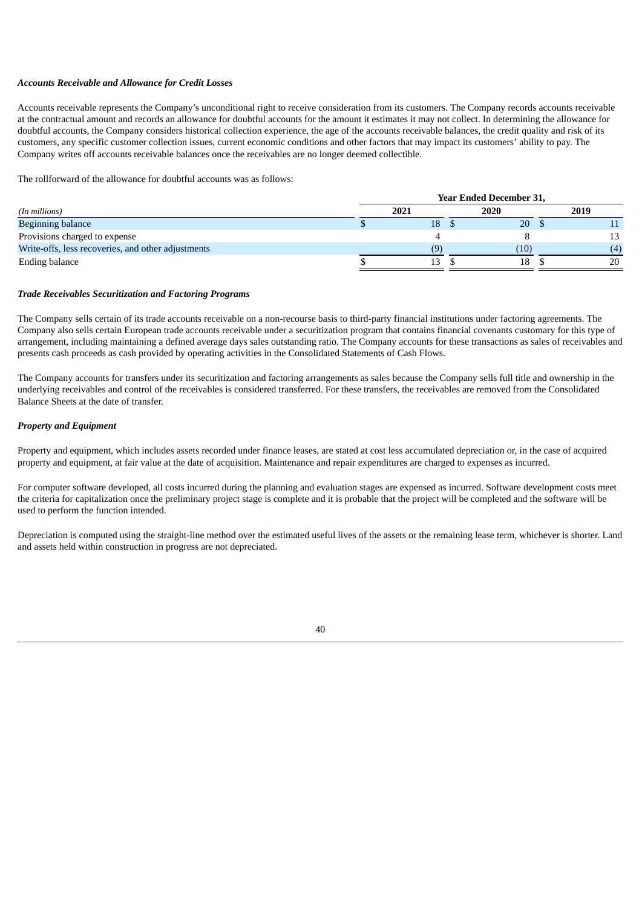### *Accounts Receivable and Allowance for Credit Losses*

Accounts receivable represents the Company's unconditional right to receive consideration from its customers. The Company records accounts receivable at the contractual amount and records an allowance for doubtful accounts for the amount it estimates it may not collect. In determining the allowance for doubtful accounts, the Company considers historical collection experience, the age of the accounts receivable balances, the credit quality and risk of its customers, any specific customer collection issues, current economic conditions and other factors that may impact its customers' ability to pay. The Company writes off accounts receivable balances once the receivables are no longer deemed collectible.

The rollforward of the allowance for doubtful accounts was as follows:

|                                                    | <b>Year Ended December 31,</b> |      |      |      |  |      |
|----------------------------------------------------|--------------------------------|------|------|------|--|------|
| (In millions)                                      |                                | 2021 | 2020 |      |  | 2019 |
| Beginning balance                                  |                                | 18   |      | 20   |  |      |
| Provisions charged to expense                      |                                |      |      |      |  | 13   |
| Write-offs, less recoveries, and other adjustments |                                | (9   |      | (10) |  | (4)  |
| Ending balance                                     |                                | 13   |      | 18   |  | 20   |

### *Trade Receivables Securitization and Factoring Programs*

The Company sells certain of its trade accounts receivable on a non-recourse basis to third-party financial institutions under factoring agreements. The Company also sells certain European trade accounts receivable under a securitization program that contains financial covenants customary for this type of arrangement, including maintaining a defined average days sales outstanding ratio. The Company accounts for these transactions as sales of receivables and presents cash proceeds as cash provided by operating activities in the Consolidated Statements of Cash Flows.

The Company accounts for transfers under its securitization and factoring arrangements as sales because the Company sells full title and ownership in the underlying receivables and control of the receivables is considered transferred. For these transfers, the receivables are removed from the Consolidated Balance Sheets at the date of transfer.

### *Property and Equipment*

Property and equipment, which includes assets recorded under finance leases, are stated at cost less accumulated depreciation or, in the case of acquired property and equipment, at fair value at the date of acquisition. Maintenance and repair expenditures are charged to expenses as incurred.

For computer software developed, all costs incurred during the planning and evaluation stages are expensed as incurred. Software development costs meet the criteria for capitalization once the preliminary project stage is complete and it is probable that the project will be completed and the software will be used to perform the function intended.

Depreciation is computed using the straight-line method over the estimated useful lives of the assets or the remaining lease term, whichever is shorter. Land and assets held within construction in progress are not depreciated.

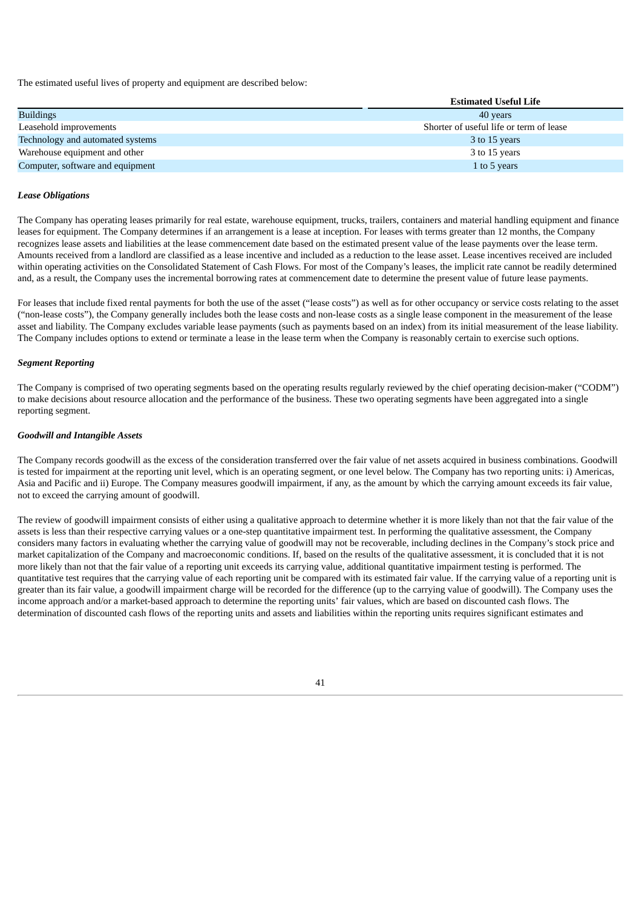The estimated useful lives of property and equipment are described below:

|                                  | <b>Estimated Useful Life</b>            |
|----------------------------------|-----------------------------------------|
| <b>Buildings</b>                 | 40 vears                                |
| Leasehold improvements           | Shorter of useful life or term of lease |
| Technology and automated systems | 3 to 15 years                           |
| Warehouse equipment and other    | 3 to 15 years                           |
| Computer, software and equipment | 1 to 5 years                            |

### *Lease Obligations*

The Company has operating leases primarily for real estate, warehouse equipment, trucks, trailers, containers and material handling equipment and finance leases for equipment. The Company determines if an arrangement is a lease at inception. For leases with terms greater than 12 months, the Company recognizes lease assets and liabilities at the lease commencement date based on the estimated present value of the lease payments over the lease term. Amounts received from a landlord are classified as a lease incentive and included as a reduction to the lease asset. Lease incentives received are included within operating activities on the Consolidated Statement of Cash Flows. For most of the Company's leases, the implicit rate cannot be readily determined and, as a result, the Company uses the incremental borrowing rates at commencement date to determine the present value of future lease payments.

For leases that include fixed rental payments for both the use of the asset ("lease costs") as well as for other occupancy or service costs relating to the asset ("non-lease costs"), the Company generally includes both the lease costs and non-lease costs as a single lease component in the measurement of the lease asset and liability. The Company excludes variable lease payments (such as payments based on an index) from its initial measurement of the lease liability. The Company includes options to extend or terminate a lease in the lease term when the Company is reasonably certain to exercise such options.

# *Segment Reporting*

The Company is comprised of two operating segments based on the operating results regularly reviewed by the chief operating decision-maker ("CODM") to make decisions about resource allocation and the performance of the business. These two operating segments have been aggregated into a single reporting segment.

### *Goodwill and Intangible Assets*

The Company records goodwill as the excess of the consideration transferred over the fair value of net assets acquired in business combinations. Goodwill is tested for impairment at the reporting unit level, which is an operating segment, or one level below. The Company has two reporting units: i) Americas, Asia and Pacific and ii) Europe. The Company measures goodwill impairment, if any, as the amount by which the carrying amount exceeds its fair value, not to exceed the carrying amount of goodwill.

The review of goodwill impairment consists of either using a qualitative approach to determine whether it is more likely than not that the fair value of the assets is less than their respective carrying values or a one-step quantitative impairment test. In performing the qualitative assessment, the Company considers many factors in evaluating whether the carrying value of goodwill may not be recoverable, including declines in the Company's stock price and market capitalization of the Company and macroeconomic conditions. If, based on the results of the qualitative assessment, it is concluded that it is not more likely than not that the fair value of a reporting unit exceeds its carrying value, additional quantitative impairment testing is performed. The quantitative test requires that the carrying value of each reporting unit be compared with its estimated fair value. If the carrying value of a reporting unit is greater than its fair value, a goodwill impairment charge will be recorded for the difference (up to the carrying value of goodwill). The Company uses the income approach and/or a market-based approach to determine the reporting units' fair values, which are based on discounted cash flows. The determination of discounted cash flows of the reporting units and assets and liabilities within the reporting units requires significant estimates and

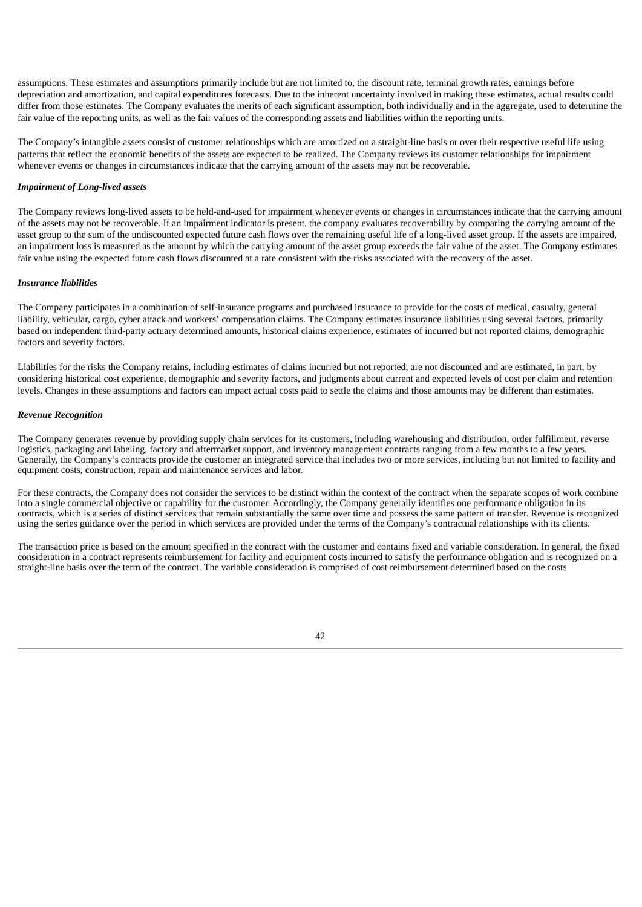assumptions. These estimates and assumptions primarily include but are not limited to, the discount rate, terminal growth rates, earnings before depreciation and amortization, and capital expenditures forecasts. Due to the inherent uncertainty involved in making these estimates, actual results could differ from those estimates. The Company evaluates the merits of each significant assumption, both individually and in the aggregate, used to determine the fair value of the reporting units, as well as the fair values of the corresponding assets and liabilities within the reporting units.

The Company's intangible assets consist of customer relationships which are amortized on a straight-line basis or over their respective useful life using patterns that reflect the economic benefits of the assets are expected to be realized. The Company reviews its customer relationships for impairment whenever events or changes in circumstances indicate that the carrying amount of the assets may not be recoverable.

### *Impairment of Long-lived assets*

The Company reviews long-lived assets to be held-and-used for impairment whenever events or changes in circumstances indicate that the carrying amount of the assets may not be recoverable. If an impairment indicator is present, the company evaluates recoverability by comparing the carrying amount of the asset group to the sum of the undiscounted expected future cash flows over the remaining useful life of a long-lived asset group. If the assets are impaired, an impairment loss is measured as the amount by which the carrying amount of the asset group exceeds the fair value of the asset. The Company estimates fair value using the expected future cash flows discounted at a rate consistent with the risks associated with the recovery of the asset.

#### *Insurance liabilities*

The Company participates in a combination of self-insurance programs and purchased insurance to provide for the costs of medical, casualty, general liability, vehicular, cargo, cyber attack and workers' compensation claims. The Company estimates insurance liabilities using several factors, primarily based on independent third-party actuary determined amounts, historical claims experience, estimates of incurred but not reported claims, demographic factors and severity factors.

Liabilities for the risks the Company retains, including estimates of claims incurred but not reported, are not discounted and are estimated, in part, by considering historical cost experience, demographic and severity factors, and judgments about current and expected levels of cost per claim and retention levels. Changes in these assumptions and factors can impact actual costs paid to settle the claims and those amounts may be different than estimates.

#### *Revenue Recognition*

The Company generates revenue by providing supply chain services for its customers, including warehousing and distribution, order fulfillment, reverse logistics, packaging and labeling, factory and aftermarket support, and inventory management contracts ranging from a few months to a few years. Generally, the Company's contracts provide the customer an integrated service that includes two or more services, including but not limited to facility and equipment costs, construction, repair and maintenance services and labor.

For these contracts, the Company does not consider the services to be distinct within the context of the contract when the separate scopes of work combine into a single commercial objective or capability for the customer. Accordingly, the Company generally identifies one performance obligation in its contracts, which is a series of distinct services that remain substantially the same over time and possess the same pattern of transfer. Revenue is recognized using the series guidance over the period in which services are provided under the terms of the Company's contractual relationships with its clients.

The transaction price is based on the amount specified in the contract with the customer and contains fixed and variable consideration. In general, the fixed consideration in a contract represents reimbursement for facility and equipment costs incurred to satisfy the performance obligation and is recognized on a straight-line basis over the term of the contract. The variable consideration is comprised of cost reimbursement determined based on the costs

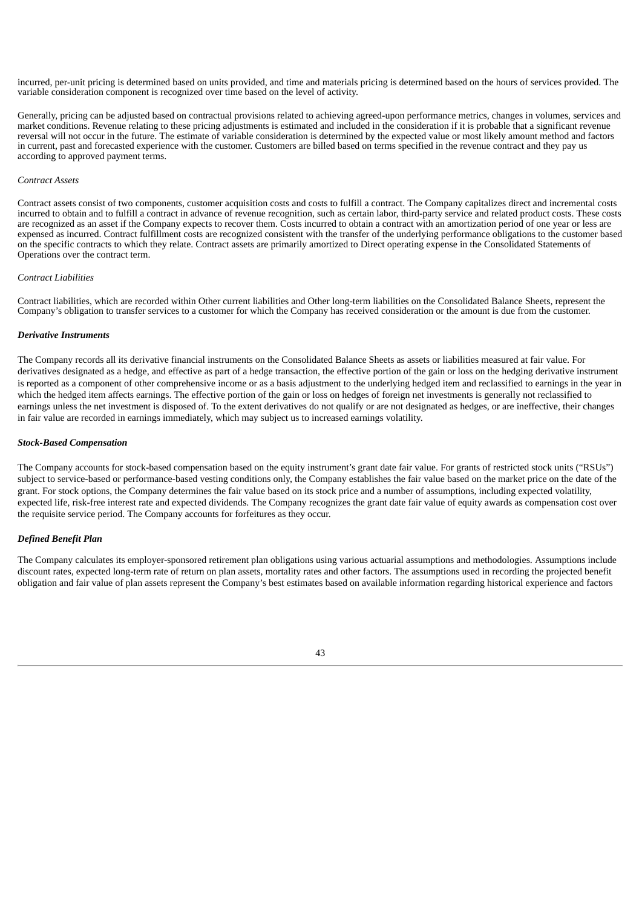incurred, per-unit pricing is determined based on units provided, and time and materials pricing is determined based on the hours of services provided. The variable consideration component is recognized over time based on the level of activity.

Generally, pricing can be adjusted based on contractual provisions related to achieving agreed-upon performance metrics, changes in volumes, services and market conditions. Revenue relating to these pricing adjustments is estimated and included in the consideration if it is probable that a significant revenue reversal will not occur in the future. The estimate of variable consideration is determined by the expected value or most likely amount method and factors in current, past and forecasted experience with the customer. Customers are billed based on terms specified in the revenue contract and they pay us according to approved payment terms.

#### *Contract Assets*

Contract assets consist of two components, customer acquisition costs and costs to fulfill a contract. The Company capitalizes direct and incremental costs incurred to obtain and to fulfill a contract in advance of revenue recognition, such as certain labor, third-party service and related product costs. These costs are recognized as an asset if the Company expects to recover them. Costs incurred to obtain a contract with an amortization period of one year or less are expensed as incurred. Contract fulfillment costs are recognized consistent with the transfer of the underlying performance obligations to the customer based on the specific contracts to which they relate. Contract assets are primarily amortized to Direct operating expense in the Consolidated Statements of Operations over the contract term.

### *Contract Liabilities*

Contract liabilities, which are recorded within Other current liabilities and Other long-term liabilities on the Consolidated Balance Sheets, represent the Company's obligation to transfer services to a customer for which the Company has received consideration or the amount is due from the customer.

### *Derivative Instruments*

The Company records all its derivative financial instruments on the Consolidated Balance Sheets as assets or liabilities measured at fair value. For derivatives designated as a hedge, and effective as part of a hedge transaction, the effective portion of the gain or loss on the hedging derivative instrument is reported as a component of other comprehensive income or as a basis adjustment to the underlying hedged item and reclassified to earnings in the year in which the hedged item affects earnings. The effective portion of the gain or loss on hedges of foreign net investments is generally not reclassified to earnings unless the net investment is disposed of. To the extent derivatives do not qualify or are not designated as hedges, or are ineffective, their changes in fair value are recorded in earnings immediately, which may subject us to increased earnings volatility.

#### *Stock-Based Compensation*

The Company accounts for stock-based compensation based on the equity instrument's grant date fair value. For grants of restricted stock units ("RSUs") subject to service-based or performance-based vesting conditions only, the Company establishes the fair value based on the market price on the date of the grant. For stock options, the Company determines the fair value based on its stock price and a number of assumptions, including expected volatility, expected life, risk-free interest rate and expected dividends. The Company recognizes the grant date fair value of equity awards as compensation cost over the requisite service period. The Company accounts for forfeitures as they occur.

# *Defined Benefit Plan*

The Company calculates its employer-sponsored retirement plan obligations using various actuarial assumptions and methodologies. Assumptions include discount rates, expected long-term rate of return on plan assets, mortality rates and other factors. The assumptions used in recording the projected benefit obligation and fair value of plan assets represent the Company's best estimates based on available information regarding historical experience and factors

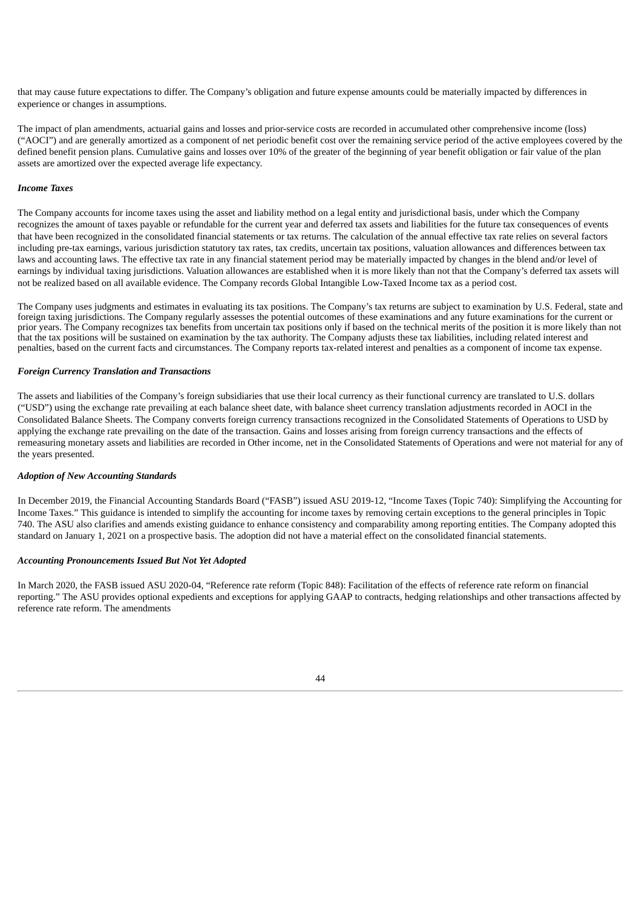that may cause future expectations to differ. The Company's obligation and future expense amounts could be materially impacted by differences in experience or changes in assumptions.

The impact of plan amendments, actuarial gains and losses and prior-service costs are recorded in accumulated other comprehensive income (loss) ("AOCI") and are generally amortized as a component of net periodic benefit cost over the remaining service period of the active employees covered by the defined benefit pension plans. Cumulative gains and losses over 10% of the greater of the beginning of year benefit obligation or fair value of the plan assets are amortized over the expected average life expectancy.

# *Income Taxes*

The Company accounts for income taxes using the asset and liability method on a legal entity and jurisdictional basis, under which the Company recognizes the amount of taxes payable or refundable for the current year and deferred tax assets and liabilities for the future tax consequences of events that have been recognized in the consolidated financial statements or tax returns. The calculation of the annual effective tax rate relies on several factors including pre-tax earnings, various jurisdiction statutory tax rates, tax credits, uncertain tax positions, valuation allowances and differences between tax laws and accounting laws. The effective tax rate in any financial statement period may be materially impacted by changes in the blend and/or level of earnings by individual taxing jurisdictions. Valuation allowances are established when it is more likely than not that the Company's deferred tax assets will not be realized based on all available evidence. The Company records Global Intangible Low-Taxed Income tax as a period cost.

The Company uses judgments and estimates in evaluating its tax positions. The Company's tax returns are subject to examination by U.S. Federal, state and foreign taxing jurisdictions. The Company regularly assesses the potential outcomes of these examinations and any future examinations for the current or prior years. The Company recognizes tax benefits from uncertain tax positions only if based on the technical merits of the position it is more likely than not that the tax positions will be sustained on examination by the tax authority. The Company adjusts these tax liabilities, including related interest and penalties, based on the current facts and circumstances. The Company reports tax-related interest and penalties as a component of income tax expense.

# *Foreign Currency Translation and Transactions*

The assets and liabilities of the Company's foreign subsidiaries that use their local currency as their functional currency are translated to U.S. dollars ("USD") using the exchange rate prevailing at each balance sheet date, with balance sheet currency translation adjustments recorded in AOCI in the Consolidated Balance Sheets. The Company converts foreign currency transactions recognized in the Consolidated Statements of Operations to USD by applying the exchange rate prevailing on the date of the transaction. Gains and losses arising from foreign currency transactions and the effects of remeasuring monetary assets and liabilities are recorded in Other income, net in the Consolidated Statements of Operations and were not material for any of the years presented.

### *Adoption of New Accounting Standards*

In December 2019, the Financial Accounting Standards Board ("FASB") issued ASU 2019-12, "Income Taxes (Topic 740): Simplifying the Accounting for Income Taxes." This guidance is intended to simplify the accounting for income taxes by removing certain exceptions to the general principles in Topic 740. The ASU also clarifies and amends existing guidance to enhance consistency and comparability among reporting entities. The Company adopted this standard on January 1, 2021 on a prospective basis. The adoption did not have a material effect on the consolidated financial statements.

### *Accounting Pronouncements Issued But Not Yet Adopted*

In March 2020, the FASB issued ASU 2020-04, "Reference rate reform (Topic 848): Facilitation of the effects of reference rate reform on financial reporting." The ASU provides optional expedients and exceptions for applying GAAP to contracts, hedging relationships and other transactions affected by reference rate reform. The amendments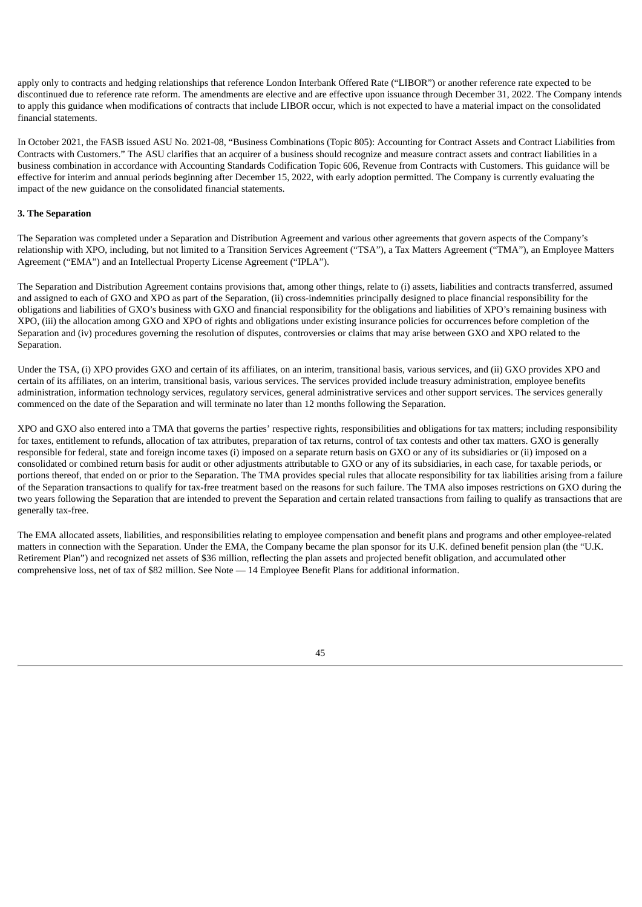apply only to contracts and hedging relationships that reference London Interbank Offered Rate ("LIBOR") or another reference rate expected to be discontinued due to reference rate reform. The amendments are elective and are effective upon issuance through December 31, 2022. The Company intends to apply this guidance when modifications of contracts that include LIBOR occur, which is not expected to have a material impact on the consolidated financial statements.

In October 2021, the FASB issued ASU No. 2021-08, "Business Combinations (Topic 805): Accounting for Contract Assets and Contract Liabilities from Contracts with Customers." The ASU clarifies that an acquirer of a business should recognize and measure contract assets and contract liabilities in a business combination in accordance with Accounting Standards Codification Topic 606, Revenue from Contracts with Customers. This guidance will be effective for interim and annual periods beginning after December 15, 2022, with early adoption permitted. The Company is currently evaluating the impact of the new guidance on the consolidated financial statements.

# **3. The Separation**

The Separation was completed under a Separation and Distribution Agreement and various other agreements that govern aspects of the Company's relationship with XPO, including, but not limited to a Transition Services Agreement ("TSA"), a Tax Matters Agreement ("TMA"), an Employee Matters Agreement ("EMA") and an Intellectual Property License Agreement ("IPLA").

The Separation and Distribution Agreement contains provisions that, among other things, relate to (i) assets, liabilities and contracts transferred, assumed and assigned to each of GXO and XPO as part of the Separation, (ii) cross-indemnities principally designed to place financial responsibility for the obligations and liabilities of GXO's business with GXO and financial responsibility for the obligations and liabilities of XPO's remaining business with XPO, (iii) the allocation among GXO and XPO of rights and obligations under existing insurance policies for occurrences before completion of the Separation and (iv) procedures governing the resolution of disputes, controversies or claims that may arise between GXO and XPO related to the Separation.

Under the TSA, (i) XPO provides GXO and certain of its affiliates, on an interim, transitional basis, various services, and (ii) GXO provides XPO and certain of its affiliates, on an interim, transitional basis, various services. The services provided include treasury administration, employee benefits administration, information technology services, regulatory services, general administrative services and other support services. The services generally commenced on the date of the Separation and will terminate no later than 12 months following the Separation.

XPO and GXO also entered into a TMA that governs the parties' respective rights, responsibilities and obligations for tax matters; including responsibility for taxes, entitlement to refunds, allocation of tax attributes, preparation of tax returns, control of tax contests and other tax matters. GXO is generally responsible for federal, state and foreign income taxes (i) imposed on a separate return basis on GXO or any of its subsidiaries or (ii) imposed on a consolidated or combined return basis for audit or other adjustments attributable to GXO or any of its subsidiaries, in each case, for taxable periods, or portions thereof, that ended on or prior to the Separation. The TMA provides special rules that allocate responsibility for tax liabilities arising from a failure of the Separation transactions to qualify for tax-free treatment based on the reasons for such failure. The TMA also imposes restrictions on GXO during the two years following the Separation that are intended to prevent the Separation and certain related transactions from failing to qualify as transactions that are generally tax-free.

The EMA allocated assets, liabilities, and responsibilities relating to employee compensation and benefit plans and programs and other employee-related matters in connection with the Separation. Under the EMA, the Company became the plan sponsor for its U.K. defined benefit pension plan (the "U.K. Retirement Plan") and recognized net assets of \$36 million, reflecting the plan assets and projected benefit obligation, and accumulated other comprehensive loss, net of tax of \$82 million. See Note — 14 Employee Benefit Plans for additional information.

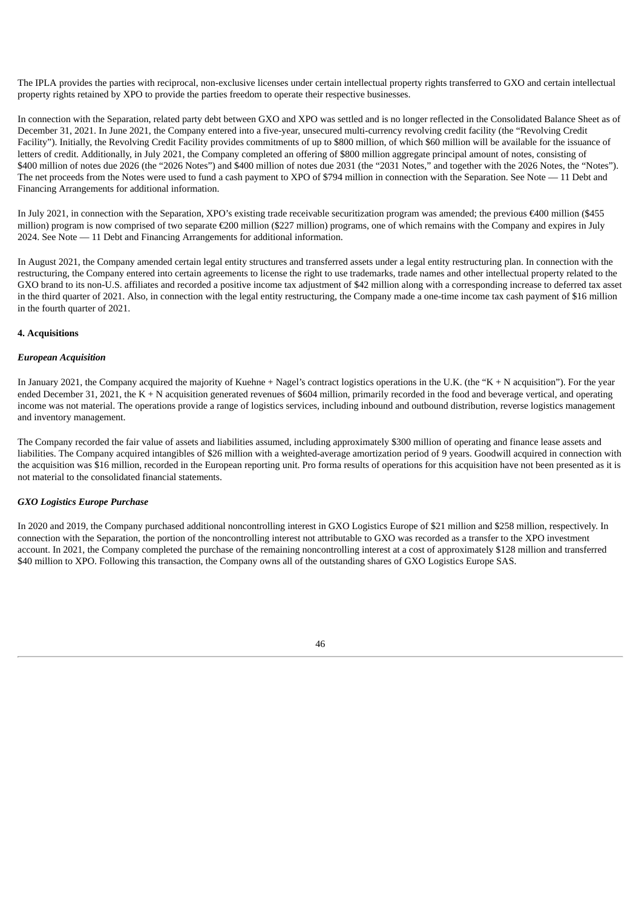The IPLA provides the parties with reciprocal, non-exclusive licenses under certain intellectual property rights transferred to GXO and certain intellectual property rights retained by XPO to provide the parties freedom to operate their respective businesses.

In connection with the Separation, related party debt between GXO and XPO was settled and is no longer reflected in the Consolidated Balance Sheet as of December 31, 2021. In June 2021, the Company entered into a five-year, unsecured multi-currency revolving credit facility (the "Revolving Credit Facility"). Initially, the Revolving Credit Facility provides commitments of up to \$800 million, of which \$60 million will be available for the issuance of letters of credit. Additionally, in July 2021, the Company completed an offering of \$800 million aggregate principal amount of notes, consisting of \$400 million of notes due 2026 (the "2026 Notes") and \$400 million of notes due 2031 (the "2031 Notes," and together with the 2026 Notes, the "Notes"). The net proceeds from the Notes were used to fund a cash payment to XPO of \$794 million in connection with the Separation. See Note — 11 Debt and Financing Arrangements for additional information.

In July 2021, in connection with the Separation, XPO's existing trade receivable securitization program was amended; the previous €400 million (\$455 million) program is now comprised of two separate €200 million (\$227 million) programs, one of which remains with the Company and expires in July 2024. See Note — 11 Debt and Financing Arrangements for additional information.

In August 2021, the Company amended certain legal entity structures and transferred assets under a legal entity restructuring plan. In connection with the restructuring, the Company entered into certain agreements to license the right to use trademarks, trade names and other intellectual property related to the GXO brand to its non-U.S. affiliates and recorded a positive income tax adjustment of \$42 million along with a corresponding increase to deferred tax asset in the third quarter of 2021. Also, in connection with the legal entity restructuring, the Company made a one-time income tax cash payment of \$16 million in the fourth quarter of 2021.

### **4. Acquisitions**

### *European Acquisition*

In January 2021, the Company acquired the majority of Kuehne + Nagel's contract logistics operations in the U.K. (the "K + N acquisition"). For the year ended December 31, 2021, the  $K + N$  acquisition generated revenues of \$604 million, primarily recorded in the food and beverage vertical, and operating income was not material. The operations provide a range of logistics services, including inbound and outbound distribution, reverse logistics management and inventory management.

The Company recorded the fair value of assets and liabilities assumed, including approximately \$300 million of operating and finance lease assets and liabilities. The Company acquired intangibles of \$26 million with a weighted-average amortization period of 9 years. Goodwill acquired in connection with the acquisition was \$16 million, recorded in the European reporting unit. Pro forma results of operations for this acquisition have not been presented as it is not material to the consolidated financial statements.

### *GXO Logistics Europe Purchase*

In 2020 and 2019, the Company purchased additional noncontrolling interest in GXO Logistics Europe of \$21 million and \$258 million, respectively. In connection with the Separation, the portion of the noncontrolling interest not attributable to GXO was recorded as a transfer to the XPO investment account. In 2021, the Company completed the purchase of the remaining noncontrolling interest at a cost of approximately \$128 million and transferred \$40 million to XPO. Following this transaction, the Company owns all of the outstanding shares of GXO Logistics Europe SAS.

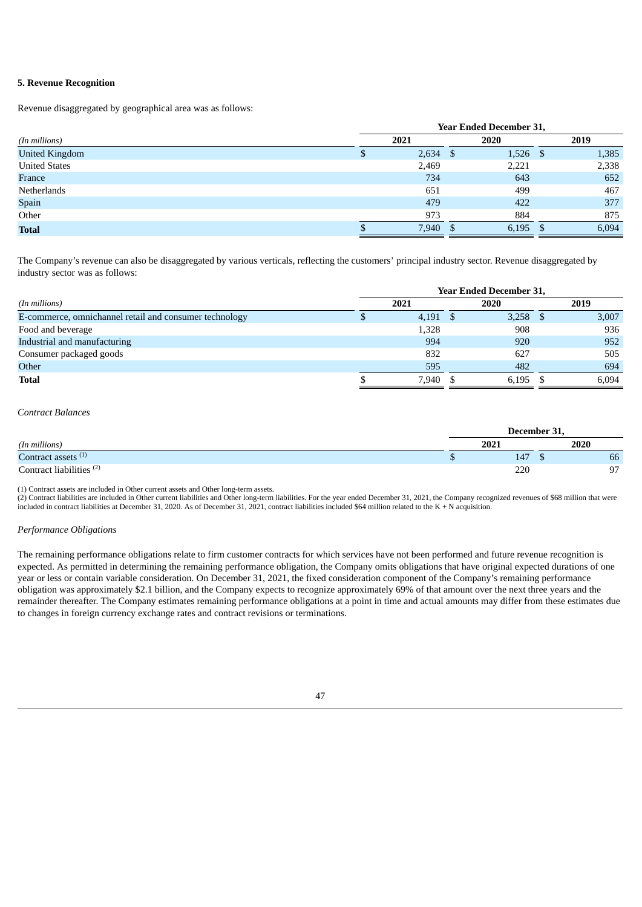# **5. Revenue Recognition**

Revenue disaggregated by geographical area was as follows:

| <b>Year Ended December 31,</b> |  |  |  |  |  |  |
|--------------------------------|--|--|--|--|--|--|
| 2019                           |  |  |  |  |  |  |
| 1,385                          |  |  |  |  |  |  |
| 2,338                          |  |  |  |  |  |  |
| 652                            |  |  |  |  |  |  |
| 467                            |  |  |  |  |  |  |
| 377                            |  |  |  |  |  |  |
| 875                            |  |  |  |  |  |  |
| 6,094                          |  |  |  |  |  |  |
|                                |  |  |  |  |  |  |

The Company's revenue can also be disaggregated by various verticals, reflecting the customers' principal industry sector. Revenue disaggregated by industry sector was as follows:

|                                                        | <b>Year Ended December 31,</b> |            |      |            |  |       |
|--------------------------------------------------------|--------------------------------|------------|------|------------|--|-------|
| (In millions)                                          | 2021                           |            | 2020 |            |  | 2019  |
| E-commerce, omnichannel retail and consumer technology |                                | $4,191$ \$ |      | $3,258$ \$ |  | 3,007 |
| Food and beverage                                      |                                | 1,328      |      | 908        |  | 936   |
| Industrial and manufacturing                           |                                | 994        |      | 920        |  | 952   |
| Consumer packaged goods                                |                                | 832        |      | 627        |  | 505   |
| Other                                                  |                                | 595        |      | 482        |  | 694   |
| <b>Total</b>                                           |                                | 7,940      |      | 6,195      |  | 6,094 |

# *Contract Balances*

|                                     | December 31, |      |  |           |  |  |  |
|-------------------------------------|--------------|------|--|-----------|--|--|--|
| (In millions)                       |              | 2021 |  | 2020      |  |  |  |
| Contract assets <sup>(1)</sup>      |              | 147  |  | 66        |  |  |  |
| Contract liabilities <sup>(2)</sup> |              | 220  |  | 97<br>ر ب |  |  |  |

(1) Contract assets are included in Other current assets and Other long-term assets.

(2) Contract liabilities are included in Other current liabilities and Other long-term liabilities. For the year ended December 31, 2021, the Company recognized revenues of \$68 million that were included in contract liabilities at December 31, 2020. As of December 31, 2021, contract liabilities included \$64 million related to the K + N acquisition.

### *Performance Obligations*

The remaining performance obligations relate to firm customer contracts for which services have not been performed and future revenue recognition is expected. As permitted in determining the remaining performance obligation, the Company omits obligations that have original expected durations of one year or less or contain variable consideration. On December 31, 2021, the fixed consideration component of the Company's remaining performance obligation was approximately \$2.1 billion, and the Company expects to recognize approximately 69% of that amount over the next three years and the remainder thereafter. The Company estimates remaining performance obligations at a point in time and actual amounts may differ from these estimates due to changes in foreign currency exchange rates and contract revisions or terminations.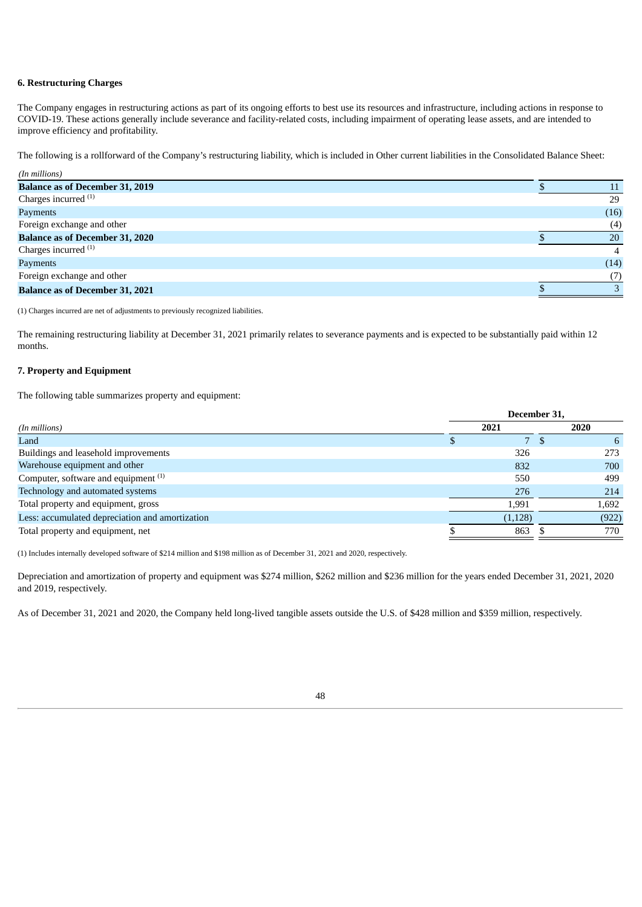# **6. Restructuring Charges**

The Company engages in restructuring actions as part of its ongoing efforts to best use its resources and infrastructure, including actions in response to COVID-19. These actions generally include severance and facility-related costs, including impairment of operating lease assets, and are intended to improve efficiency and profitability.

The following is a rollforward of the Company's restructuring liability, which is included in Other current liabilities in the Consolidated Balance Sheet:

| (In millions)                          |      |
|----------------------------------------|------|
| <b>Balance as of December 31, 2019</b> |      |
| Charges incurred <sup>(1)</sup>        | 29   |
| Payments                               | (16) |
| Foreign exchange and other             | (4)  |
| <b>Balance as of December 31, 2020</b> | 20   |
| Charges incurred <sup>(1)</sup>        | 4    |
| Payments                               | (14) |
| Foreign exchange and other             | (7)  |
| <b>Balance as of December 31, 2021</b> |      |

(1) Charges incurred are net of adjustments to previously recognized liabilities.

The remaining restructuring liability at December 31, 2021 primarily relates to severance payments and is expected to be substantially paid within 12 months.

# **7. Property and Equipment**

The following table summarizes property and equipment:

|                                                 |      | December 31, |  |       |  |  |  |
|-------------------------------------------------|------|--------------|--|-------|--|--|--|
| (In millions)                                   | 2021 |              |  | 2020  |  |  |  |
| Land                                            |      |              |  | 6     |  |  |  |
| Buildings and leasehold improvements            |      | 326          |  | 273   |  |  |  |
| Warehouse equipment and other                   |      | 832          |  | 700   |  |  |  |
| Computer, software and equipment (1)            |      | 550          |  | 499   |  |  |  |
| Technology and automated systems                |      | 276          |  | 214   |  |  |  |
| Total property and equipment, gross             |      | 1,991        |  | 1,692 |  |  |  |
| Less: accumulated depreciation and amortization |      | (1, 128)     |  | (922) |  |  |  |
| Total property and equipment, net               |      | 863          |  | 770   |  |  |  |
|                                                 |      |              |  |       |  |  |  |

(1) Includes internally developed software of \$214 million and \$198 million as of December 31, 2021 and 2020, respectively.

Depreciation and amortization of property and equipment was \$274 million, \$262 million and \$236 million for the years ended December 31, 2021, 2020 and 2019, respectively.

As of December 31, 2021 and 2020, the Company held long-lived tangible assets outside the U.S. of \$428 million and \$359 million, respectively.

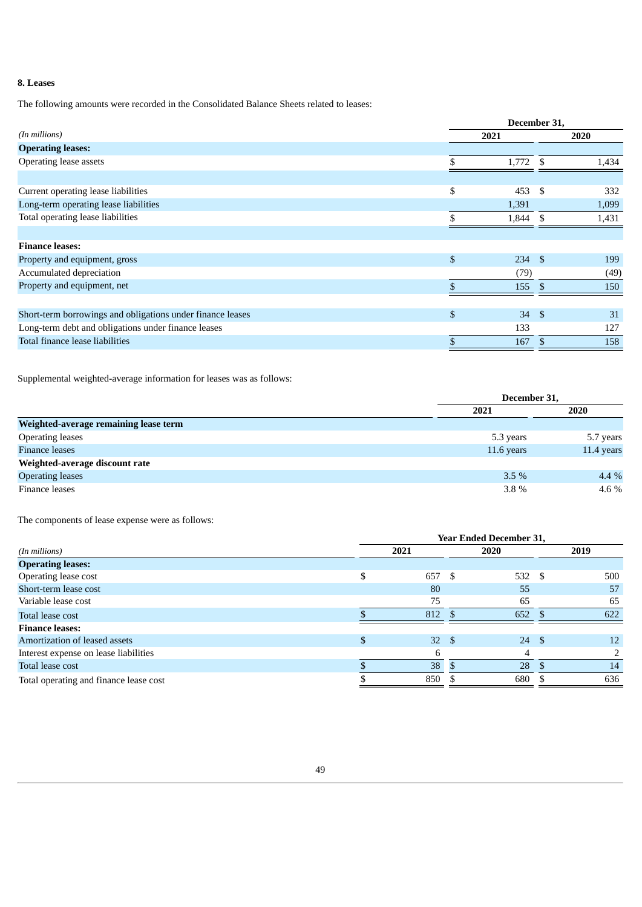# **8. Leases**

The following amounts were recorded in the Consolidated Balance Sheets related to leases:

|                                                            | December 31,   |       |      |       |  |  |  |  |
|------------------------------------------------------------|----------------|-------|------|-------|--|--|--|--|
| (In millions)                                              |                | 2021  |      | 2020  |  |  |  |  |
| <b>Operating leases:</b>                                   |                |       |      |       |  |  |  |  |
| Operating lease assets                                     |                | 1,772 | - \$ | 1,434 |  |  |  |  |
|                                                            |                |       |      |       |  |  |  |  |
| Current operating lease liabilities                        | \$             | 453   | -\$  | 332   |  |  |  |  |
| Long-term operating lease liabilities                      |                | 1,391 |      | 1,099 |  |  |  |  |
| Total operating lease liabilities                          |                | 1,844 | - \$ | 1,431 |  |  |  |  |
|                                                            |                |       |      |       |  |  |  |  |
| <b>Finance leases:</b>                                     |                |       |      |       |  |  |  |  |
| Property and equipment, gross                              | $\mathfrak{S}$ | 234S  |      | 199   |  |  |  |  |
| Accumulated depreciation                                   |                | (79)  |      | (49)  |  |  |  |  |
| Property and equipment, net                                |                | 155   | -\$  | 150   |  |  |  |  |
|                                                            |                |       |      |       |  |  |  |  |
| Short-term borrowings and obligations under finance leases | $\mathfrak{S}$ | 34    | - \$ | 31    |  |  |  |  |
| Long-term debt and obligations under finance leases        |                | 133   |      | 127   |  |  |  |  |
| Total finance lease liabilities                            |                | 167   | \$.  | 158   |  |  |  |  |

Supplemental weighted-average information for leases was as follows:

|                                       | December 31, |            |  |  |
|---------------------------------------|--------------|------------|--|--|
|                                       | 2021         | 2020       |  |  |
| Weighted-average remaining lease term |              |            |  |  |
| <b>Operating leases</b>               | 5.3 years    | 5.7 years  |  |  |
| <b>Finance leases</b>                 | $11.6$ years | 11.4 years |  |  |
| Weighted-average discount rate        |              |            |  |  |
| <b>Operating leases</b>               | $3.5\%$      | 4.4 %      |  |  |
| Finance leases                        | $3.8\%$      | 4.6 $%$    |  |  |

The components of lease expense were as follows:

|                                        | <b>Year Ended December 31,</b> |               |      |               |      |      |  |  |  |  |
|----------------------------------------|--------------------------------|---------------|------|---------------|------|------|--|--|--|--|
| (In millions)                          | 2021<br>2020                   |               |      |               |      | 2019 |  |  |  |  |
| <b>Operating leases:</b>               |                                |               |      |               |      |      |  |  |  |  |
| Operating lease cost                   |                                | 657           | - \$ | 532 \$        |      | 500  |  |  |  |  |
| Short-term lease cost                  |                                | 80            |      | 55            |      | 57   |  |  |  |  |
| Variable lease cost                    |                                | 75            |      | 65            |      | 65   |  |  |  |  |
| Total lease cost                       |                                | 812           |      | 652           | - \$ | 622  |  |  |  |  |
| <b>Finance leases:</b>                 |                                |               |      |               |      |      |  |  |  |  |
| Amortization of leased assets          | S                              | $32 \quad$ \$ |      | $24 \quad$ \$ |      | 12   |  |  |  |  |
| Interest expense on lease liabilities  |                                |               |      |               |      |      |  |  |  |  |
| Total lease cost                       |                                | 38            |      | 28            |      | 14   |  |  |  |  |
| Total operating and finance lease cost |                                | 850           |      | 680           |      | 636  |  |  |  |  |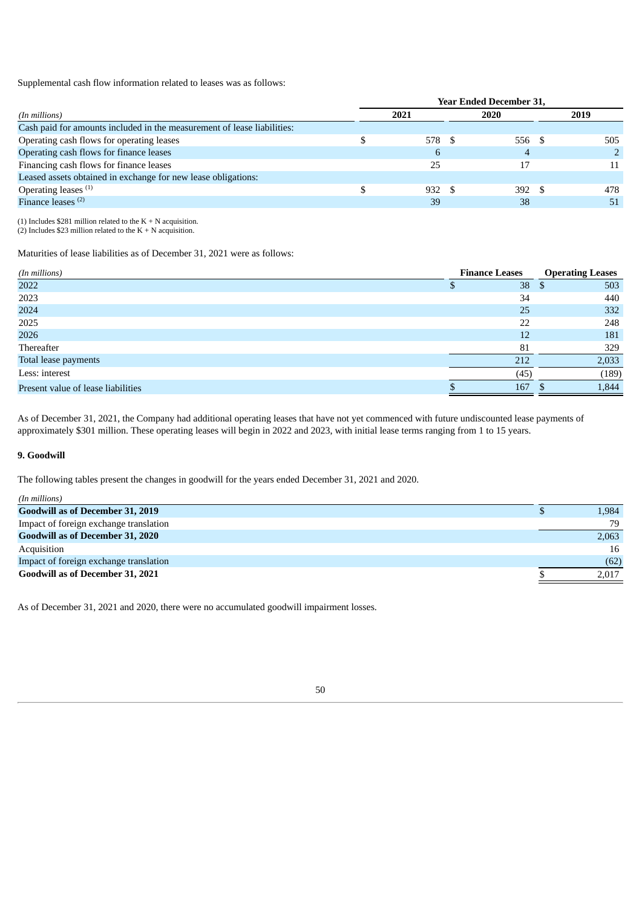Supplemental cash flow information related to leases was as follows:

|                                                                         | <b>Year Ended December 31,</b> |        |  |        |  |      |  |  |  |  |  |
|-------------------------------------------------------------------------|--------------------------------|--------|--|--------|--|------|--|--|--|--|--|
| (In millions)                                                           |                                | 2021   |  | 2020   |  | 2019 |  |  |  |  |  |
| Cash paid for amounts included in the measurement of lease liabilities: |                                |        |  |        |  |      |  |  |  |  |  |
| Operating cash flows for operating leases                               |                                | 578 \$ |  | 556 \$ |  | 505  |  |  |  |  |  |
| Operating cash flows for finance leases                                 |                                | 6      |  |        |  |      |  |  |  |  |  |
| Financing cash flows for finance leases                                 |                                | 25     |  |        |  | 11   |  |  |  |  |  |
| Leased assets obtained in exchange for new lease obligations:           |                                |        |  |        |  |      |  |  |  |  |  |
| Operating leases <sup>(1)</sup>                                         |                                | 932S   |  | 392S   |  | 478  |  |  |  |  |  |
| Finance leases <sup>(2)</sup>                                           |                                | 39     |  | 38     |  | 51   |  |  |  |  |  |
|                                                                         |                                |        |  |        |  |      |  |  |  |  |  |

(1) Includes \$281 million related to the  $K + N$  acquisition. (2) Includes \$23 million related to the  $K + N$  acquisition.

Maturities of lease liabilities as of December 31, 2021 were as follows:

| (In millions)                      | <b>Finance Leases</b> | <b>Operating Leases</b> |  |  |
|------------------------------------|-----------------------|-------------------------|--|--|
| 2022                               | 38                    | 503<br><b>S</b>         |  |  |
| 2023                               | 34                    | 440                     |  |  |
| 2024                               | 25                    | 332                     |  |  |
| 2025                               | 22                    | 248                     |  |  |
| 2026                               | 12                    | 181                     |  |  |
| Thereafter                         | 81                    | 329                     |  |  |
| Total lease payments               | 212                   | 2,033                   |  |  |
| Less: interest                     | (45)                  | (189)                   |  |  |
| Present value of lease liabilities | 167                   | 1,844                   |  |  |

As of December 31, 2021, the Company had additional operating leases that have not yet commenced with future undiscounted lease payments of approximately \$301 million. These operating leases will begin in 2022 and 2023, with initial lease terms ranging from 1 to 15 years.

# **9. Goodwill**

The following tables present the changes in goodwill for the years ended December 31, 2021 and 2020.

| (In millions)                           |       |
|-----------------------------------------|-------|
| Goodwill as of December 31, 2019        | 1,984 |
| Impact of foreign exchange translation  | 79    |
| <b>Goodwill as of December 31, 2020</b> | 2,063 |
| Acquisition                             | 16    |
| Impact of foreign exchange translation  | (62)  |
| Goodwill as of December 31, 2021        | 2,017 |

As of December 31, 2021 and 2020, there were no accumulated goodwill impairment losses.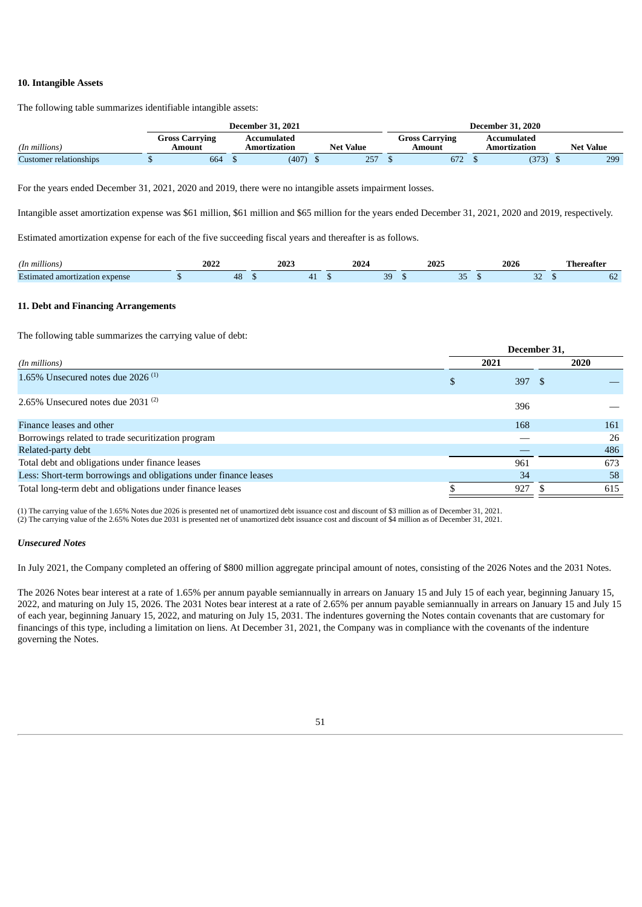# **10. Intangible Assets**

The following table summarizes identifiable intangible assets:

|                        | <b>December 31, 2021</b> |                                 |  |                             |  |                  |  | <b>December 31, 2020</b>        |  |                             |  |                  |  |
|------------------------|--------------------------|---------------------------------|--|-----------------------------|--|------------------|--|---------------------------------|--|-----------------------------|--|------------------|--|
| (In millions)          |                          | <b>Gross Carrying</b><br>Amount |  | Accumulated<br>Amortization |  | <b>Net Value</b> |  | <b>Gross Carrying</b><br>Amount |  | Accumulated<br>Amortization |  | <b>Net Value</b> |  |
| Customer relationships |                          | 664                             |  | (407)                       |  | 257              |  | 672                             |  | (373)                       |  | 299              |  |

For the years ended December 31, 2021, 2020 and 2019, there were no intangible assets impairment losses.

Intangible asset amortization expense was \$61 million, \$61 million and \$65 million for the years ended December 31, 2021, 2020 and 2019, respectively.

Estimated amortization expense for each of the five succeeding fiscal years and thereafter is as follows.

| $\sim$<br><br>'In<br>$m$ llin                                                                                                                                                                                        | 2022 | 2023<br>__ | 2024     | 202 |                    |  | 2026<br>$\sim$ $\sim$ | . ⊿ite× |    |
|----------------------------------------------------------------------------------------------------------------------------------------------------------------------------------------------------------------------|------|------------|----------|-----|--------------------|--|-----------------------|---------|----|
| $\overline{\phantom{0}}$<br>$\blacksquare$ $\blacksquare$<br>ı expense<br>.fization.<br>. .<br><b>Contract Contract Contract Contract Contract Contract Contract Contract Contract Contract Contract Contract Co</b> | 48   | . .        | 3d<br>ັບ |     | $\sim$ $\sim$<br>. |  | $\sim$<br>ےر          |         | 04 |

# **11. Debt and Financing Arrangements**

The following table summarizes the carrying value of debt:

|                                                                  | December 31, |      |  |  |  |  |  |
|------------------------------------------------------------------|--------------|------|--|--|--|--|--|
| (In millions)                                                    | 2021         | 2020 |  |  |  |  |  |
| 1.65% Unsecured notes due $2026$ <sup>(1)</sup>                  | 397S<br>\$   |      |  |  |  |  |  |
| 2.65% Unsecured notes due 2031 $(2)$                             | 396          |      |  |  |  |  |  |
| Finance leases and other                                         | 168          | 161  |  |  |  |  |  |
| Borrowings related to trade securitization program               |              | 26   |  |  |  |  |  |
| Related-party debt                                               |              | 486  |  |  |  |  |  |
| Total debt and obligations under finance leases                  | 961          | 673  |  |  |  |  |  |
| Less: Short-term borrowings and obligations under finance leases | 34           | 58   |  |  |  |  |  |
| Total long-term debt and obligations under finance leases        | 927          | 615  |  |  |  |  |  |

(1) The carrying value of the 1.65% Notes due 2026 is presented net of unamortized debt issuance cost and discount of \$3 million as of December 31, 2021. (2) The carrying value of the 2.65% Notes due 2031 is presented net of unamortized debt issuance cost and discount of \$4 million as of December 31, 2021.

### *Unsecured Notes*

In July 2021, the Company completed an offering of \$800 million aggregate principal amount of notes, consisting of the 2026 Notes and the 2031 Notes.

The 2026 Notes bear interest at a rate of 1.65% per annum payable semiannually in arrears on January 15 and July 15 of each year, beginning January 15, 2022, and maturing on July 15, 2026. The 2031 Notes bear interest at a rate of 2.65% per annum payable semiannually in arrears on January 15 and July 15 of each year, beginning January 15, 2022, and maturing on July 15, 2031. The indentures governing the Notes contain covenants that are customary for financings of this type, including a limitation on liens. At December 31, 2021, the Company was in compliance with the covenants of the indenture governing the Notes.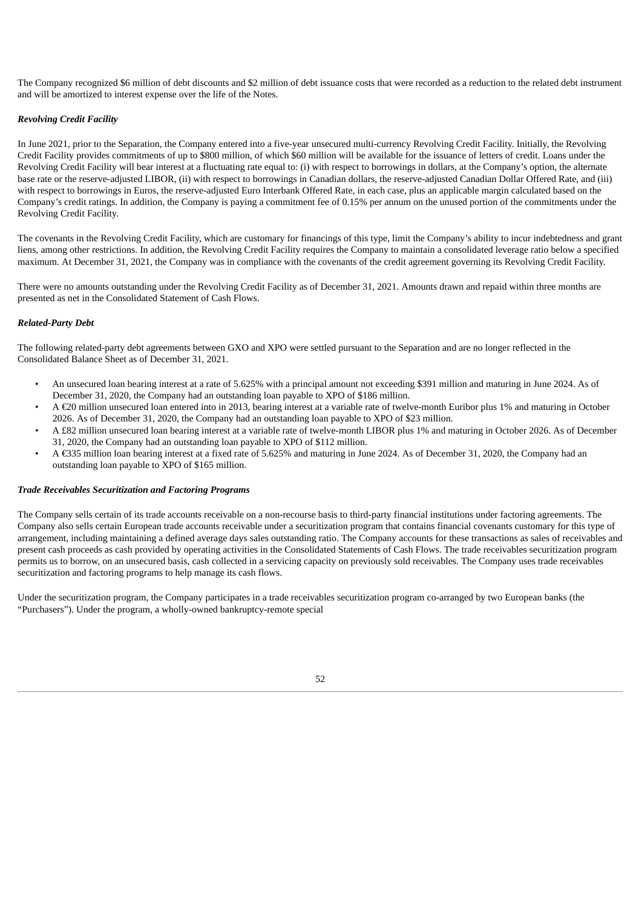The Company recognized \$6 million of debt discounts and \$2 million of debt issuance costs that were recorded as a reduction to the related debt instrument and will be amortized to interest expense over the life of the Notes.

# *Revolving Credit Facility*

In June 2021, prior to the Separation, the Company entered into a five-year unsecured multi-currency Revolving Credit Facility. Initially, the Revolving Credit Facility provides commitments of up to \$800 million, of which \$60 million will be available for the issuance of letters of credit. Loans under the Revolving Credit Facility will bear interest at a fluctuating rate equal to: (i) with respect to borrowings in dollars, at the Company's option, the alternate base rate or the reserve-adjusted LIBOR, (ii) with respect to borrowings in Canadian dollars, the reserve-adjusted Canadian Dollar Offered Rate, and (iii) with respect to borrowings in Euros, the reserve-adjusted Euro Interbank Offered Rate, in each case, plus an applicable margin calculated based on the Company's credit ratings. In addition, the Company is paying a commitment fee of 0.15% per annum on the unused portion of the commitments under the Revolving Credit Facility.

The covenants in the Revolving Credit Facility, which are customary for financings of this type, limit the Company's ability to incur indebtedness and grant liens, among other restrictions. In addition, the Revolving Credit Facility requires the Company to maintain a consolidated leverage ratio below a specified maximum. At December 31, 2021, the Company was in compliance with the covenants of the credit agreement governing its Revolving Credit Facility.

There were no amounts outstanding under the Revolving Credit Facility as of December 31, 2021. Amounts drawn and repaid within three months are presented as net in the Consolidated Statement of Cash Flows.

### *Related-Party Debt*

The following related-party debt agreements between GXO and XPO were settled pursuant to the Separation and are no longer reflected in the Consolidated Balance Sheet as of December 31, 2021.

- An unsecured loan bearing interest at a rate of 5.625% with a principal amount not exceeding \$391 million and maturing in June 2024. As of December 31, 2020, the Company had an outstanding loan payable to XPO of \$186 million.
- A €20 million unsecured loan entered into in 2013, bearing interest at a variable rate of twelve-month Euribor plus 1% and maturing in October 2026. As of December 31, 2020, the Company had an outstanding loan payable to XPO of \$23 million.
- A £82 million unsecured loan bearing interest at a variable rate of twelve-month LIBOR plus 1% and maturing in October 2026. As of December 31, 2020, the Company had an outstanding loan payable to XPO of \$112 million.
- A €335 million loan bearing interest at a fixed rate of 5.625% and maturing in June 2024. As of December 31, 2020, the Company had an outstanding loan payable to XPO of \$165 million.

### *Trade Receivables Securitization and Factoring Programs*

The Company sells certain of its trade accounts receivable on a non-recourse basis to third-party financial institutions under factoring agreements. The Company also sells certain European trade accounts receivable under a securitization program that contains financial covenants customary for this type of arrangement, including maintaining a defined average days sales outstanding ratio. The Company accounts for these transactions as sales of receivables and present cash proceeds as cash provided by operating activities in the Consolidated Statements of Cash Flows. The trade receivables securitization program permits us to borrow, on an unsecured basis, cash collected in a servicing capacity on previously sold receivables. The Company uses trade receivables securitization and factoring programs to help manage its cash flows.

Under the securitization program, the Company participates in a trade receivables securitization program co-arranged by two European banks (the "Purchasers"). Under the program, a wholly-owned bankruptcy-remote special

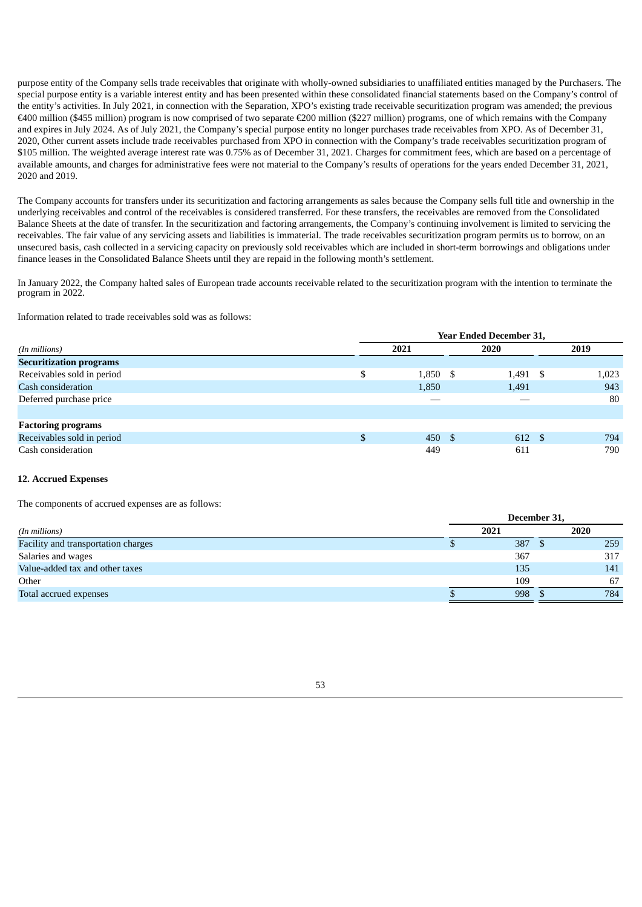purpose entity of the Company sells trade receivables that originate with wholly-owned subsidiaries to unaffiliated entities managed by the Purchasers. The special purpose entity is a variable interest entity and has been presented within these consolidated financial statements based on the Company's control of the entity's activities. In July 2021, in connection with the Separation, XPO's existing trade receivable securitization program was amended; the previous €400 million (\$455 million) program is now comprised of two separate €200 million (\$227 million) programs, one of which remains with the Company and expires in July 2024. As of July 2021, the Company's special purpose entity no longer purchases trade receivables from XPO. As of December 31, 2020, Other current assets include trade receivables purchased from XPO in connection with the Company's trade receivables securitization program of \$105 million. The weighted average interest rate was 0.75% as of December 31, 2021. Charges for commitment fees, which are based on a percentage of available amounts, and charges for administrative fees were not material to the Company's results of operations for the years ended December 31, 2021, 2020 and 2019.

The Company accounts for transfers under its securitization and factoring arrangements as sales because the Company sells full title and ownership in the underlying receivables and control of the receivables is considered transferred. For these transfers, the receivables are removed from the Consolidated Balance Sheets at the date of transfer. In the securitization and factoring arrangements, the Company's continuing involvement is limited to servicing the receivables. The fair value of any servicing assets and liabilities is immaterial. The trade receivables securitization program permits us to borrow, on an unsecured basis, cash collected in a servicing capacity on previously sold receivables which are included in short-term borrowings and obligations under finance leases in the Consolidated Balance Sheets until they are repaid in the following month's settlement.

In January 2022, the Company halted sales of European trade accounts receivable related to the securitization program with the intention to terminate the program in 2022.

Information related to trade receivables sold was as follows:

|                                | <b>Year Ended December 31,</b> |            |  |            |  |       |  |  |  |  |
|--------------------------------|--------------------------------|------------|--|------------|--|-------|--|--|--|--|
| (In millions)                  |                                | 2021       |  | 2020       |  | 2019  |  |  |  |  |
| <b>Securitization programs</b> |                                |            |  |            |  |       |  |  |  |  |
| Receivables sold in period     | \$                             | $1,850$ \$ |  | $1,491$ \$ |  | 1,023 |  |  |  |  |
| Cash consideration             |                                | 1,850      |  | 1,491      |  | 943   |  |  |  |  |
| Deferred purchase price        |                                |            |  |            |  | 80    |  |  |  |  |
|                                |                                |            |  |            |  |       |  |  |  |  |
| <b>Factoring programs</b>      |                                |            |  |            |  |       |  |  |  |  |
| Receivables sold in period     | \$                             | 450S       |  | 612 \$     |  | 794   |  |  |  |  |
| Cash consideration             |                                | 449        |  | 611        |  | 790   |  |  |  |  |

# **12. Accrued Expenses**

The components of accrued expenses are as follows:

|                                     | December 31, |      |  |      |  |  |  |
|-------------------------------------|--------------|------|--|------|--|--|--|
| (In millions)                       |              | 2021 |  | 2020 |  |  |  |
| Facility and transportation charges |              | 387  |  | 259  |  |  |  |
| Salaries and wages                  |              | 367  |  | 317  |  |  |  |
| Value-added tax and other taxes     |              | 135  |  | 141  |  |  |  |
| Other                               |              | 109  |  | 67   |  |  |  |
| Total accrued expenses              |              | 998  |  | 784  |  |  |  |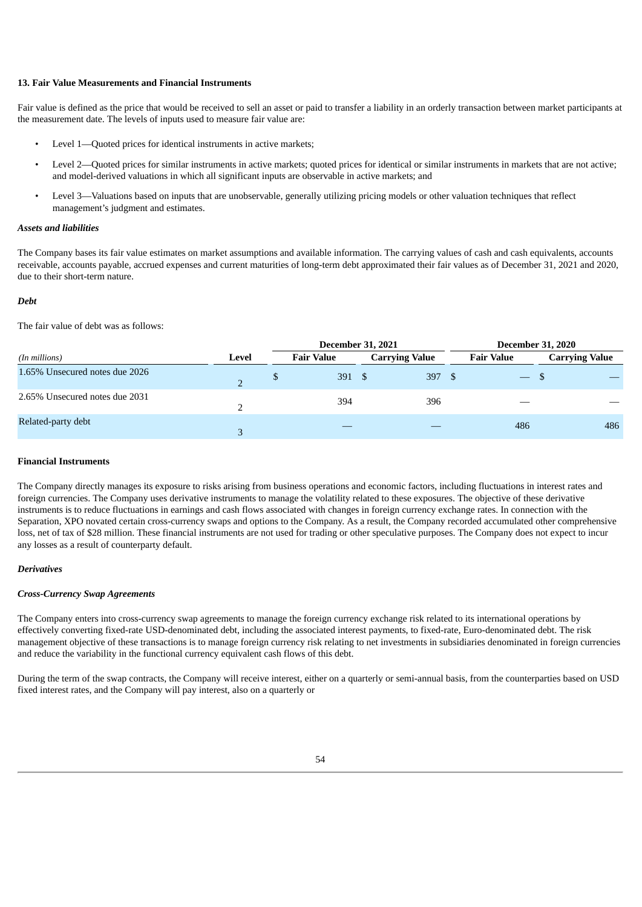### **13. Fair Value Measurements and Financial Instruments**

Fair value is defined as the price that would be received to sell an asset or paid to transfer a liability in an orderly transaction between market participants at the measurement date. The levels of inputs used to measure fair value are:

- Level 1—Quoted prices for identical instruments in active markets;
- Level 2—Quoted prices for similar instruments in active markets; quoted prices for identical or similar instruments in markets that are not active; and model-derived valuations in which all significant inputs are observable in active markets; and
- Level 3—Valuations based on inputs that are unobservable, generally utilizing pricing models or other valuation techniques that reflect management's judgment and estimates.

### *Assets and liabilities*

The Company bases its fair value estimates on market assumptions and available information. The carrying values of cash and cash equivalents, accounts receivable, accounts payable, accrued expenses and current maturities of long-term debt approximated their fair values as of December 31, 2021 and 2020, due to their short-term nature.

# *Debt*

The fair value of debt was as follows:

|                                |       | <b>December 31, 2021</b> |                       | <b>December 31, 2020</b> |                   |  |                       |  |
|--------------------------------|-------|--------------------------|-----------------------|--------------------------|-------------------|--|-----------------------|--|
| (In millions)                  | Level | <b>Fair Value</b>        | <b>Carrying Value</b> |                          | <b>Fair Value</b> |  | <b>Carrying Value</b> |  |
| 1.65% Unsecured notes due 2026 |       | 391S                     | 397S                  |                          |                   |  |                       |  |
| 2.65% Unsecured notes due 2031 |       | 394                      | 396                   |                          | __                |  |                       |  |
| Related-party debt             |       |                          |                       |                          | 486               |  | 486                   |  |

#### **Financial Instruments**

The Company directly manages its exposure to risks arising from business operations and economic factors, including fluctuations in interest rates and foreign currencies. The Company uses derivative instruments to manage the volatility related to these exposures. The objective of these derivative instruments is to reduce fluctuations in earnings and cash flows associated with changes in foreign currency exchange rates. In connection with the Separation, XPO novated certain cross-currency swaps and options to the Company. As a result, the Company recorded accumulated other comprehensive loss, net of tax of \$28 million. These financial instruments are not used for trading or other speculative purposes. The Company does not expect to incur any losses as a result of counterparty default.

### *Derivatives*

#### *Cross-Currency Swap Agreements*

The Company enters into cross-currency swap agreements to manage the foreign currency exchange risk related to its international operations by effectively converting fixed-rate USD-denominated debt, including the associated interest payments, to fixed-rate, Euro-denominated debt. The risk management objective of these transactions is to manage foreign currency risk relating to net investments in subsidiaries denominated in foreign currencies and reduce the variability in the functional currency equivalent cash flows of this debt.

During the term of the swap contracts, the Company will receive interest, either on a quarterly or semi-annual basis, from the counterparties based on USD fixed interest rates, and the Company will pay interest, also on a quarterly or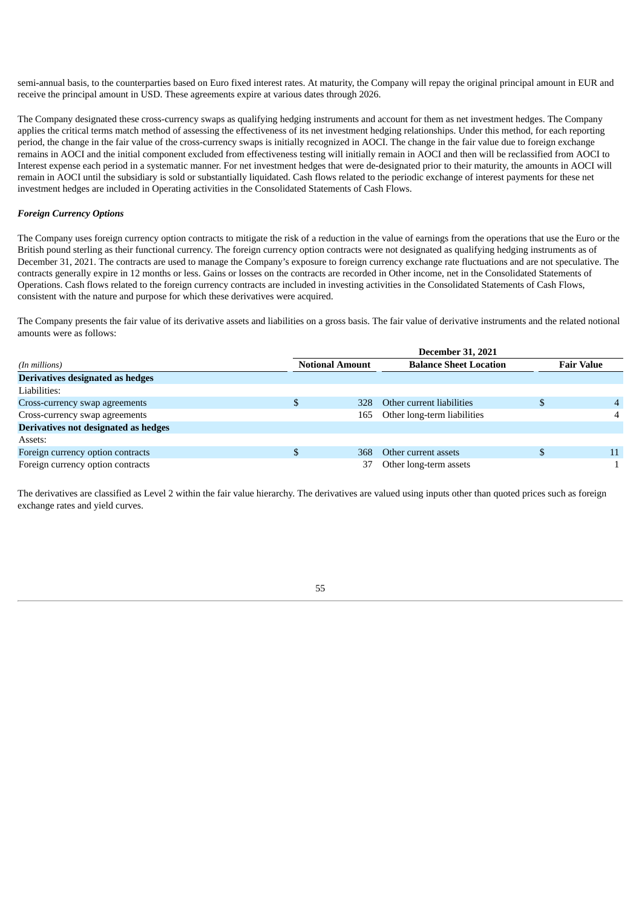semi-annual basis, to the counterparties based on Euro fixed interest rates. At maturity, the Company will repay the original principal amount in EUR and receive the principal amount in USD. These agreements expire at various dates through 2026.

The Company designated these cross-currency swaps as qualifying hedging instruments and account for them as net investment hedges. The Company applies the critical terms match method of assessing the effectiveness of its net investment hedging relationships. Under this method, for each reporting period, the change in the fair value of the cross-currency swaps is initially recognized in AOCI. The change in the fair value due to foreign exchange remains in AOCI and the initial component excluded from effectiveness testing will initially remain in AOCI and then will be reclassified from AOCI to Interest expense each period in a systematic manner. For net investment hedges that were de-designated prior to their maturity, the amounts in AOCI will remain in AOCI until the subsidiary is sold or substantially liquidated. Cash flows related to the periodic exchange of interest payments for these net investment hedges are included in Operating activities in the Consolidated Statements of Cash Flows.

# *Foreign Currency Options*

The Company uses foreign currency option contracts to mitigate the risk of a reduction in the value of earnings from the operations that use the Euro or the British pound sterling as their functional currency. The foreign currency option contracts were not designated as qualifying hedging instruments as of December 31, 2021. The contracts are used to manage the Company's exposure to foreign currency exchange rate fluctuations and are not speculative. The contracts generally expire in 12 months or less. Gains or losses on the contracts are recorded in Other income, net in the Consolidated Statements of Operations. Cash flows related to the foreign currency contracts are included in investing activities in the Consolidated Statements of Cash Flows, consistent with the nature and purpose for which these derivatives were acquired.

The Company presents the fair value of its derivative assets and liabilities on a gross basis. The fair value of derivative instruments and the related notional amounts were as follows:

|                                      | <b>December 31, 2021</b> |                                                         |                             |  |                |  |  |  |  |  |
|--------------------------------------|--------------------------|---------------------------------------------------------|-----------------------------|--|----------------|--|--|--|--|--|
| (In millions)                        |                          | <b>Balance Sheet Location</b><br><b>Notional Amount</b> |                             |  |                |  |  |  |  |  |
| Derivatives designated as hedges     |                          |                                                         |                             |  |                |  |  |  |  |  |
| Liabilities:                         |                          |                                                         |                             |  |                |  |  |  |  |  |
| Cross-currency swap agreements       | \$                       | 328                                                     | Other current liabilities   |  | $\overline{4}$ |  |  |  |  |  |
| Cross-currency swap agreements       |                          | 165                                                     | Other long-term liabilities |  | 4              |  |  |  |  |  |
| Derivatives not designated as hedges |                          |                                                         |                             |  |                |  |  |  |  |  |
| Assets:                              |                          |                                                         |                             |  |                |  |  |  |  |  |
| Foreign currency option contracts    | \$                       | 368                                                     | Other current assets        |  | 11             |  |  |  |  |  |
| Foreign currency option contracts    |                          | 37                                                      | Other long-term assets      |  |                |  |  |  |  |  |

The derivatives are classified as Level 2 within the fair value hierarchy. The derivatives are valued using inputs other than quoted prices such as foreign exchange rates and yield curves.

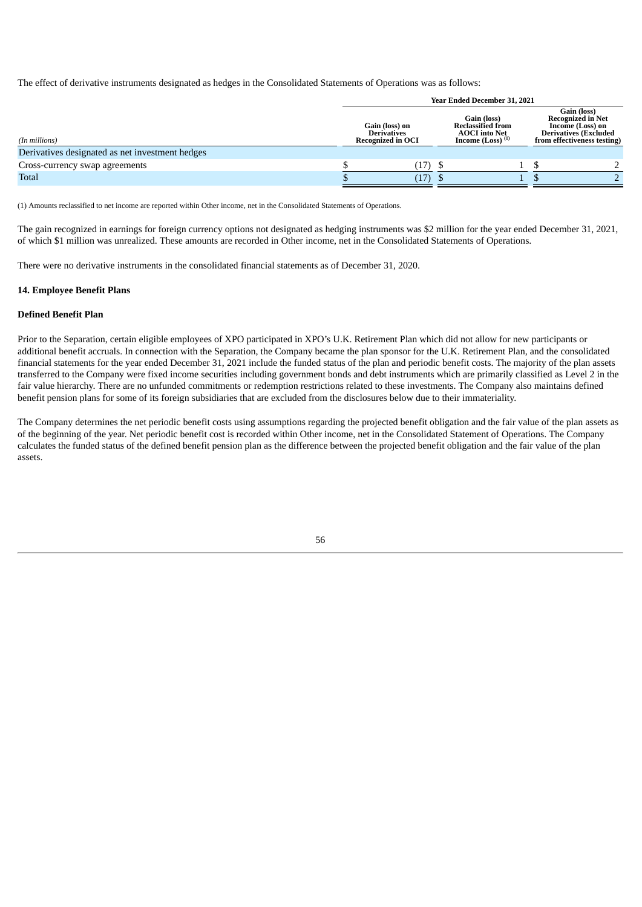The effect of derivative instruments designated as hedges in the Consolidated Statements of Operations was as follows:

|                                                 |  | Year Ended December 31, 2021                              |                                                                                   |  |                                                                                                                            |  |
|-------------------------------------------------|--|-----------------------------------------------------------|-----------------------------------------------------------------------------------|--|----------------------------------------------------------------------------------------------------------------------------|--|
| (In millions)                                   |  | Gain (loss) on<br>Derivatives<br><b>Recognized in OCI</b> | Gain (loss)<br>Reclassified from<br><b>AOCI</b> into Net<br>Income $(Loss)^{(1)}$ |  | Gain (loss)<br><b>Recognized in Net</b><br>Income (Loss) on<br><b>Derivatives (Excluded</b><br>from effectiveness testing) |  |
| Derivatives designated as net investment hedges |  |                                                           |                                                                                   |  |                                                                                                                            |  |
| Cross-currency swap agreements                  |  | (17)                                                      |                                                                                   |  |                                                                                                                            |  |
| <b>Total</b>                                    |  | (17)                                                      |                                                                                   |  |                                                                                                                            |  |

(1) Amounts reclassified to net income are reported within Other income, net in the Consolidated Statements of Operations.

The gain recognized in earnings for foreign currency options not designated as hedging instruments was \$2 million for the year ended December 31, 2021, of which \$1 million was unrealized. These amounts are recorded in Other income, net in the Consolidated Statements of Operations.

There were no derivative instruments in the consolidated financial statements as of December 31, 2020.

# **14. Employee Benefit Plans**

# **Defined Benefit Plan**

Prior to the Separation, certain eligible employees of XPO participated in XPO's U.K. Retirement Plan which did not allow for new participants or additional benefit accruals. In connection with the Separation, the Company became the plan sponsor for the U.K. Retirement Plan, and the consolidated financial statements for the year ended December 31, 2021 include the funded status of the plan and periodic benefit costs. The majority of the plan assets transferred to the Company were fixed income securities including government bonds and debt instruments which are primarily classified as Level 2 in the fair value hierarchy. There are no unfunded commitments or redemption restrictions related to these investments. The Company also maintains defined benefit pension plans for some of its foreign subsidiaries that are excluded from the disclosures below due to their immateriality.

The Company determines the net periodic benefit costs using assumptions regarding the projected benefit obligation and the fair value of the plan assets as of the beginning of the year. Net periodic benefit cost is recorded within Other income, net in the Consolidated Statement of Operations. The Company calculates the funded status of the defined benefit pension plan as the difference between the projected benefit obligation and the fair value of the plan assets.

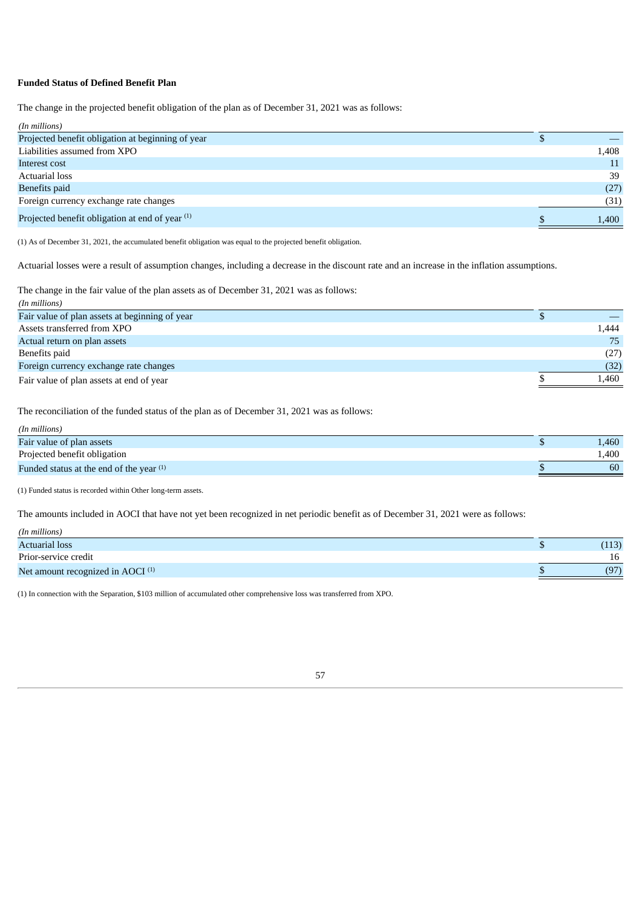# **Funded Status of Defined Benefit Plan**

The change in the projected benefit obligation of the plan as of December 31, 2021 was as follows:

| (In millions)                                              |       |
|------------------------------------------------------------|-------|
| Projected benefit obligation at beginning of year          |       |
| Liabilities assumed from XPO                               | 1,408 |
| Interest cost                                              | 11    |
| Actuarial loss                                             | 39    |
| Benefits paid                                              | (27)  |
| Foreign currency exchange rate changes                     | (31)  |
| Projected benefit obligation at end of year <sup>(1)</sup> | 1,400 |

(1) As of December 31, 2021, the accumulated benefit obligation was equal to the projected benefit obligation.

Actuarial losses were a result of assumption changes, including a decrease in the discount rate and an increase in the inflation assumptions.

The change in the fair value of the plan assets as of December 31, 2021 was as follows:

| ۰D |       |
|----|-------|
|    | 1,444 |
|    | 75    |
|    | (27)  |
|    | (32)  |
|    | 1,460 |
|    |       |

The reconciliation of the funded status of the plan as of December 31, 2021 was as follows:

| (In millions)                              |       |
|--------------------------------------------|-------|
| Fair value of plan assets                  | 1,460 |
| Projected benefit obligation               | ,400  |
| Funded status at the end of the year $(1)$ | 60    |

(1) Funded status is recorded within Other long-term assets.

The amounts included in AOCI that have not yet been recognized in net periodic benefit as of December 31, 2021 were as follows:

| (In millions)                                |       |
|----------------------------------------------|-------|
| <b>Actuarial loss</b>                        | (113) |
| Prior-service credit                         | 16    |
| Net amount recognized in AOCI <sup>(1)</sup> | (97)  |

(1) In connection with the Separation, \$103 million of accumulated other comprehensive loss was transferred from XPO.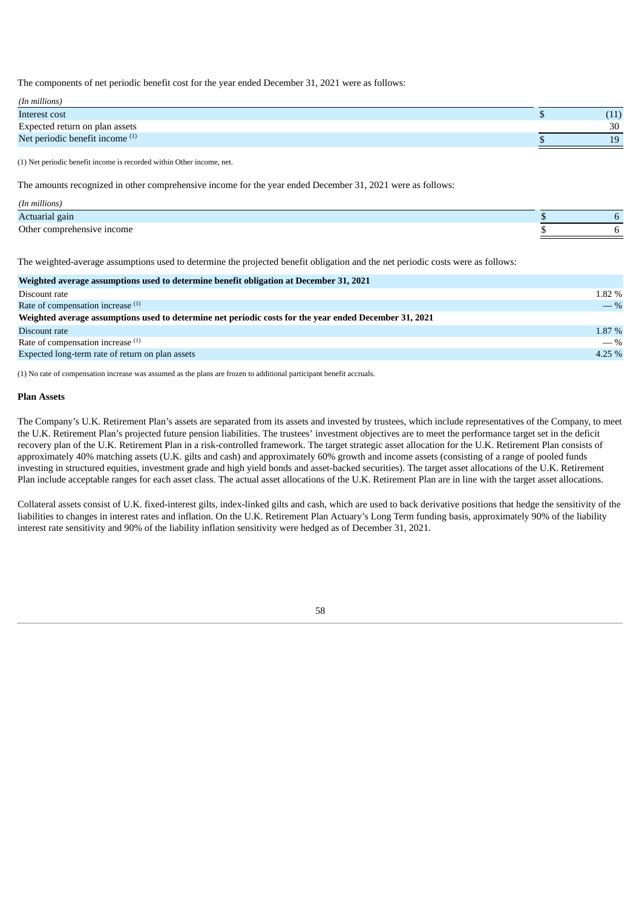The components of net periodic benefit cost for the year ended December 31, 2021 were as follows:

| (In millions)                   |      |
|---------------------------------|------|
| Interest cost                   | (11) |
| Expected return on plan assets  | 30   |
| Net periodic benefit income (1) | 19   |
|                                 |      |

(1) Net periodic benefit income is recorded within Other income, net.

### The amounts recognized in other comprehensive income for the year ended December 31, 2021 were as follows:

| (In millions)              |  |
|----------------------------|--|
| Actuarial gain             |  |
| Other comprehensive income |  |

The weighted-average assumptions used to determine the projected benefit obligation and the net periodic costs were as follows:

| Weighted average assumptions used to determine benefit obligation at December 31, 2021                 |                |
|--------------------------------------------------------------------------------------------------------|----------------|
| Discount rate                                                                                          | 1.82%          |
| Rate of compensation increase (1)                                                                      | $-\frac{9}{6}$ |
| Weighted average assumptions used to determine net periodic costs for the year ended December 31, 2021 |                |
| Discount rate                                                                                          | 1.87 %         |
| Rate of compensation increase (1)                                                                      | $-\frac{9}{6}$ |
| Expected long-term rate of return on plan assets                                                       | 4.25%          |

(1) No rate of compensation increase was assumed as the plans are frozen to additional participant benefit accruals.

# **Plan Assets**

 $\sigma$  *in* 

The Company's U.K. Retirement Plan's assets are separated from its assets and invested by trustees, which include representatives of the Company, to meet the U.K. Retirement Plan's projected future pension liabilities. The trustees' investment objectives are to meet the performance target set in the deficit recovery plan of the U.K. Retirement Plan in a risk-controlled framework. The target strategic asset allocation for the U.K. Retirement Plan consists of approximately 40% matching assets (U.K. gilts and cash) and approximately 60% growth and income assets (consisting of a range of pooled funds investing in structured equities, investment grade and high yield bonds and asset-backed securities). The target asset allocations of the U.K. Retirement Plan include acceptable ranges for each asset class. The actual asset allocations of the U.K. Retirement Plan are in line with the target asset allocations.

Collateral assets consist of U.K. fixed-interest gilts, index-linked gilts and cash, which are used to back derivative positions that hedge the sensitivity of the liabilities to changes in interest rates and inflation. On the U.K. Retirement Plan Actuary's Long Term funding basis, approximately 90% of the liability interest rate sensitivity and 90% of the liability inflation sensitivity were hedged as of December 31, 2021.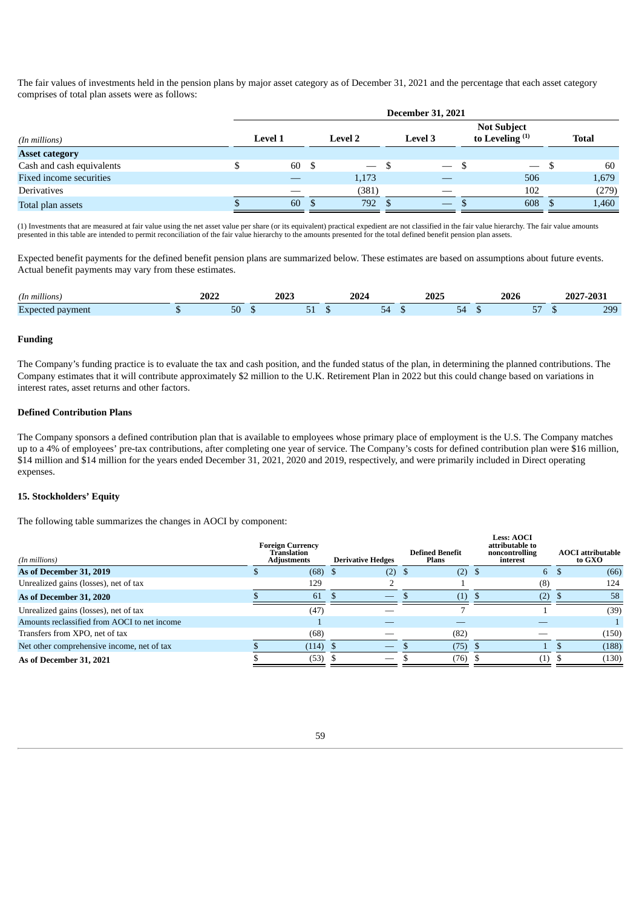The fair values of investments held in the pension plans by major asset category as of December 31, 2021 and the percentage that each asset category comprises of total plan assets were as follows:

|                           | <b>December 31, 2021</b> |                |      |                |                |  |  |                                         |    |              |  |  |
|---------------------------|--------------------------|----------------|------|----------------|----------------|--|--|-----------------------------------------|----|--------------|--|--|
| (In millions)             |                          | <b>Level 1</b> |      | <b>Level 2</b> | <b>Level</b> 3 |  |  | <b>Not Subject</b><br>to Leveling $(1)$ |    | <b>Total</b> |  |  |
| <b>Asset category</b>     |                          |                |      |                |                |  |  |                                         |    |              |  |  |
| Cash and cash equivalents |                          | 60             | - \$ | $\frac{1}{2}$  | - 70           |  |  |                                         | -S | 60           |  |  |
| Fixed income securities   |                          |                |      | 1,173          |                |  |  | 506                                     |    | 1,679        |  |  |
| <b>Derivatives</b>        |                          | __             |      | (381)          |                |  |  | 102                                     |    | (279)        |  |  |
| Total plan assets         |                          | 60             |      | 792            |                |  |  | 608                                     |    | 1,460        |  |  |

(1) Investments that are measured at fair value using the net asset value per share (or its equivalent) practical expedient are not classified in the fair value hierarchy. The fair value amounts presented in this table are intended to permit reconciliation of the fair value hierarchy to the amounts presented for the total defined benefit pension plan assets.

Expected benefit payments for the defined benefit pension plans are summarized below. These estimates are based on assumptions about future events. Actual benefit payments may vary from these estimates.

| <br>$\sqrt{r}$<br>n millions.<br>$_{I}$ | 2022     |  |   | 202 |  | ורחר<br>LUZ. | ገበገር<br>wzu |  | $202^-$<br>-203 |  |
|-----------------------------------------|----------|--|---|-----|--|--------------|-------------|--|-----------------|--|
| ment<br>۰vn<br>ÆF<br>$\Delta V$         | 50<br>JU |  | ᅛ | ہں  |  |              | $-$<br>، ب  |  | 200<br>، ب ک    |  |

# **Funding**

The Company's funding practice is to evaluate the tax and cash position, and the funded status of the plan, in determining the planned contributions. The Company estimates that it will contribute approximately \$2 million to the U.K. Retirement Plan in 2022 but this could change based on variations in interest rates, asset returns and other factors.

# **Defined Contribution Plans**

The Company sponsors a defined contribution plan that is available to employees whose primary place of employment is the U.S. The Company matches up to a 4% of employees' pre-tax contributions, after completing one year of service. The Company's costs for defined contribution plan were \$16 million, \$14 million and \$14 million for the years ended December 31, 2021, 2020 and 2019, respectively, and were primarily included in Direct operating expenses.

# **15. Stockholders' Equity**

The following table summarizes the changes in AOCI by component:

| (In millions)                                | <b>Foreign Currency</b><br><b>Translation</b><br><b>Adjustments</b> |       |     | <b>Derivative Hedges</b> |  | <b>Defined Benefit</b><br>Plans |  | <b>Less: AOCI</b><br>attributable to<br>noncontrolling<br>interest |  | <b>AOCI</b> attributable<br>to GXO |  |
|----------------------------------------------|---------------------------------------------------------------------|-------|-----|--------------------------|--|---------------------------------|--|--------------------------------------------------------------------|--|------------------------------------|--|
| As of December 31, 2019                      |                                                                     | (68)  | - S | (2)                      |  | $(2)$ \$                        |  | 6                                                                  |  | (66)                               |  |
| Unrealized gains (losses), net of tax        |                                                                     | 129   |     |                          |  |                                 |  | (8)                                                                |  | 124                                |  |
| As of December 31, 2020                      |                                                                     | 61    |     |                          |  | $(1)$ \$                        |  | (2)                                                                |  | 58                                 |  |
| Unrealized gains (losses), net of tax        |                                                                     | (47)  |     |                          |  |                                 |  |                                                                    |  | (39)                               |  |
| Amounts reclassified from AOCI to net income |                                                                     |       |     |                          |  |                                 |  |                                                                    |  |                                    |  |
| Transfers from XPO, net of tax               |                                                                     | (68)  |     |                          |  | (82)                            |  |                                                                    |  | (150)                              |  |
| Net other comprehensive income, net of tax   |                                                                     | (114) |     |                          |  | $(75)$ \$                       |  |                                                                    |  | (188)                              |  |
| As of December 31, 2021                      |                                                                     | (53)  |     |                          |  | $(76)$ \$                       |  |                                                                    |  | (130)                              |  |
|                                              |                                                                     |       |     |                          |  |                                 |  |                                                                    |  |                                    |  |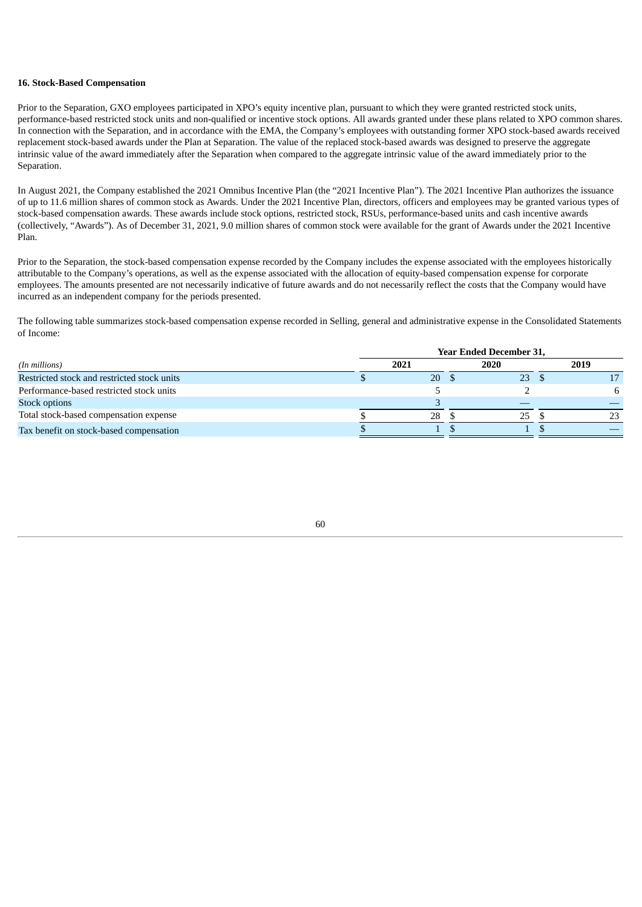#### **16. Stock-Based Compensation**

Prior to the Separation, GXO employees participated in XPO's equity incentive plan, pursuant to which they were granted restricted stock units, performance-based restricted stock units and non-qualified or incentive stock options. All awards granted under these plans related to XPO common shares. In connection with the Separation, and in accordance with the EMA, the Company's employees with outstanding former XPO stock-based awards received replacement stock-based awards under the Plan at Separation. The value of the replaced stock-based awards was designed to preserve the aggregate intrinsic value of the award immediately after the Separation when compared to the aggregate intrinsic value of the award immediately prior to the Separation.

In August 2021, the Company established the 2021 Omnibus Incentive Plan (the "2021 Incentive Plan"). The 2021 Incentive Plan authorizes the issuance of up to 11.6 million shares of common stock as Awards. Under the 2021 Incentive Plan, directors, officers and employees may be granted various types of stock-based compensation awards. These awards include stock options, restricted stock, RSUs, performance-based units and cash incentive awards (collectively, "Awards"). As of December 31, 2021, 9.0 million shares of common stock were available for the grant of Awards under the 2021 Incentive Plan.

Prior to the Separation, the stock-based compensation expense recorded by the Company includes the expense associated with the employees historically attributable to the Company's operations, as well as the expense associated with the allocation of equity-based compensation expense for corporate employees. The amounts presented are not necessarily indicative of future awards and do not necessarily reflect the costs that the Company would have incurred as an independent company for the periods presented.

The following table summarizes stock-based compensation expense recorded in Selling, general and administrative expense in the Consolidated Statements of Income:

| (In millions)                               | <b>Year Ended December 31,</b> |  |      |  |      |  |  |  |  |
|---------------------------------------------|--------------------------------|--|------|--|------|--|--|--|--|
|                                             | 2021                           |  | 2020 |  | 2019 |  |  |  |  |
| Restricted stock and restricted stock units | 20                             |  | 23   |  |      |  |  |  |  |
| Performance-based restricted stock units    |                                |  |      |  |      |  |  |  |  |
| <b>Stock options</b>                        |                                |  |      |  |      |  |  |  |  |
| Total stock-based compensation expense      | 28                             |  | 25   |  | 23   |  |  |  |  |
| Tax benefit on stock-based compensation     |                                |  |      |  |      |  |  |  |  |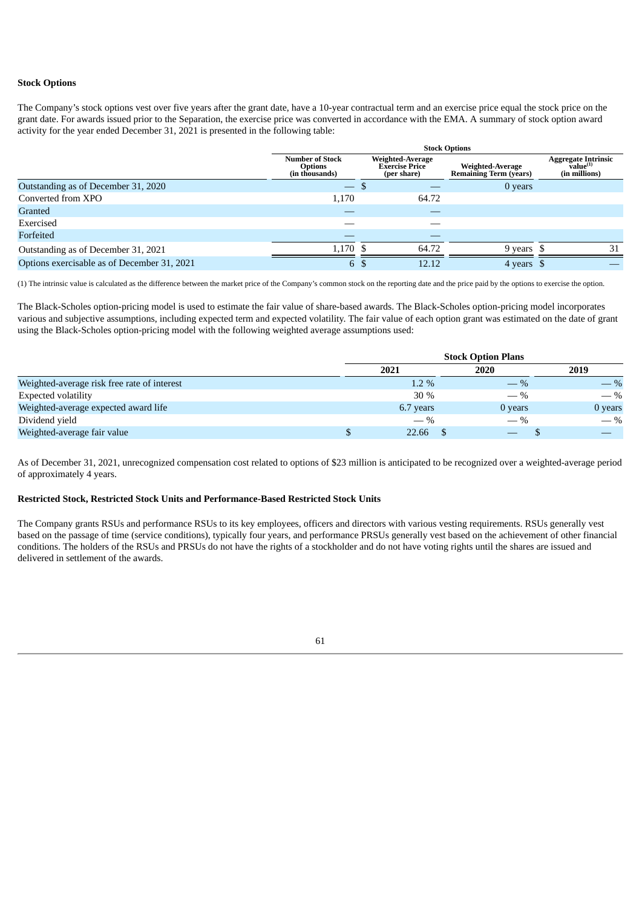### **Stock Options**

The Company's stock options vest over five years after the grant date, have a 10-year contractual term and an exercise price equal the stock price on the grant date. For awards issued prior to the Separation, the exercise price was converted in accordance with the EMA. A summary of stock option award activity for the year ended December 31, 2021 is presented in the following table:

|                                             | <b>Stock Options</b>                                       |   |                                                          |                                                   |  |                                                                               |  |  |
|---------------------------------------------|------------------------------------------------------------|---|----------------------------------------------------------|---------------------------------------------------|--|-------------------------------------------------------------------------------|--|--|
|                                             | <b>Number of Stock</b><br><b>Options</b><br>(in thousands) |   | Weighted-Average<br><b>Exercise Price</b><br>(per share) | Weighted-Average<br><b>Remaining Term (years)</b> |  | <b>Aggregate Intrinsic</b><br>$\tilde{\mathbf{value}}^{(1)}$<br>(in millions) |  |  |
| Outstanding as of December 31, 2020         | $\hspace{0.1mm}-\hspace{0.1mm}$                            | ம |                                                          | 0 years                                           |  |                                                                               |  |  |
| Converted from XPO                          | 1,170                                                      |   | 64.72                                                    |                                                   |  |                                                                               |  |  |
| Granted                                     |                                                            |   |                                                          |                                                   |  |                                                                               |  |  |
| Exercised                                   |                                                            |   |                                                          |                                                   |  |                                                                               |  |  |
| Forfeited                                   |                                                            |   |                                                          |                                                   |  |                                                                               |  |  |
| Outstanding as of December 31, 2021         | 1.170S                                                     |   | 64.72                                                    | 9 years \$                                        |  | 31                                                                            |  |  |
| Options exercisable as of December 31, 2021 | 6                                                          | മ | 12.12                                                    | 4 years                                           |  |                                                                               |  |  |

(1) The intrinsic value is calculated as the difference between the market price of the Company's common stock on the reporting date and the price paid by the options to exercise the option.

The Black-Scholes option-pricing model is used to estimate the fair value of share-based awards. The Black-Scholes option-pricing model incorporates various and subjective assumptions, including expected term and expected volatility. The fair value of each option grant was estimated on the date of grant using the Black-Scholes option-pricing model with the following weighted average assumptions used:

|                                             | <b>Stock Option Plans</b> |         |                 |  |  |  |  |  |
|---------------------------------------------|---------------------------|---------|-----------------|--|--|--|--|--|
|                                             | 2021                      | 2020    | 2019            |  |  |  |  |  |
| Weighted-average risk free rate of interest | $1.2\%$                   | $-$ %   | $- \frac{9}{6}$ |  |  |  |  |  |
| Expected volatility                         | 30%                       | $-$ %   | $-$ %           |  |  |  |  |  |
| Weighted-average expected award life        | 6.7 years                 | 0 years | 0 years         |  |  |  |  |  |
| Dividend yield                              | $-$ %                     | $-$ %   | $-$ %           |  |  |  |  |  |
| Weighted-average fair value                 | 22.66                     |         |                 |  |  |  |  |  |

As of December 31, 2021, unrecognized compensation cost related to options of \$23 million is anticipated to be recognized over a weighted-average period of approximately 4 years.

# **Restricted Stock, Restricted Stock Units and Performance-Based Restricted Stock Units**

The Company grants RSUs and performance RSUs to its key employees, officers and directors with various vesting requirements. RSUs generally vest based on the passage of time (service conditions), typically four years, and performance PRSUs generally vest based on the achievement of other financial conditions. The holders of the RSUs and PRSUs do not have the rights of a stockholder and do not have voting rights until the shares are issued and delivered in settlement of the awards.

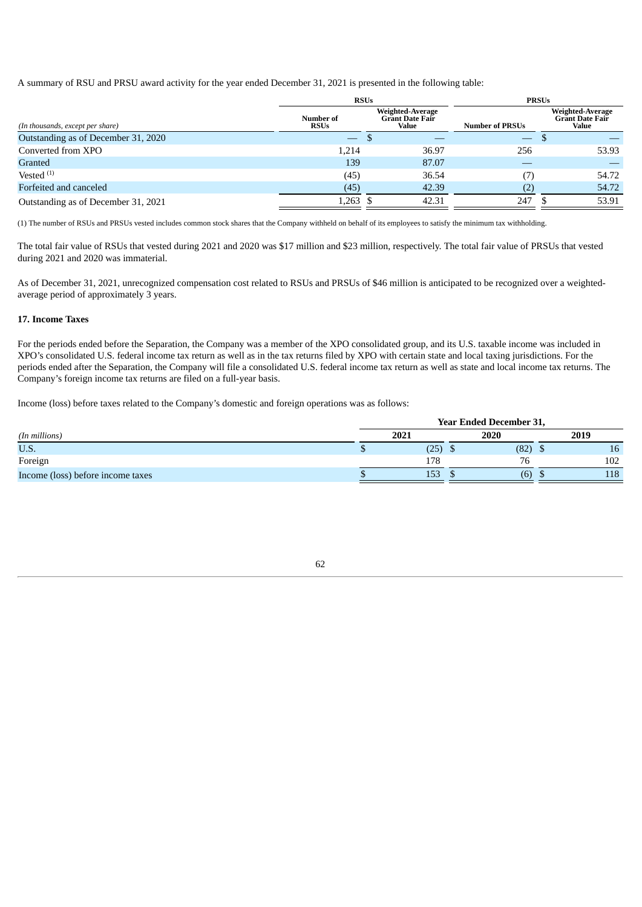A summary of RSU and PRSU award activity for the year ended December 31, 2021 is presented in the following table:

|                                     | <b>PRSUs</b>                    |                                                            |                                 |                                                     |
|-------------------------------------|---------------------------------|------------------------------------------------------------|---------------------------------|-----------------------------------------------------|
| (In thousands, except per share)    | Number of<br><b>RSUs</b>        | <b>Weighted-Average</b><br><b>Grant Date Fair</b><br>Value | <b>Number of PRSUs</b>          | Weighted-Average<br><b>Grant Date Fair</b><br>Value |
| Outstanding as of December 31, 2020 | $\hspace{0.1mm}-\hspace{0.1mm}$ |                                                            | $\hspace{0.1mm}-\hspace{0.1mm}$ |                                                     |
| Converted from XPO                  | 1,214                           | 36.97                                                      | 256                             | 53.93                                               |
| <b>Granted</b>                      | 139                             | 87.07                                                      |                                 |                                                     |
| Vested $(1)$                        | (45)                            | 36.54                                                      |                                 | 54.72                                               |
| Forfeited and canceled              | (45)                            | 42.39                                                      | (2)                             | 54.72                                               |
| Outstanding as of December 31, 2021 | 1,263 \$                        | 42.31                                                      | 247                             | 53.91                                               |

(1) The number of RSUs and PRSUs vested includes common stock shares that the Company withheld on behalf of its employees to satisfy the minimum tax withholding.

The total fair value of RSUs that vested during 2021 and 2020 was \$17 million and \$23 million, respectively. The total fair value of PRSUs that vested during 2021 and 2020 was immaterial.

As of December 31, 2021, unrecognized compensation cost related to RSUs and PRSUs of \$46 million is anticipated to be recognized over a weightedaverage period of approximately 3 years.

### **17. Income Taxes**

For the periods ended before the Separation, the Company was a member of the XPO consolidated group, and its U.S. taxable income was included in XPO's consolidated U.S. federal income tax return as well as in the tax returns filed by XPO with certain state and local taxing jurisdictions. For the periods ended after the Separation, the Company will file a consolidated U.S. federal income tax return as well as state and local income tax returns. The Company's foreign income tax returns are filed on a full-year basis.

Income (loss) before taxes related to the Company's domestic and foreign operations was as follows:

|                                   | <b>Year Ended December 31,</b> |      |  |      |  |      |  |  |  |
|-----------------------------------|--------------------------------|------|--|------|--|------|--|--|--|
| (In millions)                     |                                | 2021 |  | 2020 |  | 2019 |  |  |  |
| U.S.                              |                                | (25) |  | (82) |  | 16   |  |  |  |
| Foreign                           |                                | 178  |  | 76   |  | 102  |  |  |  |
| Income (loss) before income taxes |                                | 153  |  | (6)  |  | 118  |  |  |  |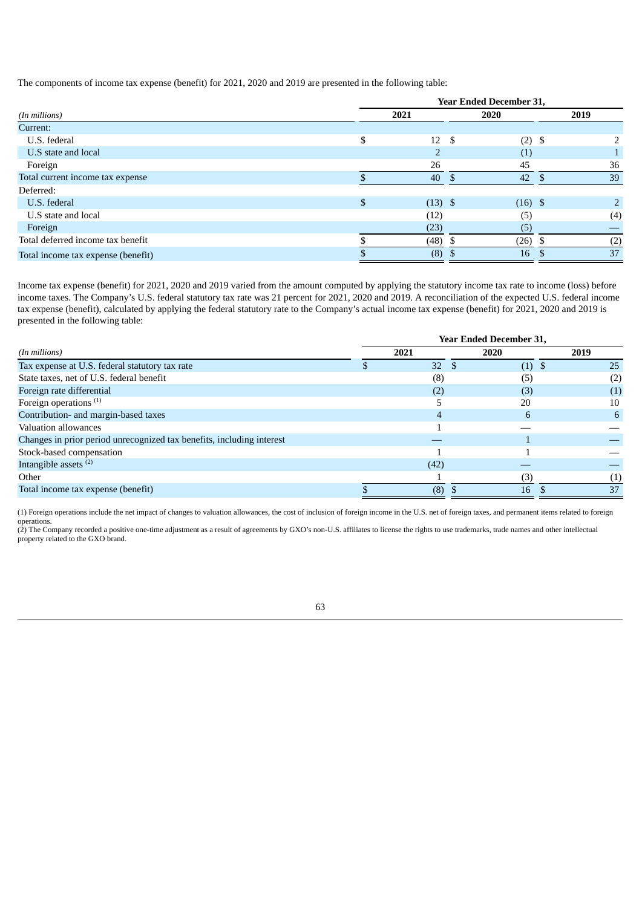The components of income tax expense (benefit) for 2021, 2020 and 2019 are presented in the following table:

|                                    |    | <b>Year Ended December 31,</b> |      |           |  |             |  |  |  |
|------------------------------------|----|--------------------------------|------|-----------|--|-------------|--|--|--|
| (In millions)                      |    | 2021                           |      | 2020      |  | 2019        |  |  |  |
| Current:                           |    |                                |      |           |  |             |  |  |  |
| U.S. federal                       | \$ | 12                             | - \$ | $(2)$ \$  |  | 2           |  |  |  |
| U.S state and local                |    |                                |      | (1)       |  |             |  |  |  |
| Foreign                            |    | 26                             |      | 45        |  | 36          |  |  |  |
| Total current income tax expense   |    | 40                             |      | 42        |  | 39          |  |  |  |
| Deferred:                          |    |                                |      |           |  |             |  |  |  |
| U.S. federal                       | \$ | $(13)$ \$                      |      | $(16)$ \$ |  | $2^{\circ}$ |  |  |  |
| U.S state and local                |    | (12)                           |      | (5)       |  | (4)         |  |  |  |
| Foreign                            |    | (23)                           |      | (5)       |  |             |  |  |  |
| Total deferred income tax benefit  |    | (48)                           |      | (26)      |  | (2)         |  |  |  |
| Total income tax expense (benefit) |    | (8)                            |      | 16        |  | 37          |  |  |  |

Income tax expense (benefit) for 2021, 2020 and 2019 varied from the amount computed by applying the statutory income tax rate to income (loss) before income taxes. The Company's U.S. federal statutory tax rate was 21 percent for 2021, 2020 and 2019. A reconciliation of the expected U.S. federal income tax expense (benefit), calculated by applying the federal statutory rate to the Company's actual income tax expense (benefit) for 2021, 2020 and 2019 is presented in the following table:

|                                                                       | <b>Year Ended December 31,</b> |      |          |                   |  |  |  |  |  |
|-----------------------------------------------------------------------|--------------------------------|------|----------|-------------------|--|--|--|--|--|
| (In millions)                                                         |                                | 2021 | 2020     | 2019              |  |  |  |  |  |
| Tax expense at U.S. federal statutory tax rate                        |                                | 32   | $(1)$ \$ | 25                |  |  |  |  |  |
| State taxes, net of U.S. federal benefit                              |                                | (8)  | (5)      | (2)               |  |  |  |  |  |
| Foreign rate differential                                             |                                | (2)  | (3)      | (1)               |  |  |  |  |  |
| Foreign operations <sup>(1)</sup>                                     |                                |      | 20       | 10                |  |  |  |  |  |
| Contribution- and margin-based taxes                                  |                                |      | h        | 6                 |  |  |  |  |  |
| Valuation allowances                                                  |                                |      |          |                   |  |  |  |  |  |
| Changes in prior period unrecognized tax benefits, including interest |                                |      |          |                   |  |  |  |  |  |
| Stock-based compensation                                              |                                |      |          |                   |  |  |  |  |  |
| Intangible assets <sup>(2)</sup>                                      |                                | (42) |          |                   |  |  |  |  |  |
| Other                                                                 |                                |      | (3       | $\left( 1\right)$ |  |  |  |  |  |
| Total income tax expense (benefit)                                    |                                | (8)  | 16       | 37                |  |  |  |  |  |

(1) Foreign operations include the net impact of changes to valuation allowances, the cost of inclusion of foreign income in the U.S. net of foreign taxes, and permanent items related to foreign operations.

(2) The Company recorded a positive one-time adjustment as a result of agreements by GXO's non-U.S. affiliates to license the rights to use trademarks, trade names and other intellectual property related to the GXO brand.

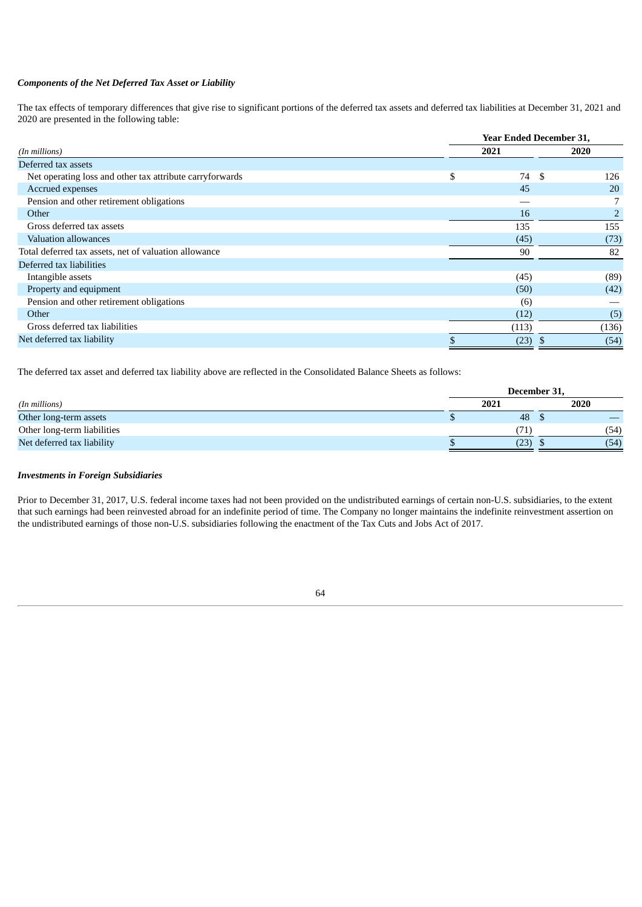# *Components of the Net Deferred Tax Asset or Liability*

The tax effects of temporary differences that give rise to significant portions of the deferred tax assets and deferred tax liabilities at December 31, 2021 and 2020 are presented in the following table:

|                                                          | <b>Year Ended December 31,</b> |       |      |             |  |  |
|----------------------------------------------------------|--------------------------------|-------|------|-------------|--|--|
| (In millions)                                            |                                | 2021  |      | <b>2020</b> |  |  |
| Deferred tax assets                                      |                                |       |      |             |  |  |
| Net operating loss and other tax attribute carryforwards | \$                             | 74    | - \$ | 126         |  |  |
| Accrued expenses                                         |                                | 45    |      | 20          |  |  |
| Pension and other retirement obligations                 |                                |       |      |             |  |  |
| Other                                                    |                                | 16    |      | 2           |  |  |
| Gross deferred tax assets                                |                                | 135   |      | 155         |  |  |
| <b>Valuation allowances</b>                              |                                | (45)  |      | (73)        |  |  |
| Total deferred tax assets, net of valuation allowance    |                                | 90    |      | 82          |  |  |
| Deferred tax liabilities                                 |                                |       |      |             |  |  |
| Intangible assets                                        |                                | (45)  |      | (89)        |  |  |
| Property and equipment                                   |                                | (50)  |      | (42)        |  |  |
| Pension and other retirement obligations                 |                                | (6)   |      |             |  |  |
| Other                                                    |                                | (12)  |      | (5)         |  |  |
| Gross deferred tax liabilities                           |                                | (113) |      | (136)       |  |  |
| Net deferred tax liability                               |                                | (23)  |      | (54)        |  |  |

The deferred tax asset and deferred tax liability above are reflected in the Consolidated Balance Sheets as follows:

|                             | December 31, |      |  |      |  |  |  |
|-----------------------------|--------------|------|--|------|--|--|--|
| (In millions)               |              | 2021 |  | 2020 |  |  |  |
| Other long-term assets      |              | 48   |  |      |  |  |  |
| Other long-term liabilities |              | (71) |  | (54) |  |  |  |
| Net deferred tax liability  |              | (23) |  | (54) |  |  |  |

# *Investments in Foreign Subsidiaries*

Prior to December 31, 2017, U.S. federal income taxes had not been provided on the undistributed earnings of certain non-U.S. subsidiaries, to the extent that such earnings had been reinvested abroad for an indefinite period of time. The Company no longer maintains the indefinite reinvestment assertion on the undistributed earnings of those non-U.S. subsidiaries following the enactment of the Tax Cuts and Jobs Act of 2017.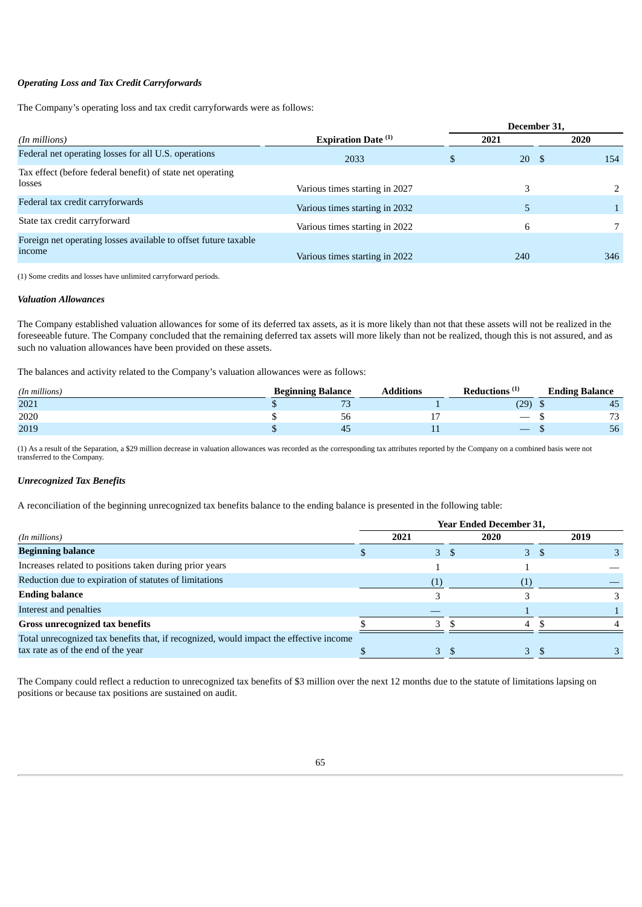# *Operating Loss and Tax Credit Carryforwards*

The Company's operating loss and tax credit carryforwards were as follows:

|                                                                           |                                | December 31, |      |               |  |  |  |
|---------------------------------------------------------------------------|--------------------------------|--------------|------|---------------|--|--|--|
| (In millions)                                                             | <b>Expiration Date (1)</b>     |              | 2021 | 2020          |  |  |  |
| Federal net operating losses for all U.S. operations<br>2033              |                                |              | 20S  | 154           |  |  |  |
| Tax effect (before federal benefit) of state net operating<br>losses      | Various times starting in 2027 |              |      | $\mathcal{D}$ |  |  |  |
| Federal tax credit carryforwards                                          | Various times starting in 2032 |              |      |               |  |  |  |
| State tax credit carryforward                                             | Various times starting in 2022 |              | 6    | 7             |  |  |  |
| Foreign net operating losses available to offset future taxable<br>income | Various times starting in 2022 |              | 240  | 346           |  |  |  |
|                                                                           |                                |              |      |               |  |  |  |

(1) Some credits and losses have unlimited carryforward periods.

# *Valuation Allowances*

The Company established valuation allowances for some of its deferred tax assets, as it is more likely than not that these assets will not be realized in the foreseeable future. The Company concluded that the remaining deferred tax assets will more likely than not be realized, though this is not assured, and as such no valuation allowances have been provided on these assets.

The balances and activity related to the Company's valuation allowances were as follows:

| (In millions) | <b>Beginning Balance</b> |              | <b>Additions</b> | Reductions <sup>(1)</sup> | <b>Ending Balance</b> |
|---------------|--------------------------|--------------|------------------|---------------------------|-----------------------|
| 2021          |                          | $\mathbf{H}$ |                  | (29)                      | 45                    |
| 2020          |                          | Ъt           |                  |                           | 72<br>. ت             |
| 2019          |                          | 45           | . .              |                           | 56                    |

(1) As a result of the Separation, a \$29 million decrease in valuation allowances was recorded as the corresponding tax attributes reported by the Company on a combined basis were not transferred to the Company.

# *Unrecognized Tax Benefits*

A reconciliation of the beginning unrecognized tax benefits balance to the ending balance is presented in the following table:

|                                                                                                                              | <b>Year Ended December 31,</b> |                |  |                |  |      |  |
|------------------------------------------------------------------------------------------------------------------------------|--------------------------------|----------------|--|----------------|--|------|--|
| (In millions)                                                                                                                |                                | 2021           |  | 2020           |  | 2019 |  |
| <b>Beginning balance</b>                                                                                                     |                                | 3 <sup>5</sup> |  | 3 <sup>5</sup> |  |      |  |
| Increases related to positions taken during prior years                                                                      |                                |                |  |                |  |      |  |
| Reduction due to expiration of statutes of limitations                                                                       |                                | (1)            |  |                |  |      |  |
| <b>Ending balance</b>                                                                                                        |                                |                |  |                |  |      |  |
| Interest and penalties                                                                                                       |                                |                |  |                |  |      |  |
| Gross unrecognized tax benefits                                                                                              |                                |                |  | Δ              |  |      |  |
| Total unrecognized tax benefits that, if recognized, would impact the effective income<br>tax rate as of the end of the year |                                | 3 <sup>1</sup> |  |                |  |      |  |

The Company could reflect a reduction to unrecognized tax benefits of \$3 million over the next 12 months due to the statute of limitations lapsing on positions or because tax positions are sustained on audit.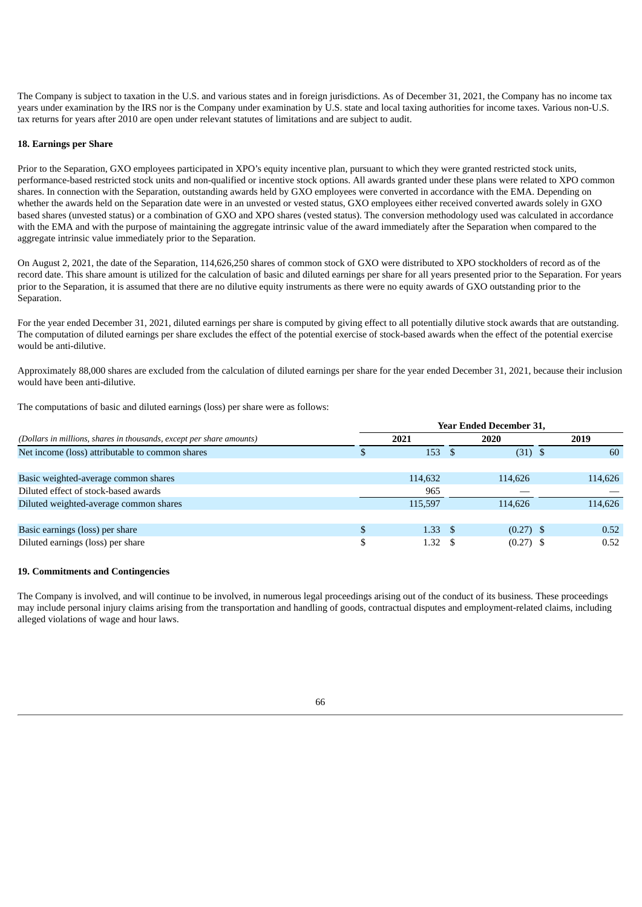The Company is subject to taxation in the U.S. and various states and in foreign jurisdictions. As of December 31, 2021, the Company has no income tax years under examination by the IRS nor is the Company under examination by U.S. state and local taxing authorities for income taxes. Various non-U.S. tax returns for years after 2010 are open under relevant statutes of limitations and are subject to audit.

### **18. Earnings per Share**

Prior to the Separation, GXO employees participated in XPO's equity incentive plan, pursuant to which they were granted restricted stock units, performance-based restricted stock units and non-qualified or incentive stock options. All awards granted under these plans were related to XPO common shares. In connection with the Separation, outstanding awards held by GXO employees were converted in accordance with the EMA. Depending on whether the awards held on the Separation date were in an unvested or vested status, GXO employees either received converted awards solely in GXO based shares (unvested status) or a combination of GXO and XPO shares (vested status). The conversion methodology used was calculated in accordance with the EMA and with the purpose of maintaining the aggregate intrinsic value of the award immediately after the Separation when compared to the aggregate intrinsic value immediately prior to the Separation.

On August 2, 2021, the date of the Separation, 114,626,250 shares of common stock of GXO were distributed to XPO stockholders of record as of the record date. This share amount is utilized for the calculation of basic and diluted earnings per share for all years presented prior to the Separation. For years prior to the Separation, it is assumed that there are no dilutive equity instruments as there were no equity awards of GXO outstanding prior to the Separation.

For the year ended December 31, 2021, diluted earnings per share is computed by giving effect to all potentially dilutive stock awards that are outstanding. The computation of diluted earnings per share excludes the effect of the potential exercise of stock-based awards when the effect of the potential exercise would be anti-dilutive.

Approximately 88,000 shares are excluded from the calculation of diluted earnings per share for the year ended December 31, 2021, because their inclusion would have been anti-dilutive.

The computations of basic and diluted earnings (loss) per share were as follows:

|                                                                      | <b>Year Ended December 31,</b> |                 |      |             |  |         |
|----------------------------------------------------------------------|--------------------------------|-----------------|------|-------------|--|---------|
| (Dollars in millions, shares in thousands, except per share amounts) |                                | 2021            |      | 2020        |  | 2019    |
| Net income (loss) attributable to common shares                      |                                | 153             | - 56 | $(31)$ \$   |  | 60      |
|                                                                      |                                |                 |      |             |  |         |
| Basic weighted-average common shares                                 |                                | 114,632         |      | 114,626     |  | 114,626 |
| Diluted effect of stock-based awards                                 |                                | 965             |      |             |  |         |
| Diluted weighted-average common shares                               |                                | 115,597         |      | 114,626     |  | 114,626 |
|                                                                      |                                |                 |      |             |  |         |
| Basic earnings (loss) per share                                      |                                | $1.33 \quad$ \$ |      | $(0.27)$ \$ |  | 0.52    |
| Diluted earnings (loss) per share                                    | \$                             | $1.32 \quad$ \$ |      | $(0.27)$ \$ |  | 0.52    |

# **19. Commitments and Contingencies**

The Company is involved, and will continue to be involved, in numerous legal proceedings arising out of the conduct of its business. These proceedings may include personal injury claims arising from the transportation and handling of goods, contractual disputes and employment-related claims, including alleged violations of wage and hour laws.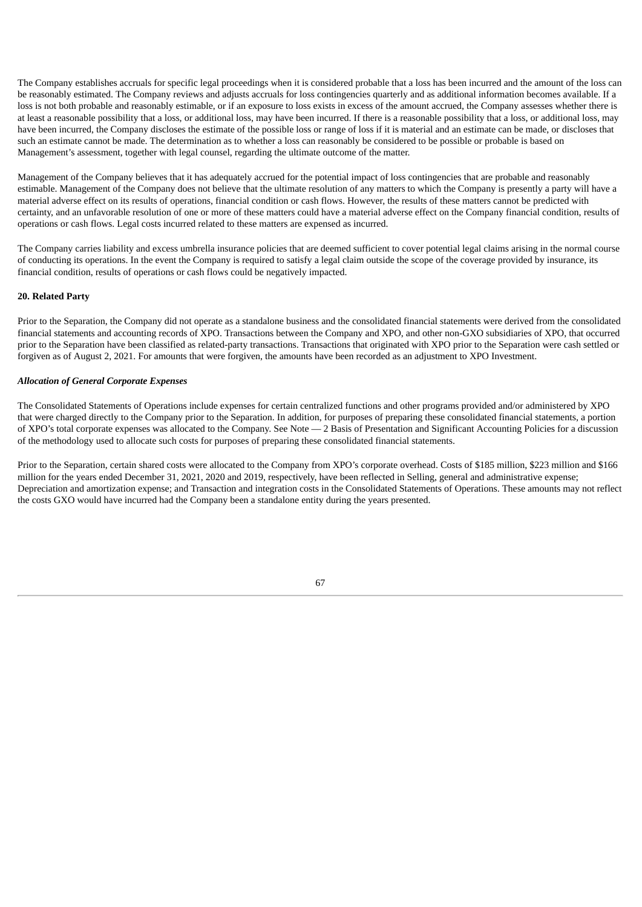The Company establishes accruals for specific legal proceedings when it is considered probable that a loss has been incurred and the amount of the loss can be reasonably estimated. The Company reviews and adjusts accruals for loss contingencies quarterly and as additional information becomes available. If a loss is not both probable and reasonably estimable, or if an exposure to loss exists in excess of the amount accrued, the Company assesses whether there is at least a reasonable possibility that a loss, or additional loss, may have been incurred. If there is a reasonable possibility that a loss, or additional loss, may have been incurred, the Company discloses the estimate of the possible loss or range of loss if it is material and an estimate can be made, or discloses that such an estimate cannot be made. The determination as to whether a loss can reasonably be considered to be possible or probable is based on Management's assessment, together with legal counsel, regarding the ultimate outcome of the matter.

Management of the Company believes that it has adequately accrued for the potential impact of loss contingencies that are probable and reasonably estimable. Management of the Company does not believe that the ultimate resolution of any matters to which the Company is presently a party will have a material adverse effect on its results of operations, financial condition or cash flows. However, the results of these matters cannot be predicted with certainty, and an unfavorable resolution of one or more of these matters could have a material adverse effect on the Company financial condition, results of operations or cash flows. Legal costs incurred related to these matters are expensed as incurred.

The Company carries liability and excess umbrella insurance policies that are deemed sufficient to cover potential legal claims arising in the normal course of conducting its operations. In the event the Company is required to satisfy a legal claim outside the scope of the coverage provided by insurance, its financial condition, results of operations or cash flows could be negatively impacted.

### **20. Related Party**

Prior to the Separation, the Company did not operate as a standalone business and the consolidated financial statements were derived from the consolidated financial statements and accounting records of XPO. Transactions between the Company and XPO, and other non-GXO subsidiaries of XPO, that occurred prior to the Separation have been classified as related-party transactions. Transactions that originated with XPO prior to the Separation were cash settled or forgiven as of August 2, 2021. For amounts that were forgiven, the amounts have been recorded as an adjustment to XPO Investment.

# *Allocation of General Corporate Expenses*

The Consolidated Statements of Operations include expenses for certain centralized functions and other programs provided and/or administered by XPO that were charged directly to the Company prior to the Separation. In addition, for purposes of preparing these consolidated financial statements, a portion of XPO's total corporate expenses was allocated to the Company. See Note — 2 Basis of Presentation and Significant Accounting Policies for a discussion of the methodology used to allocate such costs for purposes of preparing these consolidated financial statements.

Prior to the Separation, certain shared costs were allocated to the Company from XPO's corporate overhead. Costs of \$185 million, \$223 million and \$166 million for the years ended December 31, 2021, 2020 and 2019, respectively, have been reflected in Selling, general and administrative expense; Depreciation and amortization expense; and Transaction and integration costs in the Consolidated Statements of Operations. These amounts may not reflect the costs GXO would have incurred had the Company been a standalone entity during the years presented.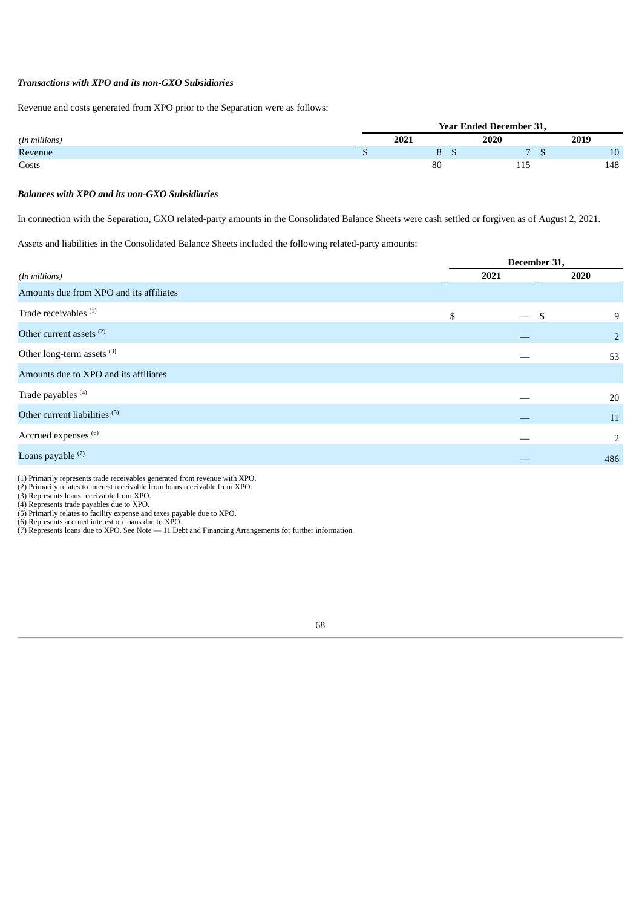# *Transactions with XPO and its non-GXO Subsidiaries*

Revenue and costs generated from XPO prior to the Separation were as follows:

|               | <b>Year Ended December 31,</b> |      |  |              |  |      |
|---------------|--------------------------------|------|--|--------------|--|------|
| (In millions) |                                | 2021 |  | 2020         |  | 2019 |
| Revenue       |                                |      |  | -            |  | 10   |
| Costs         |                                | 80   |  | 4 4 E<br>112 |  | 148  |

# *Balances with XPO and its non-GXO Subsidiaries*

In connection with the Separation, GXO related-party amounts in the Consolidated Balance Sheets were cash settled or forgiven as of August 2, 2021.

Assets and liabilities in the Consolidated Balance Sheets included the following related-party amounts:

|                                          | December 31, |      |  |  |  |
|------------------------------------------|--------------|------|--|--|--|
| (In millions)                            | 2021         | 2020 |  |  |  |
| Amounts due from XPO and its affiliates  |              |      |  |  |  |
| Trade receivables <sup>(1)</sup>         | \$<br>\$.    | 9    |  |  |  |
| Other current assets <sup>(2)</sup>      |              | 2    |  |  |  |
| Other long-term assets <sup>(3)</sup>    |              | 53   |  |  |  |
| Amounts due to XPO and its affiliates    |              |      |  |  |  |
| Trade payables <sup>(4)</sup>            |              | 20   |  |  |  |
| Other current liabilities <sup>(5)</sup> |              | 11   |  |  |  |
| Accrued expenses <sup>(6)</sup>          |              | 2    |  |  |  |
| Loans payable <sup>(7)</sup>             |              | 486  |  |  |  |
|                                          |              |      |  |  |  |

(1) Primarily represents trade receivables generated from revenue with XPO.

(2) Primarily relates to interest receivable from loans receivable from XPO. (3) Represents loans receivable from XPO.

(4) Represents trade payables due to XPO.

(5) Primarily relates to facility expense and taxes payable due to XPO.

(6) Represents accrued interest on loans due to XPO.

(7) Represents loans due to XPO. See Note — 11 Debt and Financing Arrangements for further information.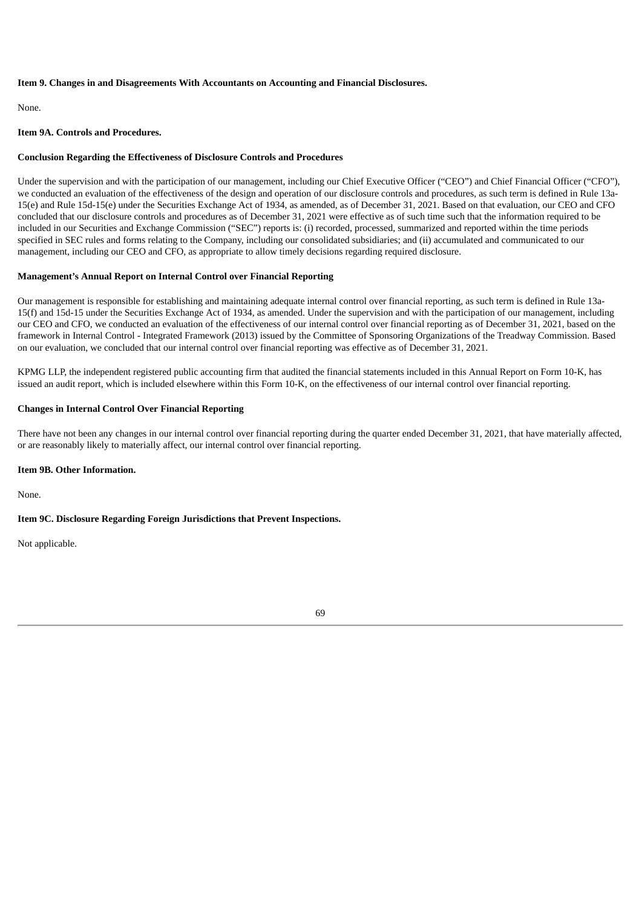#### **Item 9. Changes in and Disagreements With Accountants on Accounting and Financial Disclosures.**

None.

#### **Item 9A. Controls and Procedures.**

#### **Conclusion Regarding the Effectiveness of Disclosure Controls and Procedures**

Under the supervision and with the participation of our management, including our Chief Executive Officer ("CEO") and Chief Financial Officer ("CFO"), we conducted an evaluation of the effectiveness of the design and operation of our disclosure controls and procedures, as such term is defined in Rule 13a-15(e) and Rule 15d-15(e) under the Securities Exchange Act of 1934, as amended, as of December 31, 2021. Based on that evaluation, our CEO and CFO concluded that our disclosure controls and procedures as of December 31, 2021 were effective as of such time such that the information required to be included in our Securities and Exchange Commission ("SEC") reports is: (i) recorded, processed, summarized and reported within the time periods specified in SEC rules and forms relating to the Company, including our consolidated subsidiaries; and (ii) accumulated and communicated to our management, including our CEO and CFO, as appropriate to allow timely decisions regarding required disclosure.

## **Management's Annual Report on Internal Control over Financial Reporting**

Our management is responsible for establishing and maintaining adequate internal control over financial reporting, as such term is defined in Rule 13a-15(f) and 15d-15 under the Securities Exchange Act of 1934, as amended. Under the supervision and with the participation of our management, including our CEO and CFO, we conducted an evaluation of the effectiveness of our internal control over financial reporting as of December 31, 2021, based on the framework in Internal Control - Integrated Framework (2013) issued by the Committee of Sponsoring Organizations of the Treadway Commission. Based on our evaluation, we concluded that our internal control over financial reporting was effective as of December 31, 2021.

KPMG LLP, the independent registered public accounting firm that audited the financial statements included in this Annual Report on Form 10-K, has issued an audit report, which is included elsewhere within this Form 10-K, on the effectiveness of our internal control over financial reporting.

### **Changes in Internal Control Over Financial Reporting**

There have not been any changes in our internal control over financial reporting during the quarter ended December 31, 2021, that have materially affected, or are reasonably likely to materially affect, our internal control over financial reporting.

### **Item 9B. Other Information.**

None.

#### **Item 9C. Disclosure Regarding Foreign Jurisdictions that Prevent Inspections.**

Not applicable.

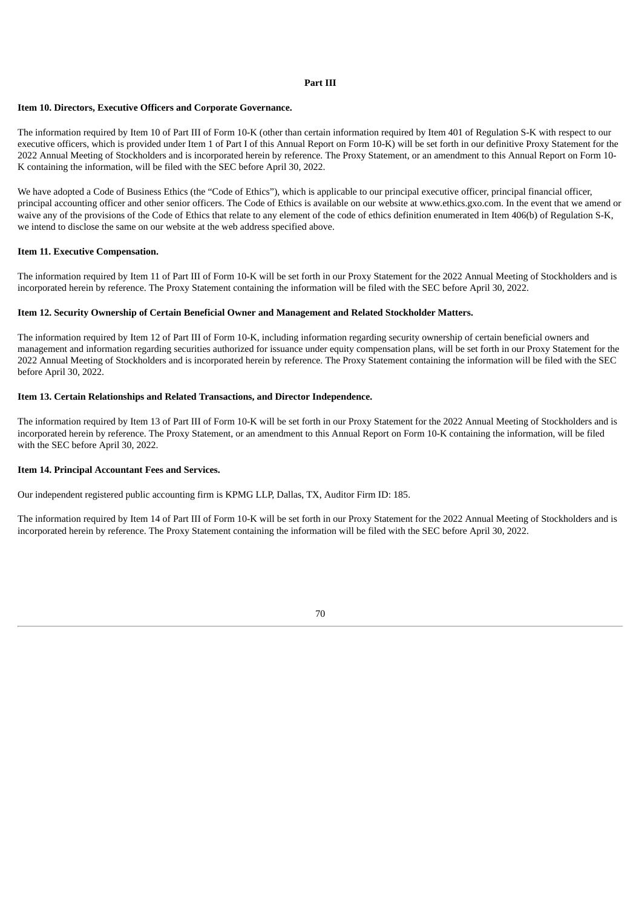#### **Part III**

# **Item 10. Directors, Executive Officers and Corporate Governance.**

The information required by Item 10 of Part III of Form 10-K (other than certain information required by Item 401 of Regulation S-K with respect to our executive officers, which is provided under Item 1 of Part I of this Annual Report on Form 10-K) will be set forth in our definitive Proxy Statement for the 2022 Annual Meeting of Stockholders and is incorporated herein by reference. The Proxy Statement, or an amendment to this Annual Report on Form 10- K containing the information, will be filed with the SEC before April 30, 2022.

We have adopted a Code of Business Ethics (the "Code of Ethics"), which is applicable to our principal executive officer, principal financial officer, principal accounting officer and other senior officers. The Code of Ethics is available on our website at www.ethics.gxo.com. In the event that we amend or waive any of the provisions of the Code of Ethics that relate to any element of the code of ethics definition enumerated in Item 406(b) of Regulation S-K, we intend to disclose the same on our website at the web address specified above.

# **Item 11. Executive Compensation.**

The information required by Item 11 of Part III of Form 10-K will be set forth in our Proxy Statement for the 2022 Annual Meeting of Stockholders and is incorporated herein by reference. The Proxy Statement containing the information will be filed with the SEC before April 30, 2022.

# **Item 12. Security Ownership of Certain Beneficial Owner and Management and Related Stockholder Matters.**

The information required by Item 12 of Part III of Form 10-K, including information regarding security ownership of certain beneficial owners and management and information regarding securities authorized for issuance under equity compensation plans, will be set forth in our Proxy Statement for the 2022 Annual Meeting of Stockholders and is incorporated herein by reference. The Proxy Statement containing the information will be filed with the SEC before April 30, 2022.

# **Item 13. Certain Relationships and Related Transactions, and Director Independence.**

The information required by Item 13 of Part III of Form 10-K will be set forth in our Proxy Statement for the 2022 Annual Meeting of Stockholders and is incorporated herein by reference. The Proxy Statement, or an amendment to this Annual Report on Form 10-K containing the information, will be filed with the SEC before April 30, 2022.

# **Item 14. Principal Accountant Fees and Services.**

Our independent registered public accounting firm is KPMG LLP, Dallas, TX, Auditor Firm ID: 185.

The information required by Item 14 of Part III of Form 10-K will be set forth in our Proxy Statement for the 2022 Annual Meeting of Stockholders and is incorporated herein by reference. The Proxy Statement containing the information will be filed with the SEC before April 30, 2022.

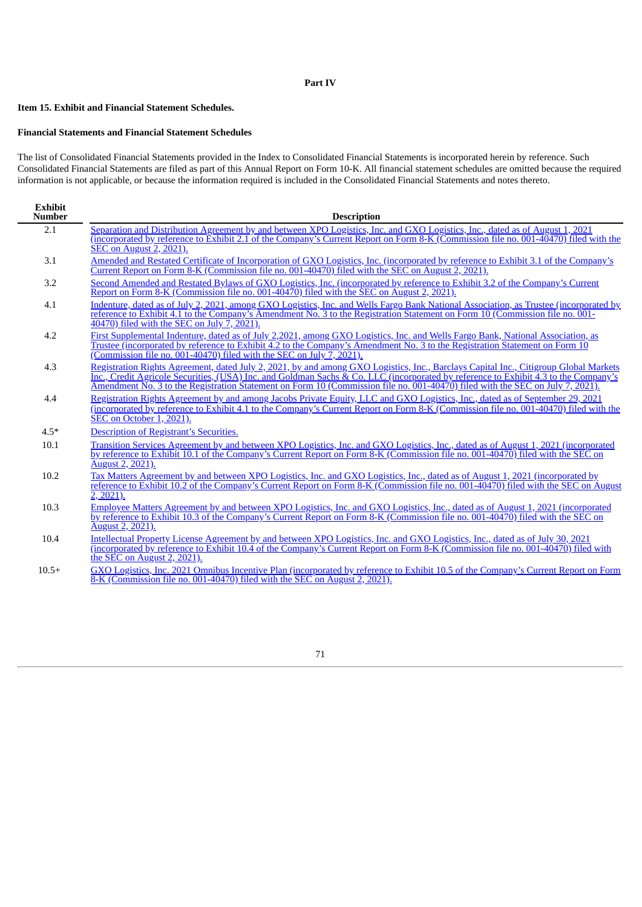#### **Part IV**

# **Item 15. Exhibit and Financial Statement Schedules.**

# **Financial Statements and Financial Statement Schedules**

The list of Consolidated Financial Statements provided in the Index to Consolidated Financial Statements is incorporated herein by reference. Such Consolidated Financial Statements are filed as part of this Annual Report on Form 10-K. All financial statement schedules are omitted because the required information is not applicable, or because the information required is included in the Consolidated Financial Statements and notes thereto.

| <b>Exhibit</b><br><b>Number</b> | <b>Description</b>                                                                                                                                                                                                                                                                                                                                                                                           |
|---------------------------------|--------------------------------------------------------------------------------------------------------------------------------------------------------------------------------------------------------------------------------------------------------------------------------------------------------------------------------------------------------------------------------------------------------------|
| 2.1                             | Separation and Distribution Agreement by and between XPO Logistics, Inc. and GXO Logistics, Inc., dated as of August 1, 2021<br>(incorporated by reference to Exhibit 2.1 of the Company's Current Report on Form 8-K (Commission file no. 001-40470) filed with the<br><b>SEC on August 2, 2021).</b>                                                                                                       |
| 3.1                             | Amended and Restated Certificate of Incorporation of GXO Logistics, Inc. (incorporated by reference to Exhibit 3.1 of the Company's<br>Current Report on Form 8-K (Commission file no. 001-40470) filed with the SEC on August 2, 2021).                                                                                                                                                                     |
| 3.2                             | Second Amended and Restated Bylaws of GXO Logistics, Inc. (incorporated by reference to Exhibit 3.2 of the Company's Current<br>Report on Form 8-K (Commission file no. 001-40470) filed with the SEC on August 2, 2021).                                                                                                                                                                                    |
| 4.1                             | Indenture, dated as of July 2, 2021, among GXO Logistics, Inc. and Wells Fargo Bank National Association, as Trustee (incorporated by<br>reference to Exhibit 4.1 to the Company's Amendment No. 3 to the Registration Statement on Form 10 (Commission file no. 001-<br>40470) filed with the SEC on July $\overline{7}$ , 2021).                                                                           |
| 4.2                             | First Supplemental Indenture, dated as of July 2,2021, among GXO Logistics, Inc. and Wells Fargo Bank, National Association, as<br>Trustee (incorporated by reference to Exhibit 4.2 to the Company's Amendment No. 3 to the Registration Statement on Form 10<br>(Commission file no. 001-40470) filed with the SEC on July 7, 2021).                                                                       |
| 4.3                             | Registration Rights Agreement, dated July 2, 2021, by and among GXO Logistics, Inc., Barclays Capital Inc., Citigroup Global Markets<br>Inc., Credit Agricole Securities, (USA) Inc. and Goldman Sachs & Co. LLC (incorporated by reference to Exhibit 4.3 to the Company's<br>Amendment No. 3 to the Registration Statement on Form 10 (Commission file no. 001-40470) filed with the SEC on July 7, 2021). |
| 4.4                             | Registration Rights Agreement by and among Jacobs Private Equity, LLC and GXO Logistics, Inc., dated as of September 29, 2021<br>(incorporated by reference to Exhibit 4.1 to the Company's Current Report on Form 8-K (Commission file no. 001-40470) filed with the<br><b>SEC on October 1, 2021).</b>                                                                                                     |
| $4.5*$                          | Description of Registrant's Securities.                                                                                                                                                                                                                                                                                                                                                                      |
| 10.1                            | Transition Services Agreement by and between XPO Logistics, Inc. and GXO Logistics, Inc., dated as of August 1, 2021 (incorporated<br>by reference to Exhibit 10.1 of the Company's Current Report on Form 8-K (Commission file no. 001-40470) filed with the SEC on<br><u>August 2, 2021).</u>                                                                                                              |
| 10.2                            | Tax Matters Agreement by and between XPO Logistics, Inc. and GXO Logistics, Inc., dated as of August 1, 2021 (incorporated by<br>reference to Exhibit 10.2 of the Company's Current Report on Form 8-K (Commission file no. 001-40470) filed with the SEC on August<br>2, 2021).                                                                                                                             |
| 10.3                            | Employee Matters Agreement by and between XPO Logistics, Inc. and GXO Logistics, Inc., dated as of August 1, 2021 (incorporated<br>by reference to Exhibit 10.3 of the Company's Current Report on Form 8-K (Commission file no. 001-40470) filed with the SEC on<br><u>August 2, 2021).</u>                                                                                                                 |
| 10.4                            | Intellectual Property License Agreement by and between XPO Logistics, Inc. and GXO Logistics, Inc., dated as of July 30, 2021<br>(incorporated by reference to Exhibit 10.4 of the Company's Current Report on Form 8-K (Commission file no. 001-40470) filed with<br>the SEC on August 2, 2021).                                                                                                            |
| $10.5+$                         | GXO Logistics, Inc. 2021 Omnibus Incentive Plan (incorporated by reference to Exhibit 10.5 of the Company's Current Report on Form<br>8-K (Commission file no. 001-40470) filed with the SEC on August 2, 2021).                                                                                                                                                                                             |

71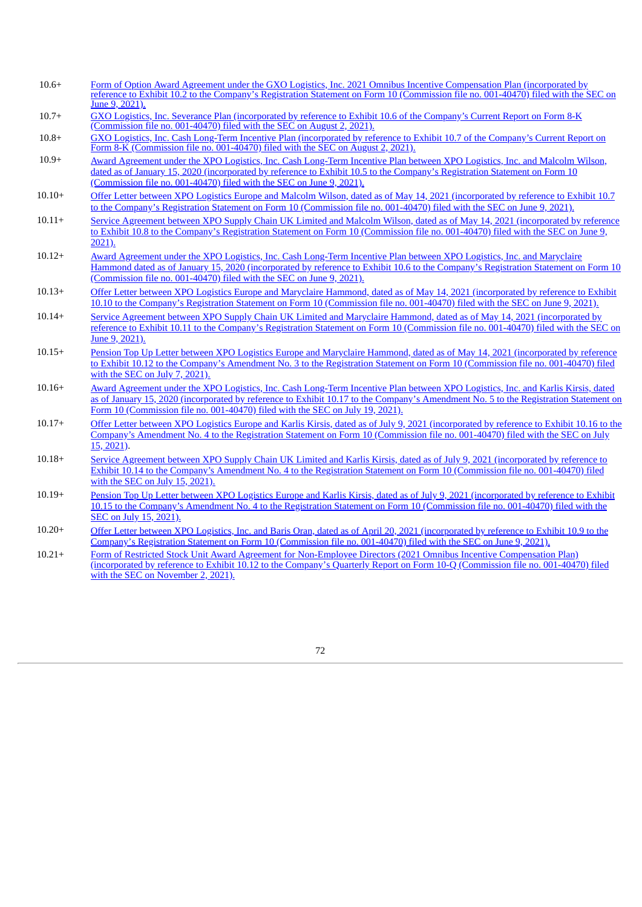- 10.6+ Form of Option Award Agreement under the GXO Logistics, Inc. 2021 Omnibus Incentive [Compensation](https://www.sec.gov/Archives/edgar/data/0001852244/000162828021011851/exhibit102-form10.htm) Plan (incorporated by reference to Exhibit 10.2 to the Company['s](https://www.sec.gov/Archives/edgar/data/0001852244/000162828021011851/exhibit102-form10.htm) Registration Statement on Form 10 [\(Commission](https://www.sec.gov/Archives/edgar/data/0001852244/000162828021011851/exhibit102-form10.htm) file no. 001-40470) filed with the SEC on June 9, 2021).
- 10.7+ GXO Logistics, Inc. Severance Plan (incorporated by reference to Exhibit 10.6 of the Company's Current Report on Form 8-K [\(Commission](https://www.sec.gov/Archives/edgar/data/0001852244/000162828021015181/exhibit106-form8xkgxo.htm) file no. 001-40470) filed with the SEC on August 2, 2021).
- 10.8+ GXO Logistics, Inc. Cash Long-Term Incentive Plan (incorporated by reference to Exhibit 10.7 of the Company's Current Report on Form 8-K [\(Commission](https://www.sec.gov/Archives/edgar/data/0001852244/000162828021015181/exhibit107-form8xkgxo.htm) file no. 001-40470) filed with the SEC on August 2, 2021).
- 10.9+ Award Agreement under the XPO Logistics, Inc. Cash Long-Term Incentive Plan between XPO Logistics, Inc. and Malcolm Wilson, dated as of January 15, 2020 [\(incorporated](https://www.sec.gov/Archives/edgar/data/0001852244/000162828021011851/exhibit105-form10.htm) by reference to Exhibit 10.5 to the Compan[y'](https://www.sec.gov/Archives/edgar/data/0001852244/000162828021011851/exhibit105-form10.htm)s Registration Statement on Form 10 (Commission file no. 001-40470) filed with the SEC on June 9, 2021).
- 10.10+ Offer Letter between XPO Logistics Europe and Malcolm Wilson, dated as of May 14, 2021 [\(incorporated](https://www.sec.gov/Archives/edgar/data/0001852244/000162828021011851/exhibit107-form10.htm) by reference to Exhibit 10.7 to the Compan[y's](https://www.sec.gov/Archives/edgar/data/0001852244/000162828021011851/exhibit107-form10.htm) Registration Statement on Form 10 [\(Commission](https://www.sec.gov/Archives/edgar/data/0001852244/000162828021011851/exhibit107-form10.htm) file no. 001-40470) filed with the SEC on June 9, 2021).
- 10.11+ Service Agreement between XPO Supply Chain UK Limited and Malcolm Wilson, dated as of May 14, 2021 [\(incorporated](https://www.sec.gov/Archives/edgar/data/0001852244/000162828021011851/exhibit108-form10.htm) by reference to Exhibit 10.8 to the Compan[y's](https://www.sec.gov/Archives/edgar/data/0001852244/000162828021011851/exhibit108-form10.htm) Registration Statement on Form 10 [\(Commission](https://www.sec.gov/Archives/edgar/data/0001852244/000162828021011851/exhibit108-form10.htm) file no. 001-40470) filed with the SEC on June 9, 2021).
- 10.12+ Award Agreement under the XPO Logistics, Inc. Cash Long-Term Incentive Plan between XPO Logistics, Inc. and Maryclaire Hammond dated as of January 15, 2020 [\(incorporated](https://www.sec.gov/Archives/edgar/data/0001852244/000162828021011851/exhibit106-form10.htm) by reference to Exhibit 10.6 to the Compan[y's](https://www.sec.gov/Archives/edgar/data/0001852244/000162828021011851/exhibit106-form10.htm) Registration Statement on Form 10 [\(Commission](https://www.sec.gov/Archives/edgar/data/0001852244/000162828021011851/exhibit106-form10.htm) file no. 001-40470) filed with the SEC on June 9, 2021).
- 10.13+ Offer Letter between XPO Logistics Europe and Maryclaire [Hammond,](https://www.sec.gov/Archives/edgar/data/0001852244/000162828021011851/exhibit1010-form10.htm) dated as of May [1](https://www.sec.gov/Archives/edgar/data/0001852244/000162828021011851/exhibit1010-form10.htm)4, 2021 (incorporated by reference to Exhibit 10.10 to the Compan[y'](https://www.sec.gov/Archives/edgar/data/0001852244/000162828021011851/exhibit1010-form10.htm)s Registration Statement on Form 10 [\(Commission](https://www.sec.gov/Archives/edgar/data/0001852244/000162828021011851/exhibit1010-form10.htm) file no. 001-40470) filed with the SEC on June 9, 2021).
- 10.14+ Service Agreement between XPO Supply Chain UK Limited and Maryclaire Hammond, dated as of May 14, 2021 [\(incorporated](https://www.sec.gov/Archives/edgar/data/0001852244/000162828021011851/exhibit1011-form10.htm) by reference to Exhibit 10.11 to the Compan[y'](https://www.sec.gov/Archives/edgar/data/0001852244/000162828021011851/exhibit1011-form10.htm)s Registration Statement on Form 10 [\(Commission](https://www.sec.gov/Archives/edgar/data/0001852244/000162828021011851/exhibit1011-form10.htm) file no. 001-40470) filed with the SEC on June 9, 2021).
- 10.15+ Pension Top Up Letter between XPO Logistics Europe and Maryclaire Hammond, dated as of May 14, 2021 (incorporated by reference to Exhibit 10.12 to the Compan[y'](https://www.sec.gov/Archives/edgar/data/0001852244/000162828021013619/exhibit1012-form10.htm)s Amendment No. 3 to the Registration Statement on Form 10 [\(Commission](https://www.sec.gov/Archives/edgar/data/0001852244/000162828021013619/exhibit1012-form10.htm) file no. 001-40470) filed with the SEC on July 7, 2021).
- 10.16+ Award Agreement under the XPO Logistics, Inc. Cash Long-Term Incentive Plan between XPO Logistics, Inc. and Karlis Kirsis, dated as of January 15, 2020 [\(incorporated](https://www.sec.gov/Archives/edgar/data/1166003/000162828017001912/xpo201610-kexx1017.htm) by reference to Exhibit 10.17 to the Compan[y'](https://www.sec.gov/Archives/edgar/data/1166003/000162828017001912/xpo201610-kexx1017.htm)s Amendment No. 5 to the Registration Statement on Form 10 [\(Commission](https://www.sec.gov/Archives/edgar/data/1166003/000162828017001912/xpo201610-kexx1017.htm) file no. 001-40470) filed with the SEC on July 19, 2021).
- 10.17+ Offer Letter between XPO Logistics Europe and Karlis Kirsis, dated as of July 9, 2021 (incorporated by reference to Exhibit 10.16 to the Company's Amendment No. 4 to the Registration Statement on Form 10 [\(Commission](https://www.sec.gov/Archives/edgar/data/1852244/000162828021013885/exhibit1016-form10a2.htm) file no. 001-40470) filed with the SEC on July  $\overline{15, 2021}$ .
- 10.18+ Service Agreement between XPO Supply Chain UK Limited and Karlis Kirsis, dated as of July 9, 2021 (incorporated by reference to Exhibit 10.14 to the Company's Amendment No. 4 to the Registration Statement on Form 10 [\(Commission](https://www.sec.gov/Archives/edgar/data/1852244/000162828021013885/exhibit1014-form10a2.htm) file no. 001-40470) filed with the SEC on July 15, 2021).
- 10.19+ Pension Top Up Letter between XPO Logistics Europe and Karlis Kirsis, dated as of July 9, 2021 (incorporated by reference to Exhibit 10.15 to the Company's Amendment No. 4 to the Registration Statement on Form 10 [\(Commission](https://www.sec.gov/Archives/edgar/data/1852244/000162828021013885/exhibit1015-form10a2.htm) file no. 001-40470) filed with the SEC on July 15, 2021).
- 10.20<sup>+</sup> Offer Letter between XPO Logistics, Inc. and Baris Oran, dated as of April 20, 2021 (incorporated by reference to Exhibit 10.9 to the Compan[y'](https://www.sec.gov/Archives/edgar/data/0001852244/000162828021011851/exhibit109-form10.htm)s Registration Statement on Form 10 [\(Commission](https://www.sec.gov/Archives/edgar/data/0001852244/000162828021011851/exhibit109-form10.htm) file no. 001-40470) filed with the SEC on June 9, 2021).
- 10.21+ Form of Restricted Stock Unit Award Agreement for [Non-Employee](https://www.sec.gov/Archives/edgar/data/1852244/000185224421000007/gxo-formofdirectorrsuagree.htm) Directors (2021 Omnibus Incentive Compensation Plan) (incorporated by reference to Exhibit 10.12 to the Company'[s](https://www.sec.gov/Archives/edgar/data/1852244/000185224421000007/gxo-formofdirectorrsuagree.htm) Quarterly Report on Form 10-Q [\(Commission](https://www.sec.gov/Archives/edgar/data/1852244/000185224421000007/gxo-formofdirectorrsuagree.htm) file no. 001-40470) filed with the SEC on November 2, 2021).

72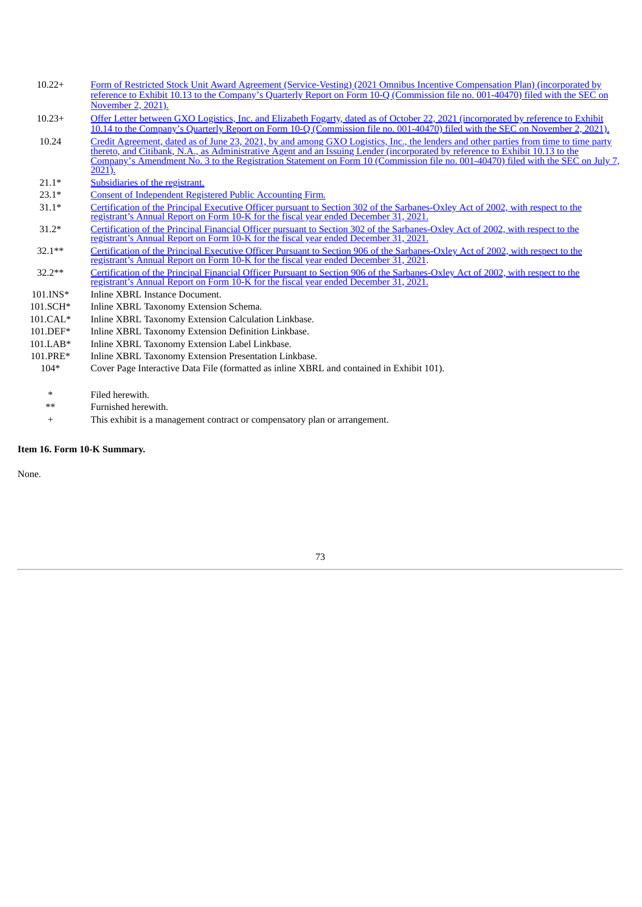- 10.22+ Form of Restricted Stock Unit Award Agreement [\(Service-Vesting\)](https://www.sec.gov/Archives/edgar/data/1852244/000185224421000007/gxo-formofrsuagreement.htm) (2021 Omnibus Incentive Compensation Plan) (incorporated by reference to Exhibit 10.13 to the Company['s](https://www.sec.gov/Archives/edgar/data/1852244/000185224421000007/gxo-formofrsuagreement.htm) Quarterly Report on Form 10-Q [\(Commission](https://www.sec.gov/Archives/edgar/data/1852244/000185224421000007/gxo-formofrsuagreement.htm) file no. 001-40470) filed with the SEC on November 2, 2021).
- 10.23+ Offer Letter between GXO Logistics, Inc. and Elizabeth Fogarty, dated as of October 22, 2021 (incorporated by reference to Exhibit 10.14 to the Company['s](https://www.sec.gov/Archives/edgar/data/1852244/000185224421000007/offerletterbetweengxologis.htm) Quarterly Report on Form 10-Q [\(Commission](https://www.sec.gov/Archives/edgar/data/1852244/000185224421000007/offerletterbetweengxologis.htm) file no. 001-40470) filed with the SEC on November 2, 2021).
- 10.24 Credit Agreement, dated as of June 23, 2021, by and among GXO Logistics, Inc., the lenders and other parties from time to time party thereto, and Citibank, N.A., as [Administrative](https://www.sec.gov/Archives/edgar/data/1852244/000162828021013619/exhibit1013-form10a.htm) Agent and an Issuing Lender (incorporated by reference to Exhibit 10.13 to the Compan[y'](https://www.sec.gov/Archives/edgar/data/1852244/000162828021013619/exhibit1013-form10a.htm)s Amendment No. 3 to the Registration Statement on Form 10 [\(Commission](https://www.sec.gov/Archives/edgar/data/1852244/000162828021013619/exhibit1013-form10a.htm) file no. 001-40470) filed with the SEC on July 7,  $2021$ ).
- 21.1\* [Subsidiaries](#page-83-0) of the registrant.
- 23.1\* Consent of [Independent](#page-84-0) Registered Public Accounting Firm.
- 31.1\* Certification of the Principal Executive Officer pursuant to Section 302 of the [Sarbanes-Oxley](#page-85-0) Act of 2002, with respect to the registrant's Annual Report on Form 10-K for the fiscal year ended December 31, 2021.
- 31.2\* Certification of the Principal Financial Officer pursuant to Section 302 of the [Sarbanes-Oxley](#page-86-0) Act of 2002, with respect to the registrant's Annual Report on Form 10-K for the fiscal year ended December 31, 2021.
- 32.1\*\* Certification of the Principal Executive Officer Pursuant to Section 906 of the [Sarbanes-Oxley](#page-87-0) Act of 2002, with respect to the registrant's Annual Report on Form 10-K for the fiscal year ended December 31, 2021.
- 32.2\*\* Certification of the Principal Financial Officer Pursuant to Section 906 of the [Sarbanes-Oxley](#page-88-0) Act of 2002, with respect to the registrant's Annual Report on Form 10-K for the fiscal year ended December 31, 2021.
- 101.INS\* Inline XBRL Instance Document.
- 101.SCH\* Inline XBRL Taxonomy Extension Schema.
- 101.CAL\* Inline XBRL Taxonomy Extension Calculation Linkbase.
- 101.DEF\* Inline XBRL Taxonomy Extension Definition Linkbase.
- 101.LAB\* Inline XBRL Taxonomy Extension Label Linkbase.
- 101.PRE\* Inline XBRL Taxonomy Extension Presentation Linkbase.
- 104\* Cover Page Interactive Data File (formatted as inline XBRL and contained in Exhibit 101).
	- \* Filed herewith.
	- \*\* Furnished herewith.
	- + This exhibit is a management contract or compensatory plan or arrangement.

### **Item 16. Form 10-K Summary.**

None.

#### 73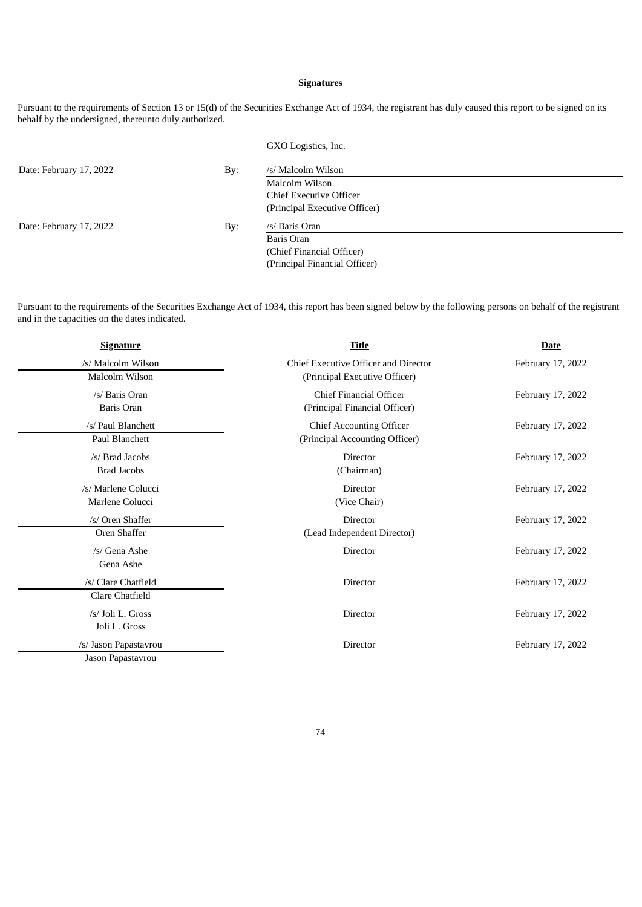# **Signatures**

Pursuant to the requirements of Section 13 or 15(d) of the Securities Exchange Act of 1934, the registrant has duly caused this report to be signed on its behalf by the undersigned, thereunto duly authorized.

GXO Logistics, Inc.

| Date: February 17, 2022 | By: | /s/ Malcolm Wilson             |  |
|-------------------------|-----|--------------------------------|--|
|                         |     | Malcolm Wilson                 |  |
|                         |     | <b>Chief Executive Officer</b> |  |
|                         |     | (Principal Executive Officer)  |  |
| Date: February 17, 2022 | By: | /s/ Baris Oran                 |  |
|                         |     | Baris Oran                     |  |
|                         |     | (Chief Financial Officer)      |  |
|                         |     | (Principal Financial Officer)  |  |

Pursuant to the requirements of the Securities Exchange Act of 1934, this report has been signed below by the following persons on behalf of the registrant and in the capacities on the dates indicated.

| <b>Signature</b>      | <b>Title</b>                         | <b>Date</b>       |
|-----------------------|--------------------------------------|-------------------|
| /s/ Malcolm Wilson    | Chief Executive Officer and Director | February 17, 2022 |
| Malcolm Wilson        | (Principal Executive Officer)        |                   |
| /s/ Baris Oran        | <b>Chief Financial Officer</b>       | February 17, 2022 |
| <b>Baris Oran</b>     | (Principal Financial Officer)        |                   |
| /s/ Paul Blanchett    | <b>Chief Accounting Officer</b>      | February 17, 2022 |
| Paul Blanchett        | (Principal Accounting Officer)       |                   |
| /s/ Brad Jacobs       | Director                             | February 17, 2022 |
| <b>Brad Jacobs</b>    | (Chairman)                           |                   |
| /s/ Marlene Colucci   | Director                             | February 17, 2022 |
| Marlene Colucci       | (Vice Chair)                         |                   |
| /s/ Oren Shaffer      | Director                             | February 17, 2022 |
| Oren Shaffer          | (Lead Independent Director)          |                   |
| /s/ Gena Ashe         | Director                             | February 17, 2022 |
| Gena Ashe             |                                      |                   |
| /s/ Clare Chatfield   | Director                             | February 17, 2022 |
| Clare Chatfield       |                                      |                   |
| /s/ Joli L. Gross     | Director                             | February 17, 2022 |
| Joli L. Gross         |                                      |                   |
| /s/ Jason Papastavrou | Director                             | February 17, 2022 |
| Jason Papastavrou     |                                      |                   |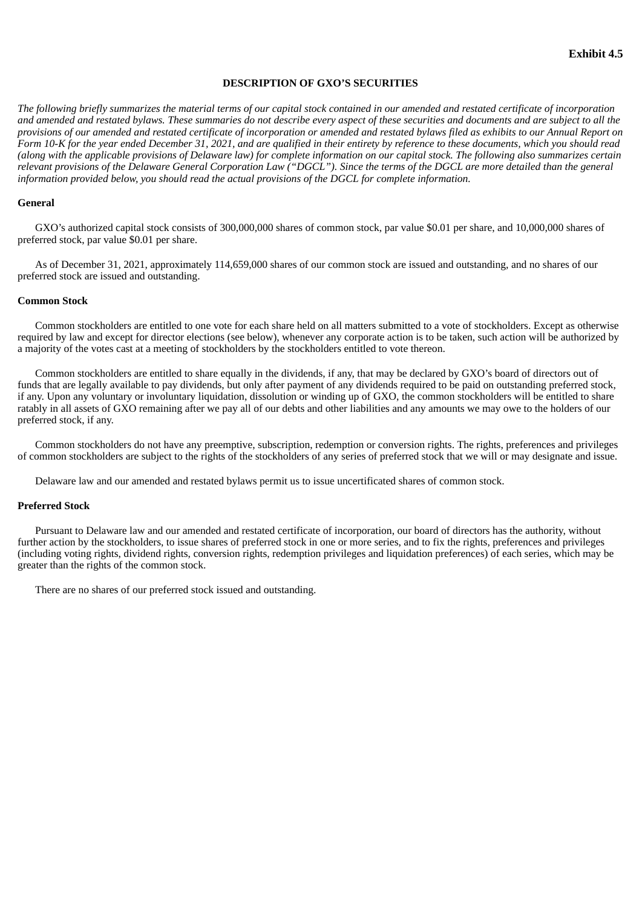### **DESCRIPTION OF GXO'S SECURITIES**

<span id="page-78-0"></span>The following briefly summarizes the material terms of our capital stock contained in our amended and restated certificate of incorporation and amended and restated bylaws. These summaries do not describe every aspect of these securities and documents and are subject to all the provisions of our amended and restated certificate of incorporation or amended and restated bylaws filed as exhibits to our Annual Report on Form 10-K for the year ended December 31, 2021, and are qualified in their entirety by reference to these documents, which you should read (along with the applicable provisions of Delaware law) for complete information on our capital stock. The following also summarizes certain relevant provisions of the Delaware General Corporation Law ("DGCL"). Since the terms of the DGCL are more detailed than the general *information provided below, you should read the actual provisions of the DGCL for complete information.*

### **General**

GXO's authorized capital stock consists of 300,000,000 shares of common stock, par value \$0.01 per share, and 10,000,000 shares of preferred stock, par value \$0.01 per share.

As of December 31, 2021, approximately 114,659,000 shares of our common stock are issued and outstanding, and no shares of our preferred stock are issued and outstanding.

# **Common Stock**

Common stockholders are entitled to one vote for each share held on all matters submitted to a vote of stockholders. Except as otherwise required by law and except for director elections (see below), whenever any corporate action is to be taken, such action will be authorized by a majority of the votes cast at a meeting of stockholders by the stockholders entitled to vote thereon.

Common stockholders are entitled to share equally in the dividends, if any, that may be declared by GXO's board of directors out of funds that are legally available to pay dividends, but only after payment of any dividends required to be paid on outstanding preferred stock, if any. Upon any voluntary or involuntary liquidation, dissolution or winding up of GXO, the common stockholders will be entitled to share ratably in all assets of GXO remaining after we pay all of our debts and other liabilities and any amounts we may owe to the holders of our preferred stock, if any.

Common stockholders do not have any preemptive, subscription, redemption or conversion rights. The rights, preferences and privileges of common stockholders are subject to the rights of the stockholders of any series of preferred stock that we will or may designate and issue.

Delaware law and our amended and restated bylaws permit us to issue uncertificated shares of common stock.

### **Preferred Stock**

Pursuant to Delaware law and our amended and restated certificate of incorporation, our board of directors has the authority, without further action by the stockholders, to issue shares of preferred stock in one or more series, and to fix the rights, preferences and privileges (including voting rights, dividend rights, conversion rights, redemption privileges and liquidation preferences) of each series, which may be greater than the rights of the common stock.

There are no shares of our preferred stock issued and outstanding.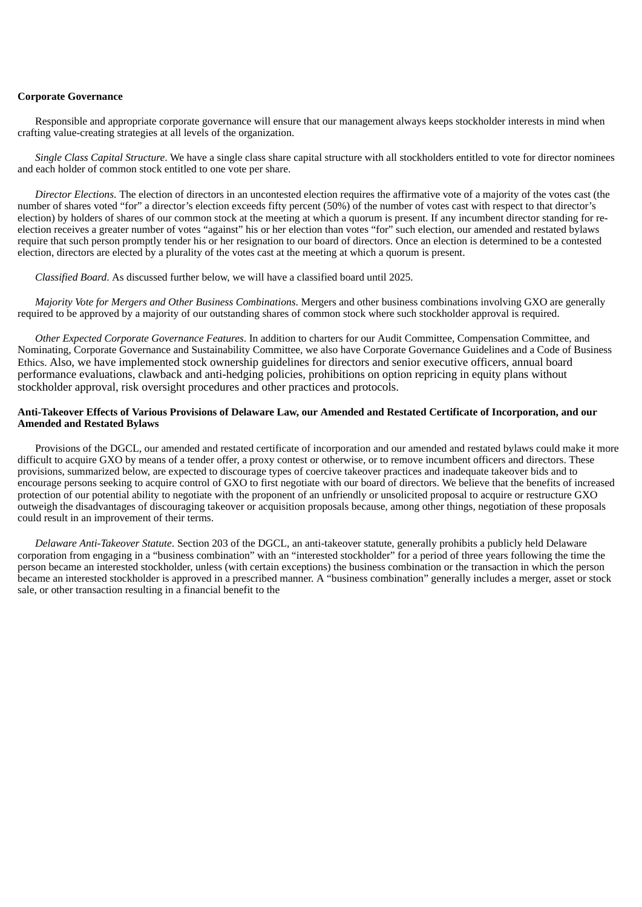### **Corporate Governance**

Responsible and appropriate corporate governance will ensure that our management always keeps stockholder interests in mind when crafting value-creating strategies at all levels of the organization.

*Single Class Capital Structure*. We have a single class share capital structure with all stockholders entitled to vote for director nominees and each holder of common stock entitled to one vote per share.

*Director Elections*. The election of directors in an uncontested election requires the affirmative vote of a majority of the votes cast (the number of shares voted "for" a director's election exceeds fifty percent (50%) of the number of votes cast with respect to that director's election) by holders of shares of our common stock at the meeting at which a quorum is present. If any incumbent director standing for reelection receives a greater number of votes "against" his or her election than votes "for" such election, our amended and restated bylaws require that such person promptly tender his or her resignation to our board of directors. Once an election is determined to be a contested election, directors are elected by a plurality of the votes cast at the meeting at which a quorum is present.

*Classified Board*. As discussed further below, we will have a classified board until 2025.

*Majority Vote for Mergers and Other Business Combinations*. Mergers and other business combinations involving GXO are generally required to be approved by a majority of our outstanding shares of common stock where such stockholder approval is required.

*Other Expected Corporate Governance Features*. In addition to charters for our Audit Committee, Compensation Committee, and Nominating, Corporate Governance and Sustainability Committee, we also have Corporate Governance Guidelines and a Code of Business Ethics. Also, we have implemented stock ownership guidelines for directors and senior executive officers, annual board performance evaluations, clawback and anti-hedging policies, prohibitions on option repricing in equity plans without stockholder approval, risk oversight procedures and other practices and protocols.

# Anti-Takeover Effects of Various Provisions of Delaware Law, our Amended and Restated Certificate of Incorporation, and our **Amended and Restated Bylaws**

Provisions of the DGCL, our amended and restated certificate of incorporation and our amended and restated bylaws could make it more difficult to acquire GXO by means of a tender offer, a proxy contest or otherwise, or to remove incumbent officers and directors. These provisions, summarized below, are expected to discourage types of coercive takeover practices and inadequate takeover bids and to encourage persons seeking to acquire control of GXO to first negotiate with our board of directors. We believe that the benefits of increased protection of our potential ability to negotiate with the proponent of an unfriendly or unsolicited proposal to acquire or restructure GXO outweigh the disadvantages of discouraging takeover or acquisition proposals because, among other things, negotiation of these proposals could result in an improvement of their terms.

*Delaware Anti-Takeover Statute*. Section 203 of the DGCL, an anti-takeover statute, generally prohibits a publicly held Delaware corporation from engaging in a "business combination" with an "interested stockholder" for a period of three years following the time the person became an interested stockholder, unless (with certain exceptions) the business combination or the transaction in which the person became an interested stockholder is approved in a prescribed manner. A "business combination" generally includes a merger, asset or stock sale, or other transaction resulting in a financial benefit to the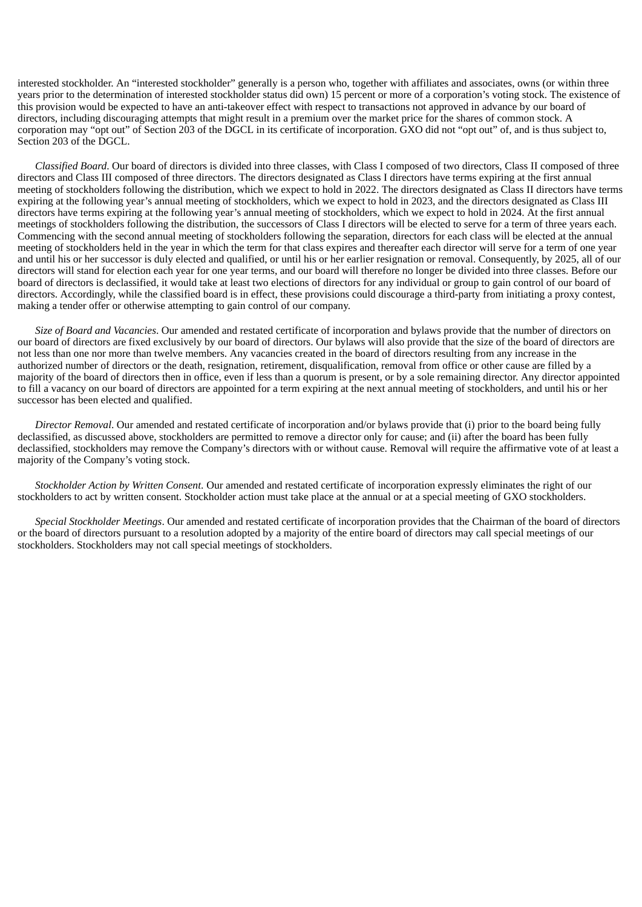interested stockholder. An "interested stockholder" generally is a person who, together with affiliates and associates, owns (or within three years prior to the determination of interested stockholder status did own) 15 percent or more of a corporation's voting stock. The existence of this provision would be expected to have an anti-takeover effect with respect to transactions not approved in advance by our board of directors, including discouraging attempts that might result in a premium over the market price for the shares of common stock. A corporation may "opt out" of Section 203 of the DGCL in its certificate of incorporation. GXO did not "opt out" of, and is thus subject to, Section 203 of the DGCL.

*Classified Board*. Our board of directors is divided into three classes, with Class I composed of two directors, Class II composed of three directors and Class III composed of three directors. The directors designated as Class I directors have terms expiring at the first annual meeting of stockholders following the distribution, which we expect to hold in 2022. The directors designated as Class II directors have terms expiring at the following year's annual meeting of stockholders, which we expect to hold in 2023, and the directors designated as Class III directors have terms expiring at the following year's annual meeting of stockholders, which we expect to hold in 2024. At the first annual meetings of stockholders following the distribution, the successors of Class I directors will be elected to serve for a term of three years each. Commencing with the second annual meeting of stockholders following the separation, directors for each class will be elected at the annual meeting of stockholders held in the year in which the term for that class expires and thereafter each director will serve for a term of one year and until his or her successor is duly elected and qualified, or until his or her earlier resignation or removal. Consequently, by 2025, all of our directors will stand for election each year for one year terms, and our board will therefore no longer be divided into three classes. Before our board of directors is declassified, it would take at least two elections of directors for any individual or group to gain control of our board of directors. Accordingly, while the classified board is in effect, these provisions could discourage a third-party from initiating a proxy contest, making a tender offer or otherwise attempting to gain control of our company.

*Size of Board and Vacancies*. Our amended and restated certificate of incorporation and bylaws provide that the number of directors on our board of directors are fixed exclusively by our board of directors. Our bylaws will also provide that the size of the board of directors are not less than one nor more than twelve members. Any vacancies created in the board of directors resulting from any increase in the authorized number of directors or the death, resignation, retirement, disqualification, removal from office or other cause are filled by a majority of the board of directors then in office, even if less than a quorum is present, or by a sole remaining director. Any director appointed to fill a vacancy on our board of directors are appointed for a term expiring at the next annual meeting of stockholders, and until his or her successor has been elected and qualified.

*Director Removal*. Our amended and restated certificate of incorporation and/or bylaws provide that (i) prior to the board being fully declassified, as discussed above, stockholders are permitted to remove a director only for cause; and (ii) after the board has been fully declassified, stockholders may remove the Company's directors with or without cause. Removal will require the affirmative vote of at least a majority of the Company's voting stock.

*Stockholder Action by Written Consent*. Our amended and restated certificate of incorporation expressly eliminates the right of our stockholders to act by written consent. Stockholder action must take place at the annual or at a special meeting of GXO stockholders.

*Special Stockholder Meetings*. Our amended and restated certificate of incorporation provides that the Chairman of the board of directors or the board of directors pursuant to a resolution adopted by a majority of the entire board of directors may call special meetings of our stockholders. Stockholders may not call special meetings of stockholders.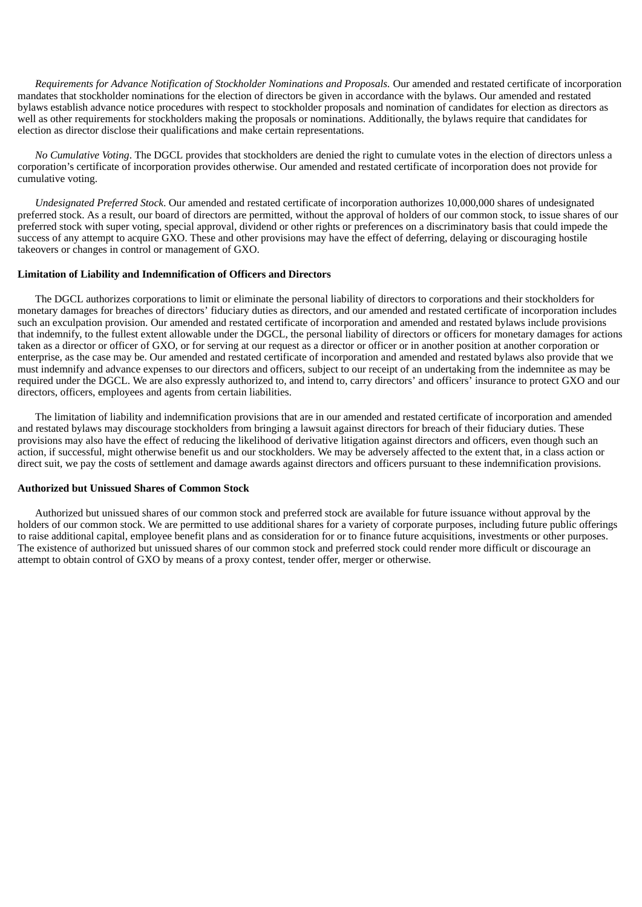*Requirements for Advance Notification of Stockholder Nominations and Proposals.* Our amended and restated certificate of incorporation mandates that stockholder nominations for the election of directors be given in accordance with the bylaws. Our amended and restated bylaws establish advance notice procedures with respect to stockholder proposals and nomination of candidates for election as directors as well as other requirements for stockholders making the proposals or nominations. Additionally, the bylaws require that candidates for election as director disclose their qualifications and make certain representations.

*No Cumulative Voting*. The DGCL provides that stockholders are denied the right to cumulate votes in the election of directors unless a corporation's certificate of incorporation provides otherwise. Our amended and restated certificate of incorporation does not provide for cumulative voting.

*Undesignated Preferred Stock*. Our amended and restated certificate of incorporation authorizes 10,000,000 shares of undesignated preferred stock. As a result, our board of directors are permitted, without the approval of holders of our common stock, to issue shares of our preferred stock with super voting, special approval, dividend or other rights or preferences on a discriminatory basis that could impede the success of any attempt to acquire GXO. These and other provisions may have the effect of deferring, delaying or discouraging hostile takeovers or changes in control or management of GXO.

#### **Limitation of Liability and Indemnification of Officers and Directors**

The DGCL authorizes corporations to limit or eliminate the personal liability of directors to corporations and their stockholders for monetary damages for breaches of directors' fiduciary duties as directors, and our amended and restated certificate of incorporation includes such an exculpation provision. Our amended and restated certificate of incorporation and amended and restated bylaws include provisions that indemnify, to the fullest extent allowable under the DGCL, the personal liability of directors or officers for monetary damages for actions taken as a director or officer of GXO, or for serving at our request as a director or officer or in another position at another corporation or enterprise, as the case may be. Our amended and restated certificate of incorporation and amended and restated bylaws also provide that we must indemnify and advance expenses to our directors and officers, subject to our receipt of an undertaking from the indemnitee as may be required under the DGCL. We are also expressly authorized to, and intend to, carry directors' and officers' insurance to protect GXO and our directors, officers, employees and agents from certain liabilities.

The limitation of liability and indemnification provisions that are in our amended and restated certificate of incorporation and amended and restated bylaws may discourage stockholders from bringing a lawsuit against directors for breach of their fiduciary duties. These provisions may also have the effect of reducing the likelihood of derivative litigation against directors and officers, even though such an action, if successful, might otherwise benefit us and our stockholders. We may be adversely affected to the extent that, in a class action or direct suit, we pay the costs of settlement and damage awards against directors and officers pursuant to these indemnification provisions.

### **Authorized but Unissued Shares of Common Stock**

Authorized but unissued shares of our common stock and preferred stock are available for future issuance without approval by the holders of our common stock. We are permitted to use additional shares for a variety of corporate purposes, including future public offerings to raise additional capital, employee benefit plans and as consideration for or to finance future acquisitions, investments or other purposes. The existence of authorized but unissued shares of our common stock and preferred stock could render more difficult or discourage an attempt to obtain control of GXO by means of a proxy contest, tender offer, merger or otherwise.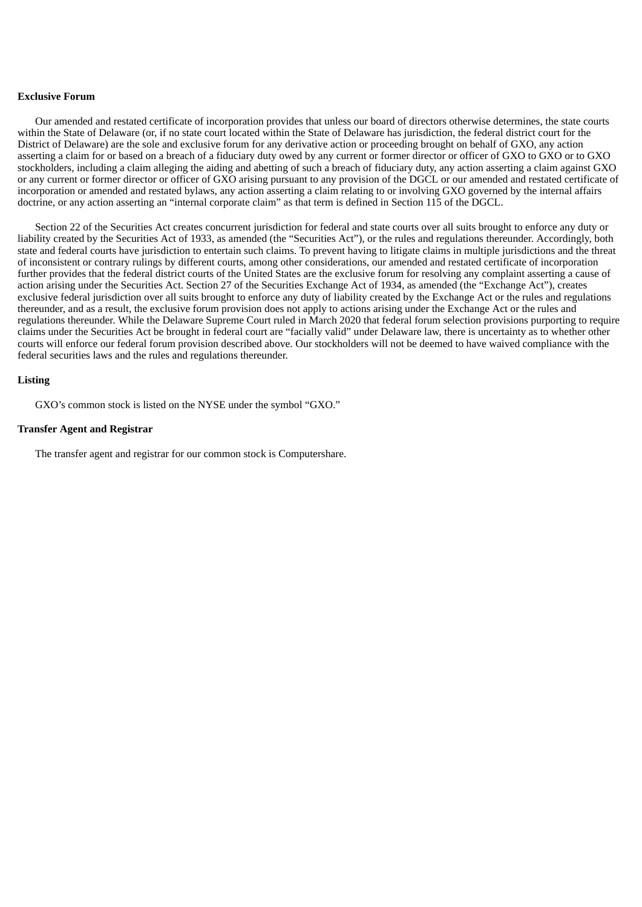### **Exclusive Forum**

Our amended and restated certificate of incorporation provides that unless our board of directors otherwise determines, the state courts within the State of Delaware (or, if no state court located within the State of Delaware has jurisdiction, the federal district court for the District of Delaware) are the sole and exclusive forum for any derivative action or proceeding brought on behalf of GXO, any action asserting a claim for or based on a breach of a fiduciary duty owed by any current or former director or officer of GXO to GXO or to GXO stockholders, including a claim alleging the aiding and abetting of such a breach of fiduciary duty, any action asserting a claim against GXO or any current or former director or officer of GXO arising pursuant to any provision of the DGCL or our amended and restated certificate of incorporation or amended and restated bylaws, any action asserting a claim relating to or involving GXO governed by the internal affairs doctrine, or any action asserting an "internal corporate claim" as that term is defined in Section 115 of the DGCL.

Section 22 of the Securities Act creates concurrent jurisdiction for federal and state courts over all suits brought to enforce any duty or liability created by the Securities Act of 1933, as amended (the "Securities Act"), or the rules and regulations thereunder. Accordingly, both state and federal courts have jurisdiction to entertain such claims. To prevent having to litigate claims in multiple jurisdictions and the threat of inconsistent or contrary rulings by different courts, among other considerations, our amended and restated certificate of incorporation further provides that the federal district courts of the United States are the exclusive forum for resolving any complaint asserting a cause of action arising under the Securities Act. Section 27 of the Securities Exchange Act of 1934, as amended (the "Exchange Act"), creates exclusive federal jurisdiction over all suits brought to enforce any duty of liability created by the Exchange Act or the rules and regulations thereunder, and as a result, the exclusive forum provision does not apply to actions arising under the Exchange Act or the rules and regulations thereunder. While the Delaware Supreme Court ruled in March 2020 that federal forum selection provisions purporting to require claims under the Securities Act be brought in federal court are "facially valid" under Delaware law, there is uncertainty as to whether other courts will enforce our federal forum provision described above. Our stockholders will not be deemed to have waived compliance with the federal securities laws and the rules and regulations thereunder.

### **Listing**

GXO's common stock is listed on the NYSE under the symbol "GXO."

# **Transfer Agent and Registrar**

The transfer agent and registrar for our common stock is Computershare.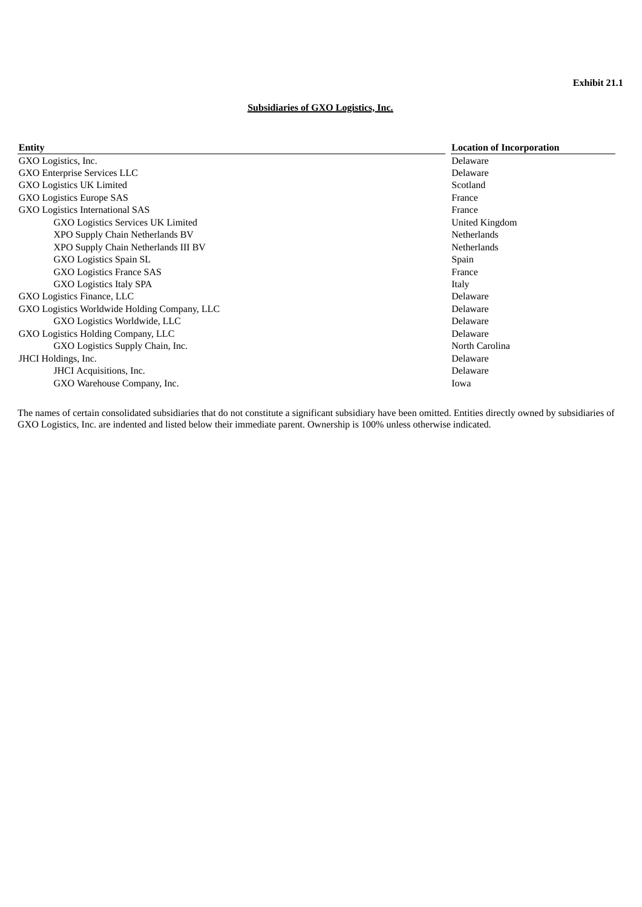# **Exhibit 21.1**

# **Subsidiaries of GXO Logistics, Inc.**

<span id="page-83-0"></span>

| <b>Entity</b>                                | <b>Location of Incorporation</b> |
|----------------------------------------------|----------------------------------|
| GXO Logistics, Inc.                          | Delaware                         |
| <b>GXO Enterprise Services LLC</b>           | Delaware                         |
| GXO Logistics UK Limited                     | Scotland                         |
| <b>GXO Logistics Europe SAS</b>              | France                           |
| <b>GXO Logistics International SAS</b>       | France                           |
| <b>GXO Logistics Services UK Limited</b>     | United Kingdom                   |
| XPO Supply Chain Netherlands BV              | Netherlands                      |
| XPO Supply Chain Netherlands III BV          | Netherlands                      |
| <b>GXO Logistics Spain SL</b>                | Spain                            |
| <b>GXO Logistics France SAS</b>              | France                           |
| <b>GXO Logistics Italy SPA</b>               | Italy                            |
| GXO Logistics Finance, LLC                   | Delaware                         |
| GXO Logistics Worldwide Holding Company, LLC | Delaware                         |
| GXO Logistics Worldwide, LLC                 | Delaware                         |
| GXO Logistics Holding Company, LLC           | Delaware                         |
| GXO Logistics Supply Chain, Inc.             | North Carolina                   |
| JHCI Holdings, Inc.                          | Delaware                         |
| JHCI Acquisitions, Inc.                      | Delaware                         |
| GXO Warehouse Company, Inc.                  | Iowa                             |

The names of certain consolidated subsidiaries that do not constitute a significant subsidiary have been omitted. Entities directly owned by subsidiaries of GXO Logistics, Inc. are indented and listed below their immediate parent. Ownership is 100% unless otherwise indicated.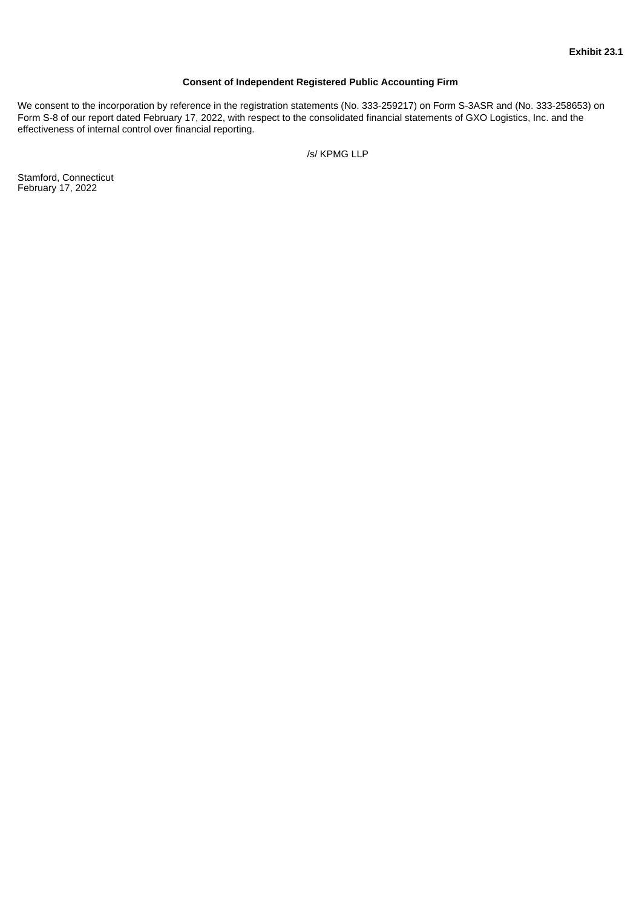# **Consent of Independent Registered Public Accounting Firm**

<span id="page-84-0"></span>We consent to the incorporation by reference in the registration statements (No. 333-259217) on Form S-3ASR and (No. 333-258653) on Form S-8 of our report dated February 17, 2022, with respect to the consolidated financial statements of GXO Logistics, Inc. and the effectiveness of internal control over financial reporting.

/s/ KPMG LLP

Stamford, Connecticut February 17, 2022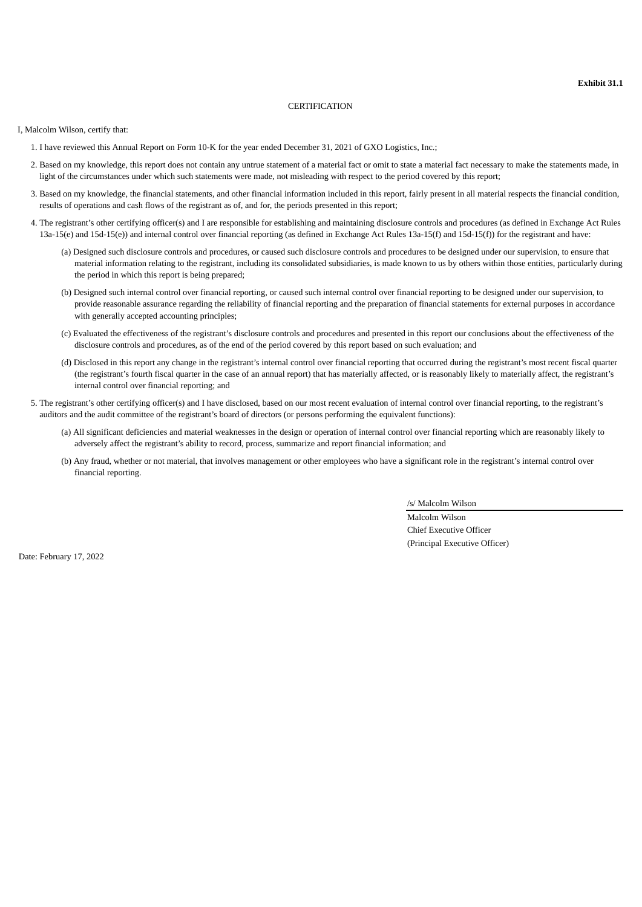#### **CERTIFICATION**

<span id="page-85-0"></span>I, Malcolm Wilson, certify that:

- 1. I have reviewed this Annual Report on Form 10-K for the year ended December 31, 2021 of GXO Logistics, Inc.;
- 2. Based on my knowledge, this report does not contain any untrue statement of a material fact or omit to state a material fact necessary to make the statements made, in light of the circumstances under which such statements were made, not misleading with respect to the period covered by this report;
- 3. Based on my knowledge, the financial statements, and other financial information included in this report, fairly present in all material respects the financial condition, results of operations and cash flows of the registrant as of, and for, the periods presented in this report;
- 4. The registrant's other certifying officer(s) and I are responsible for establishing and maintaining disclosure controls and procedures (as defined in Exchange Act Rules 13a-15(e) and 15d-15(e)) and internal control over financial reporting (as defined in Exchange Act Rules 13a-15(f) and 15d-15(f)) for the registrant and have:
	- (a) Designed such disclosure controls and procedures, or caused such disclosure controls and procedures to be designed under our supervision, to ensure that material information relating to the registrant, including its consolidated subsidiaries, is made known to us by others within those entities, particularly during the period in which this report is being prepared;
	- (b) Designed such internal control over financial reporting, or caused such internal control over financial reporting to be designed under our supervision, to provide reasonable assurance regarding the reliability of financial reporting and the preparation of financial statements for external purposes in accordance with generally accepted accounting principles;
	- (c) Evaluated the effectiveness of the registrant's disclosure controls and procedures and presented in this report our conclusions about the effectiveness of the disclosure controls and procedures, as of the end of the period covered by this report based on such evaluation; and
	- (d) Disclosed in this report any change in the registrant's internal control over financial reporting that occurred during the registrant's most recent fiscal quarter (the registrant's fourth fiscal quarter in the case of an annual report) that has materially affected, or is reasonably likely to materially affect, the registrant's internal control over financial reporting; and
- 5. The registrant's other certifying officer(s) and I have disclosed, based on our most recent evaluation of internal control over financial reporting, to the registrant's auditors and the audit committee of the registrant's board of directors (or persons performing the equivalent functions):
	- (a) All significant deficiencies and material weaknesses in the design or operation of internal control over financial reporting which are reasonably likely to adversely affect the registrant's ability to record, process, summarize and report financial information; and
	- (b) Any fraud, whether or not material, that involves management or other employees who have a significant role in the registrant's internal control over financial reporting.

/s/ Malcolm Wilson Malcolm Wilson Chief Executive Officer (Principal Executive Officer)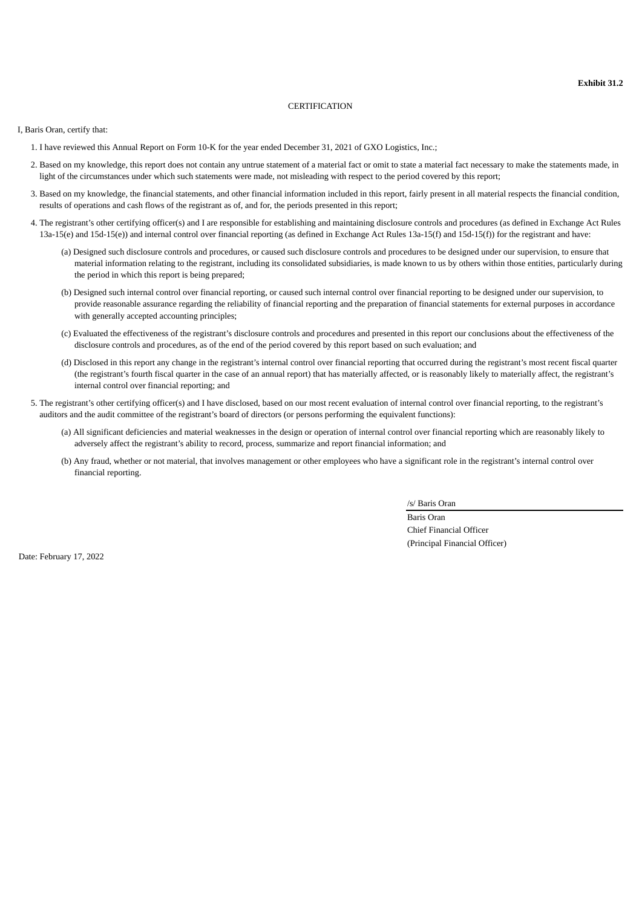#### **CERTIFICATION**

<span id="page-86-0"></span>I, Baris Oran, certify that:

- 1. I have reviewed this Annual Report on Form 10-K for the year ended December 31, 2021 of GXO Logistics, Inc.;
- 2. Based on my knowledge, this report does not contain any untrue statement of a material fact or omit to state a material fact necessary to make the statements made, in light of the circumstances under which such statements were made, not misleading with respect to the period covered by this report;
- 3. Based on my knowledge, the financial statements, and other financial information included in this report, fairly present in all material respects the financial condition, results of operations and cash flows of the registrant as of, and for, the periods presented in this report;
- 4. The registrant's other certifying officer(s) and I are responsible for establishing and maintaining disclosure controls and procedures (as defined in Exchange Act Rules 13a-15(e) and 15d-15(e)) and internal control over financial reporting (as defined in Exchange Act Rules 13a-15(f) and 15d-15(f)) for the registrant and have:
	- (a) Designed such disclosure controls and procedures, or caused such disclosure controls and procedures to be designed under our supervision, to ensure that material information relating to the registrant, including its consolidated subsidiaries, is made known to us by others within those entities, particularly during the period in which this report is being prepared;
	- (b) Designed such internal control over financial reporting, or caused such internal control over financial reporting to be designed under our supervision, to provide reasonable assurance regarding the reliability of financial reporting and the preparation of financial statements for external purposes in accordance with generally accepted accounting principles;
	- (c) Evaluated the effectiveness of the registrant's disclosure controls and procedures and presented in this report our conclusions about the effectiveness of the disclosure controls and procedures, as of the end of the period covered by this report based on such evaluation; and
	- (d) Disclosed in this report any change in the registrant's internal control over financial reporting that occurred during the registrant's most recent fiscal quarter (the registrant's fourth fiscal quarter in the case of an annual report) that has materially affected, or is reasonably likely to materially affect, the registrant's internal control over financial reporting; and
- 5. The registrant's other certifying officer(s) and I have disclosed, based on our most recent evaluation of internal control over financial reporting, to the registrant's auditors and the audit committee of the registrant's board of directors (or persons performing the equivalent functions):
	- (a) All significant deficiencies and material weaknesses in the design or operation of internal control over financial reporting which are reasonably likely to adversely affect the registrant's ability to record, process, summarize and report financial information; and
	- (b) Any fraud, whether or not material, that involves management or other employees who have a significant role in the registrant's internal control over financial reporting.

/s/ Baris Oran Baris Oran Chief Financial Officer (Principal Financial Officer)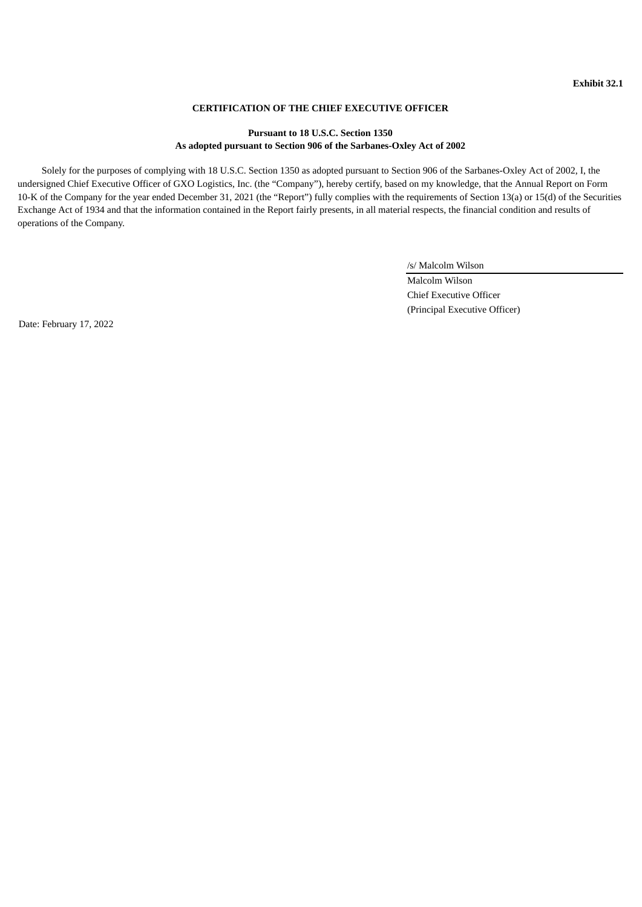# **CERTIFICATION OF THE CHIEF EXECUTIVE OFFICER**

# **Pursuant to 18 U.S.C. Section 1350 As adopted pursuant to Section 906 of the Sarbanes-Oxley Act of 2002**

<span id="page-87-0"></span>Solely for the purposes of complying with 18 U.S.C. Section 1350 as adopted pursuant to Section 906 of the Sarbanes-Oxley Act of 2002, I, the undersigned Chief Executive Officer of GXO Logistics, Inc. (the "Company"), hereby certify, based on my knowledge, that the Annual Report on Form 10-K of the Company for the year ended December 31, 2021 (the "Report") fully complies with the requirements of Section 13(a) or 15(d) of the Securities Exchange Act of 1934 and that the information contained in the Report fairly presents, in all material respects, the financial condition and results of operations of the Company.

/s/ Malcolm Wilson

Malcolm Wilson Chief Executive Officer (Principal Executive Officer)